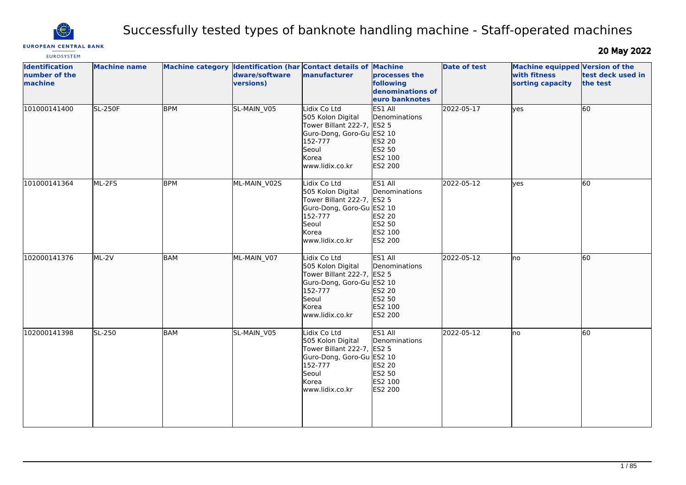

# Successfully tested types of banknote handling machine - Staff-operated machines

**EUROPEAN CENTRAL BANK** 

20 May 2022

| <b>EUROSYSTEM</b>                                 |                     |                         |                                                                              |                                                                                                                                                     |                                                                                    |                     |                                                                            |                               |
|---------------------------------------------------|---------------------|-------------------------|------------------------------------------------------------------------------|-----------------------------------------------------------------------------------------------------------------------------------------------------|------------------------------------------------------------------------------------|---------------------|----------------------------------------------------------------------------|-------------------------------|
| <b>Identification</b><br>number of the<br>machine | <b>Machine name</b> | <b>Machine category</b> | <b>Identification (har Contact details of</b><br>dware/software<br>versions) | manufacturer                                                                                                                                        | <b>Machine</b><br>processes the<br>following<br>denominations of<br>euro banknotes | <b>Date of test</b> | <b>Machine equipped Version of the</b><br>with fitness<br>sorting capacity | test deck used in<br>the test |
| 101000141400                                      | <b>SL-250F</b>      | <b>BPM</b>              | SL-MAIN V05                                                                  | Lidix Co Ltd<br>505 Kolon Digital<br>Tower Billant 222-7, ES2 5<br>Guro-Dong, Goro-Gu ES2 10<br>152-777<br>Seoul<br><b>Korea</b><br>www.lidix.co.kr | ES1 All<br>Denominations<br><b>ES2 20</b><br>ES2 50<br>ES2 100<br>ES2 200          | 2022-05-17          | ves                                                                        | 60                            |
| 101000141364                                      | ML-2FS              | <b>BPM</b>              | ML-MAIN_V02S                                                                 | Lidix Co Ltd<br>505 Kolon Digital<br>Tower Billant 222-7, ES2 5<br>Guro-Dong, Goro-Gu ES2 10<br>152-777<br>Seoul<br>Korea<br>www.lidix.co.kr        | ES1 All<br>Denominations<br>ES2 20<br>ES2 50<br>ES2 100<br><b>ES2 200</b>          | 2022-05-12          | yes                                                                        | 60                            |
| 102000141376                                      | $ML-2V$             | BAM                     | ML-MAIN_V07                                                                  | Lidix Co Ltd<br>505 Kolon Digital<br>Tower Billant 222-7, ES2 5<br>Guro-Dong, Goro-Gu ES2 10<br>152-777<br>Seoul<br>Korea<br>www.lidix.co.kr        | ES1 All<br>Denominations<br>ES2 20<br>ES2 50<br>ES2 100<br>ES2 200                 | 2022-05-12          | lno                                                                        | 60                            |
| 102000141398                                      | SL-250              | BAM                     | SL-MAIN V05                                                                  | Lidix Co Ltd<br>505 Kolon Digital<br>Tower Billant 222-7, ES2 5<br>Guro-Dong, Goro-Gu ES2 10<br>152-777<br>Seoul<br>Korea<br>www.lidix.co.kr        | ES1 All<br>Denominations<br>ES2 20<br>ES2 50<br>ES2 100<br>ES2 200                 | 2022-05-12          | no                                                                         | 60                            |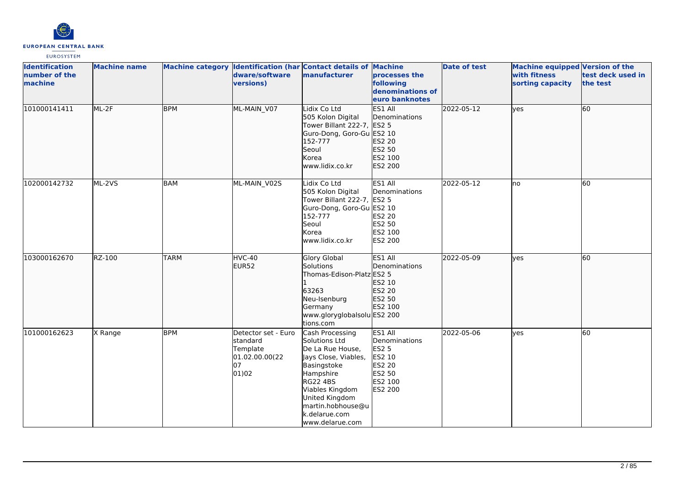

| <b>Identification</b><br>number of the<br>machine | <b>Machine name</b> |             | dware/software<br>versions)                                                  | Machine category Identification (har Contact details of Machine<br>manufacturer                                                                                                                                           | processes the<br>following<br>denominations of<br>euro banknotes                             | <b>Date of test</b> | Machine equipped Version of the<br>with fitness<br>sorting capacity | test deck used in<br>the test |
|---------------------------------------------------|---------------------|-------------|------------------------------------------------------------------------------|---------------------------------------------------------------------------------------------------------------------------------------------------------------------------------------------------------------------------|----------------------------------------------------------------------------------------------|---------------------|---------------------------------------------------------------------|-------------------------------|
| 101000141411                                      | ML-2F               | <b>BPM</b>  | ML-MAIN V07                                                                  | Lidix Co Ltd<br>505 Kolon Digital<br>Tower Billant 222-7, ES2 5<br>Guro-Dong, Goro-Gu ES2 10<br>152-777<br>Seoul<br>Korea<br>www.lidix.co.kr                                                                              | ES1 All<br>Denominations<br>ES2 20<br>ES2 50<br>ES2 100<br>ES2 200                           | 2022-05-12          | lyes                                                                | 60                            |
| 102000142732                                      | ML-2VS              | <b>BAM</b>  | ML-MAIN_V02S                                                                 | Lidix Co Ltd<br>505 Kolon Digital<br>Tower Billant 222-7, ES2 5<br>Guro-Dong, Goro-Gu ES2 10<br>152-777<br>Seoul<br>Korea<br>www.lidix.co.kr                                                                              | ES1 All<br>Denominations<br>ES2 20<br>ES2 50<br>ES2 100<br>ES2 200                           | 2022-05-12          | lno                                                                 | 60                            |
| 103000162670                                      | RZ-100              | <b>TARM</b> | <b>HVC-40</b><br>EUR52                                                       | Glory Global<br>Solutions<br>Thomas-Edison-Platz ES2 5<br>63263<br>Neu-Isenburg<br>Germany<br>www.gloryglobalsolu ES2 200<br>tions.com                                                                                    | ES1 All<br>Denominations<br>ES2 10<br>ES2 20<br>ES2 50<br>ES2 100                            | 2022-05-09          | lyes                                                                | 60                            |
| 101000162623                                      | X Range             | <b>BPM</b>  | Detector set - Euro<br>standard<br>Template<br>01.02.00.00(22<br>07<br>01)02 | Cash Processing<br>Solutions Ltd<br>De La Rue House,<br>Jays Close, Viables,<br>Basingstoke<br>Hampshire<br><b>RG22 4BS</b><br>Viables Kingdom<br>United Kingdom<br>martin.hobhouse@u<br>k.delarue.com<br>www.delarue.com | ES1 All<br>Denominations<br><b>ES2 5</b><br>ES2 10<br>ES2 20<br>ES2 50<br>ES2 100<br>ES2 200 | 2022-05-06          | yes                                                                 | 60                            |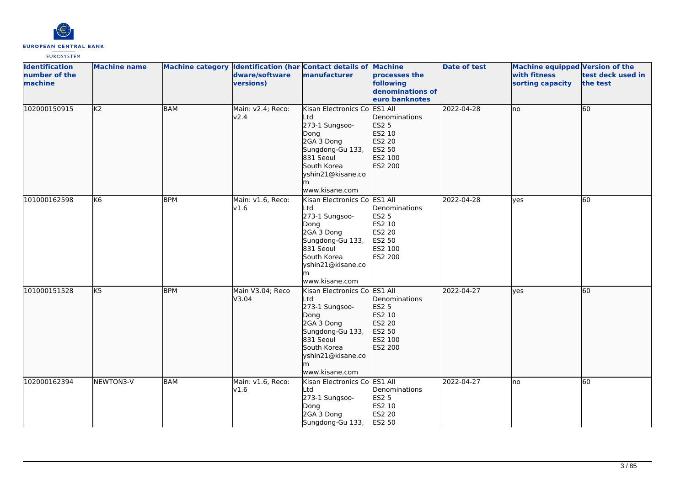

| <b>Identification</b><br>number of the<br>machine | <b>Machine name</b> |            | dware/software<br>versions) | Machine category Identification (har Contact details of Machine<br>manufacturer                                                                                           | processes the<br>following<br>denominations of<br>euro banknotes                             | <b>Date of test</b> | <b>Machine equipped Version of the</b><br>with fitness<br>sorting capacity | test deck used in<br>the test |
|---------------------------------------------------|---------------------|------------|-----------------------------|---------------------------------------------------------------------------------------------------------------------------------------------------------------------------|----------------------------------------------------------------------------------------------|---------------------|----------------------------------------------------------------------------|-------------------------------|
| 102000150915                                      | K <sub>2</sub>      | <b>BAM</b> | Main: v2.4; Reco:<br>v2.4   | Kisan Electronics Co<br>Ltd<br>273-1 Sungsoo-<br>Dong<br>2GA 3 Dong<br>Sungdong-Gu 133,<br>831 Seoul<br>South Korea<br>yshin21@kisane.co<br>lm<br>www.kisane.com          | ES1 All<br>Denominations<br><b>ES2 5</b><br>ES2 10<br>ES2 20<br>ES2 50<br>ES2 100<br>ES2 200 | 2022-04-28          | Ino                                                                        | 60                            |
| 101000162598                                      | K <sub>6</sub>      | <b>BPM</b> | Main: v1.6, Reco:<br>v1.6   | Kisan Electronics Co ES1 All<br>Ltd<br>273-1 Sungsoo-<br>Dong<br>2GA 3 Dong<br>Sungdong-Gu 133,<br>831 Seoul<br>South Korea<br>yshin21@kisane.co<br>www.kisane.com        | Denominations<br><b>ES2 5</b><br>ES2 10<br>ES2 20<br>ES2 50<br>ES2 100<br>ES2 200            | 2022-04-28          | ves                                                                        | 60                            |
| 101000151528                                      | K5                  | <b>BPM</b> | Main V3.04; Reco<br>V3.04   | Kisan Electronics Co ES1 All<br>Ltd<br>273-1 Sungsoo-<br>Dong<br>2GA 3 Dong<br>Sungdong-Gu 133,<br>831 Seoul<br>South Korea<br>yshin21@kisane.co<br>lm.<br>www.kisane.com | Denominations<br>ES2 5<br>ES2 10<br>ES2 20<br>ES2 50<br>ES2 100<br>ES2 200                   | 2022-04-27          | lyes                                                                       | 60                            |
| 102000162394                                      | NEWTON3-V           | <b>BAM</b> | Main: v1.6, Reco:<br>v1.6   | Kisan Electronics Co ES1 All<br>Ltd<br>273-1 Sungsoo-<br>Dong<br>2GA 3 Dong<br>Sungdong-Gu 133,                                                                           | Denominations<br><b>ES2 5</b><br>ES2 10<br>ES2 20<br>ES2 50                                  | 2022-04-27          | lno                                                                        | 60                            |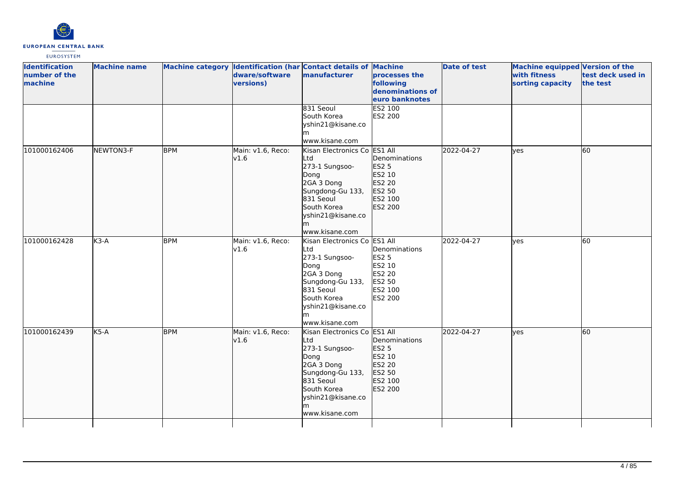

| <b>Identification</b><br>number of the<br>machine | <b>Machine name</b> |            | dware/software<br>versions) | Machine category Identification (har Contact details of Machine<br>manufacturer                                                                                           | processes the<br>following<br>denominations of<br>euro banknotes                             | <b>Date of test</b> | Machine equipped Version of the<br>with fitness<br>sorting capacity | test deck used in<br>the test |
|---------------------------------------------------|---------------------|------------|-----------------------------|---------------------------------------------------------------------------------------------------------------------------------------------------------------------------|----------------------------------------------------------------------------------------------|---------------------|---------------------------------------------------------------------|-------------------------------|
|                                                   |                     |            |                             | 831 Seoul<br>South Korea<br>yshin21@kisane.co<br>m<br>www.kisane.com                                                                                                      | ES2 100<br>ES2 200                                                                           |                     |                                                                     |                               |
| 101000162406                                      | NEWTON3-F           | <b>BPM</b> | Main: v1.6, Reco:<br>v1.6   | Kisan Electronics Co<br>Ltd<br>273-1 Sungsoo-<br>Dong<br>2GA 3 Dong<br>Sungdong-Gu 133,<br>831 Seoul<br>South Korea<br>yshin21@kisane.co<br>www.kisane.com                | ES1 All<br>Denominations<br><b>ES2 5</b><br>ES2 10<br>ES2 20<br>ES2 50<br>ES2 100<br>ES2 200 | 2022-04-27          | lves                                                                | 60                            |
| 101000162428                                      | $K3-A$              | <b>BPM</b> | Main: v1.6, Reco:<br>v1.6   | Kisan Electronics Co ES1 All<br>Ltd<br>273-1 Sungsoo-<br>Dong<br>2GA 3 Dong<br>Sungdong-Gu 133,<br>831 Seoul<br>South Korea<br>yshin21@kisane.co<br>m<br>www.kisane.com   | Denominations<br>ES2 5<br>ES2 10<br><b>ES2 20</b><br>ES2 50<br>ES2 100<br>ES2 200            | 2022-04-27          | lves                                                                | 60                            |
| 101000162439                                      | $K5-A$              | <b>BPM</b> | Main: v1.6, Reco:<br>v1.6   | Kisan Electronics Co ES1 All<br>Ltd<br>273-1 Sungsoo-<br>Dong<br>2GA 3 Dong<br>Sungdong-Gu 133,<br>831 Seoul<br>South Korea<br>yshin21@kisane.co<br>lm.<br>www.kisane.com | Denominations<br>ES2 5<br>ES2 10<br>ES2 20<br>ES2 50<br>ES2 100<br>ES2 200                   | 2022-04-27          | ves                                                                 | 60                            |
|                                                   |                     |            |                             |                                                                                                                                                                           |                                                                                              |                     |                                                                     |                               |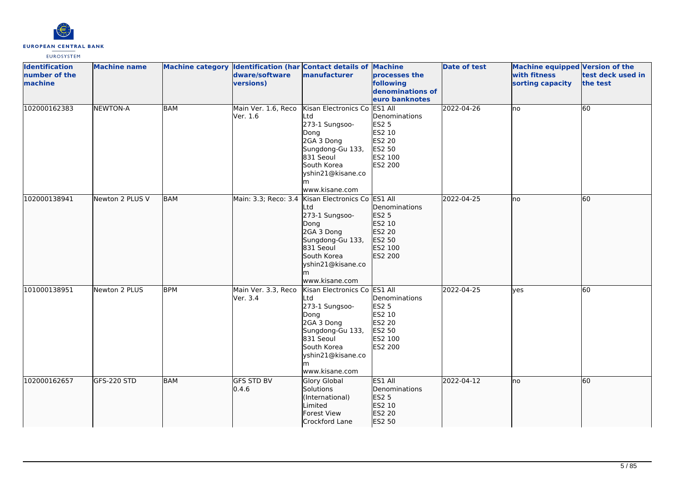

| <b>Identification</b><br>number of the<br>machine | <b>Machine name</b> |            | dware/software<br>versions)     | Machine category Identification (har Contact details of Machine<br>manufacturer                                                                                         | processes the<br>following<br>denominations of<br>euro banknotes                                    | <b>Date of test</b> | Machine equipped Version of the<br>with fitness<br>sorting capacity | test deck used in<br>the test |
|---------------------------------------------------|---------------------|------------|---------------------------------|-------------------------------------------------------------------------------------------------------------------------------------------------------------------------|-----------------------------------------------------------------------------------------------------|---------------------|---------------------------------------------------------------------|-------------------------------|
| 102000162383                                      | <b>NEWTON-A</b>     | <b>BAM</b> | Main Ver. 1.6, Reco<br>Ver. 1.6 | Kisan Electronics Co<br>Ltd<br>273-1 Sungsoo-<br>Dong<br>2GA 3 Dong<br>Sungdong-Gu 133,<br>831 Seoul<br>South Korea<br>yshin21@kisane.co<br>m<br>www.kisane.com         | ES1 All<br>Denominations<br><b>ES2 5</b><br>ES2 10<br>ES2 20<br>ES2 50<br>ES2 100<br><b>ES2 200</b> | 2022-04-26          | no.                                                                 | 60                            |
| 102000138941                                      | Newton 2 PLUS V     | <b>BAM</b> | Main: 3.3; Reco: 3.4            | Kisan Electronics Co ES1 All<br>Ltd<br>273-1 Sungsoo-<br>Dong<br>2GA 3 Dong<br>Sungdong-Gu 133,<br>831 Seoul<br>South Korea<br>yshin21@kisane.co<br>m<br>www.kisane.com | Denominations<br><b>ES2 5</b><br>ES2 10<br>ES2 20<br>ES2 50<br>ES2 100<br>ES2 200                   | 2022-04-25          | lno                                                                 | 60                            |
| 101000138951                                      | Newton 2 PLUS       | <b>BPM</b> | Main Ver. 3.3, Reco<br>Ver. 3.4 | Kisan Electronics Co ES1 All<br>Ltd<br>273-1 Sungsoo-<br>Dong<br>2GA 3 Dong<br>Sungdong-Gu 133,<br>831 Seoul<br>South Korea<br>yshin21@kisane.co<br>m<br>www.kisane.com | Denominations<br><b>ES2 5</b><br>ES2 10<br><b>ES2 20</b><br>ES2 50<br>ES2 100<br>ES2 200            | 2022-04-25          | yes                                                                 | 60                            |
| 102000162657                                      | GFS-220 STD         | BAM        | <b>GFS STD BV</b><br>0.4.6      | Glory Global<br>Solutions<br>(International)<br>Limited<br><b>Forest View</b><br>Crockford Lane                                                                         | ES1 All<br>Denominations<br><b>ES2 5</b><br>ES2 10<br>ES2 20<br>ES2 50                              | 2022-04-12          | lno                                                                 | 60                            |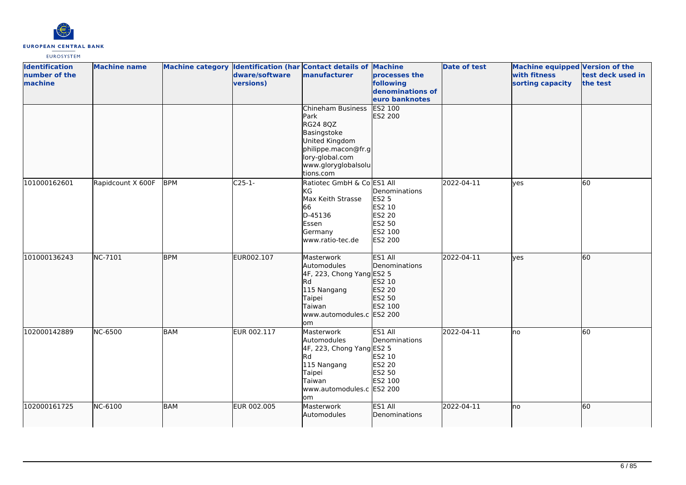

| <b>Identification</b><br>number of the<br>machine | <b>Machine name</b> |            | dware/software<br>versions) | Machine category Identification (har Contact details of Machine<br>manufacturer                                                                      | processes the<br>following<br>denominations of<br>euro banknotes                  | <b>Date of test</b> | Machine equipped Version of the<br>with fitness<br>sorting capacity | test deck used in<br>the test |
|---------------------------------------------------|---------------------|------------|-----------------------------|------------------------------------------------------------------------------------------------------------------------------------------------------|-----------------------------------------------------------------------------------|---------------------|---------------------------------------------------------------------|-------------------------------|
|                                                   |                     |            |                             | Chineham Business<br>Park<br>RG24 8QZ<br>Basingstoke<br>United Kingdom<br>philippe.macon@fr.g<br>lory-global.com<br>www.gloryglobalsolu<br>tions.com | <b>ES2 100</b><br>ES2 200                                                         |                     |                                                                     |                               |
| 101000162601                                      | Rapidcount X 600F   | <b>BPM</b> | $C25-1-$                    | Ratiotec GmbH & Co ES1 All<br>KG<br>Max Keith Strasse<br>66<br>D-45136<br>Essen<br>Germany<br>www.ratio-tec.de                                       | Denominations<br><b>ES2 5</b><br>ES2 10<br>ES2 20<br>ES2 50<br>ES2 100<br>ES2 200 | 2022-04-11          | <b>ves</b>                                                          | 60                            |
| 101000136243                                      | NC-7101             | <b>BPM</b> | EUR002.107                  | Masterwork<br>Automodules<br>4F, 223, Chong Yang ES2 5<br>lRd.<br>115 Nangang<br>Taipei<br>Taiwan<br>www.automodules.c ES2 200<br>lom                | ES1 All<br>Denominations<br>ES2 10<br>ES2 20<br>ES2 50<br>ES2 100                 | 2022-04-11          | lves                                                                | $\overline{60}$               |
| 102000142889                                      | NC-6500             | <b>BAM</b> | EUR 002.117                 | Masterwork<br>Automodules<br>4F, 223, Chong Yang ES2 5<br>Rd<br>115 Nangang<br>Taipei<br>Taiwan<br>www.automodules.c ES2 200<br>lom                  | ES1 All<br>Denominations<br>ES2 10<br>ES2 20<br>ES2 50<br>ES2 100                 | 2022-04-11          | no                                                                  | 60                            |
| 102000161725                                      | NC-6100             | <b>BAM</b> | EUR 002.005                 | Masterwork<br>Automodules                                                                                                                            | ES1 All<br>Denominations                                                          | 2022-04-11          | lno                                                                 | 60                            |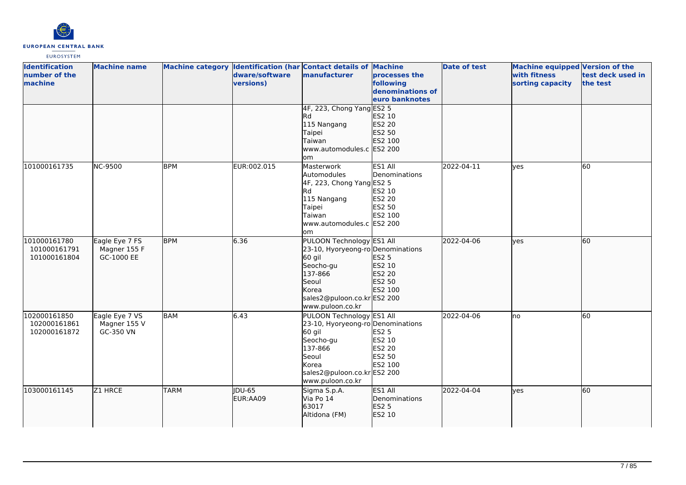

| <b>Identification</b><br>number of the<br>machine | <b>Machine name</b>                          |             | dware/software<br>versions) | Machine category Identification (har Contact details of Machine<br>manufacturer                                                                                       | processes the<br>following<br>denominations of<br>euro banknotes  | <b>Date of test</b> | Machine equipped Version of the<br>with fitness<br>sorting capacity | test deck used in<br>the test |
|---------------------------------------------------|----------------------------------------------|-------------|-----------------------------|-----------------------------------------------------------------------------------------------------------------------------------------------------------------------|-------------------------------------------------------------------|---------------------|---------------------------------------------------------------------|-------------------------------|
|                                                   |                                              |             |                             | 4F, 223, Chong Yang ES2 5<br>lRd.<br>115 Nangang<br>Taipei<br>Taiwan<br>www.automodules.c ES2 200<br>om                                                               | ES2 10<br>ES2 20<br>ES2 50<br>ES2 100                             |                     |                                                                     |                               |
| 101000161735                                      | <b>NC-9500</b>                               | <b>BPM</b>  | EUR:002.015                 | Masterwork<br>Automodules<br>4F, 223, Chong Yang ES2 5<br>Rd<br>115 Nangang<br>Taipei<br>Taiwan<br>www.automodules.c ES2 200<br>lom                                   | ES1 All<br>Denominations<br>ES2 10<br>ES2 20<br>ES2 50<br>ES2 100 | 2022-04-11          | lves                                                                | 60                            |
| 101000161780<br>101000161791<br>101000161804      | Eagle Eye 7 FS<br>Magner 155 F<br>GC-1000 EE | <b>BPM</b>  | 6.36                        | PULOON Technology ES1 All<br>23-10, Hyoryeong-ro Denominations<br>60 gil<br>Seocho-gu<br>137-866<br>Seoul<br>Korea<br>sales2@puloon.co.kr ES2 200<br>www.puloon.co.kr | <b>ES2 5</b><br>ES2 10<br>ES2 20<br>ES2 50<br>ES2 100             | 2022-04-06          | lyes                                                                | 60                            |
| 102000161850<br>102000161861<br>102000161872      | Eagle Eye 7 VS<br>Magner 155 V<br>GC-350 VN  | <b>BAM</b>  | 6.43                        | PULOON Technology ES1 All<br>23-10, Hyoryeong-ro Denominations<br>60 gil<br>Seocho-gu<br>137-866<br>Seoul<br>Korea<br>sales2@puloon.co.krES2 200<br>www.puloon.co.kr  | <b>ES2 5</b><br>ES2 10<br>ES2 20<br>ES2 50<br>ES2 100             | 2022-04-06          | lno                                                                 | 60                            |
| 103000161145                                      | Z1 HRCE                                      | <b>TARM</b> | JDU-65<br>EUR:AA09          | Sigma S.p.A.<br>Via Po 14<br>63017<br>Altidona (FM)                                                                                                                   | ES1 All<br>Denominations<br>ES2 5<br>ES2 10                       | 2022-04-04          | ves                                                                 | 60                            |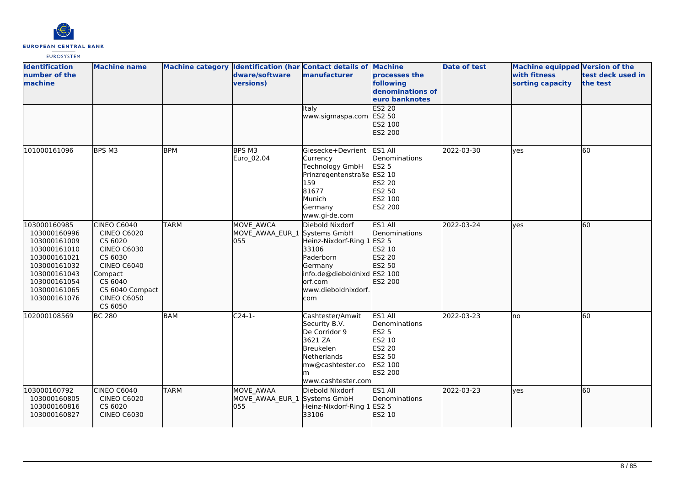

| <b>Identification</b><br>number of the<br>machine                                                                                                            | <b>Machine name</b>                                                                                                                                                           |             | Machine category Identification (har Contact details of Machine<br>dware/software<br>versions) | manufacturer                                                                                                                                           | processes the<br>following<br>denominations of<br>euro banknotes                             | <b>Date of test</b> | <b>Machine equipped Version of the</b><br>with fitness<br>sorting capacity | test deck used in<br>the test |
|--------------------------------------------------------------------------------------------------------------------------------------------------------------|-------------------------------------------------------------------------------------------------------------------------------------------------------------------------------|-------------|------------------------------------------------------------------------------------------------|--------------------------------------------------------------------------------------------------------------------------------------------------------|----------------------------------------------------------------------------------------------|---------------------|----------------------------------------------------------------------------|-------------------------------|
|                                                                                                                                                              |                                                                                                                                                                               |             |                                                                                                | Italy<br>www.sigmaspa.com                                                                                                                              | <b>ES2 20</b><br>ES2 50<br>ES2 100<br>ES2 200                                                |                     |                                                                            |                               |
| 101000161096                                                                                                                                                 | BPS M3                                                                                                                                                                        | <b>BPM</b>  | BPS M3<br>Euro_02.04                                                                           | Giesecke+Devrient<br>Currency<br>Technology GmbH<br>Prinzregentenstraße ES2 10<br>159<br>81677<br>Munich<br>Germany<br>www.gi-de.com                   | ES1 All<br>Denominations<br><b>ES2 5</b><br>ES2 20<br>ES2 50<br>ES2 100<br><b>ES2 200</b>    | 2022-03-30          | ves                                                                        | 60                            |
| 103000160985<br>103000160996<br>103000161009<br>103000161010<br>103000161021<br>103000161032<br>103000161043<br>103000161054<br>103000161065<br>103000161076 | CINEO C6040<br><b>CINEO C6020</b><br>CS 6020<br><b>CINEO C6030</b><br>CS 6030<br><b>CINEO C6040</b><br>Compact<br>CS 6040<br>CS 6040 Compact<br><b>CINEO C6050</b><br>CS 6050 | <b>TARM</b> | MOVE AWCA<br>MOVE_AWAA_EUR_1 Systems GmbH<br>055                                               | Diebold Nixdorf<br>Heinz-Nixdorf-Ring 1 ES2 5<br>33106<br>Paderborn<br>Germany<br>info.de@dieboldnixd ES2 100<br>orf.com<br>www.dieboldnixdorf.<br>com | ES1 All<br>Denominations<br>ES2 10<br>ES2 20<br>ES2 50<br>ES2 200                            | 2022-03-24          | ves                                                                        | 60                            |
| 102000108569                                                                                                                                                 | <b>BC 280</b>                                                                                                                                                                 | <b>BAM</b>  | $C24-1-$                                                                                       | Cashtester/Amwit<br>Security B.V.<br>De Corridor 9<br>3621 ZA<br><b>Breukelen</b><br>Netherlands<br>mw@cashtester.co<br>m<br>www.cashtester.com        | ES1 All<br>Denominations<br><b>ES2 5</b><br>ES2 10<br>ES2 20<br>ES2 50<br>ES2 100<br>ES2 200 | 2022-03-23          | lno                                                                        | 60                            |
| 103000160792<br>103000160805<br>103000160816<br>103000160827                                                                                                 | CINEO C6040<br><b>CINEO C6020</b><br>CS 6020<br><b>CINEO C6030</b>                                                                                                            | <b>TARM</b> | MOVE AWAA<br>MOVE_AWAA_EUR_1 Systems GmbH<br>055                                               | Diebold Nixdorf<br>Heinz-Nixdorf-Ring 1 ES2 5<br>33106                                                                                                 | ES1 All<br>Denominations<br>ES2 10                                                           | 2022-03-23          | yes                                                                        | 60                            |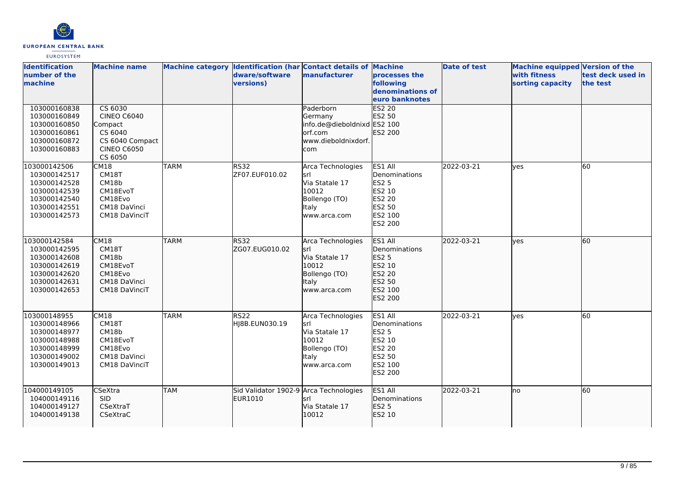

| <b>Identification</b><br>number of the<br>machine                                                            | <b>Machine name</b>                                                                                     |             | dware/software<br>versions)                       | Machine category Identification (har Contact details of Machine<br>manufacturer                       | processes the<br>following<br>denominations of<br>euro banknotes                                           | <b>Date of test</b> | <b>Machine equipped Version of the</b><br>with fitness<br>sorting capacity | test deck used in<br>the test |
|--------------------------------------------------------------------------------------------------------------|---------------------------------------------------------------------------------------------------------|-------------|---------------------------------------------------|-------------------------------------------------------------------------------------------------------|------------------------------------------------------------------------------------------------------------|---------------------|----------------------------------------------------------------------------|-------------------------------|
| 103000160838<br>103000160849<br>103000160850<br>103000160861<br>103000160872<br>103000160883                 | CS 6030<br><b>CINEO C6040</b><br>Compact<br>CS 6040<br>CS 6040 Compact<br><b>CINEO C6050</b><br>CS 6050 |             |                                                   | Paderborn<br>Germany<br>info.de@dieboldnixd ES2 100<br>lorf.com<br>www.dieboldnixdorf.<br>com         | <b>ES2 20</b><br>ES2 50<br>ES2 200                                                                         |                     |                                                                            |                               |
| 103000142506<br>103000142517<br>103000142528<br>103000142539<br>103000142540<br>103000142551<br>103000142573 | <b>CM18</b><br>CM18T<br>CM18b<br>CM18EvoT<br>CM18Evo<br>CM18 DaVinci<br>CM18 DaVinciT                   | <b>TARM</b> | <b>RS32</b><br>ZF07.EUF010.02                     | Arca Technologies<br>lsrl<br>Via Statale 17<br>10012<br>Bollengo (TO)<br><b>Italy</b><br>www.arca.com | ES1 All<br>Denominations<br><b>ES2 5</b><br>ES2 10<br><b>ES2 20</b><br>ES2 50<br>ES2 100<br><b>ES2 200</b> | 2022-03-21          | yes                                                                        | 60                            |
| 103000142584<br>103000142595<br>103000142608<br>103000142619<br>103000142620<br>103000142631<br>103000142653 | <b>CM18</b><br>CM18T<br>CM18b<br>CM18EvoT<br>CM18Evo<br>CM18 DaVinci<br>CM18 DaVinciT                   | <b>TARM</b> | RS32<br>ZG07.EUG010.02                            | Arca Technologies<br>lsrl<br>Via Statale 17<br>10012<br>Bollengo (TO)<br><b>Italy</b><br>www.arca.com | ES1 All<br>Denominations<br><b>ES2 5</b><br>ES2 10<br>ES2 20<br>ES2 50<br>ES2 100<br>ES2 200               | 2022-03-21          | lyes                                                                       | 60                            |
| 103000148955<br>103000148966<br>103000148977<br>103000148988<br>103000148999<br>103000149002<br>103000149013 | CM18<br>CM18T<br>CM18b<br>CM18EvoT<br>CM18Evo<br>CM18 DaVinci<br>CM18 DaVinciT                          | <b>TARM</b> | <b>RS22</b><br>HJ8B.EUN030.19                     | Arca Technologies<br>İsrl<br>Via Statale 17<br>10012<br>Bollengo (TO)<br>ltaly<br>www.arca.com        | ES1 All<br>Denominations<br><b>ES2 5</b><br>ES2 10<br><b>ES2 20</b><br>ES2 50<br>ES2 100<br>ES2 200        | 2022-03-21          | ves                                                                        | 60                            |
| 104000149105<br>104000149116<br>104000149127<br>104000149138                                                 | <b>CSeXtra</b><br><b>SID</b><br>CSeXtraT<br>CSeXtraC                                                    | <b>TAM</b>  | Sid Validator 1902-9 Arca Technologies<br>EUR1010 | lsrl<br>Via Statale 17<br>10012                                                                       | ES1 All<br>Denominations<br><b>ES2 5</b><br>ES2 10                                                         | 2022-03-21          | lno                                                                        | 60                            |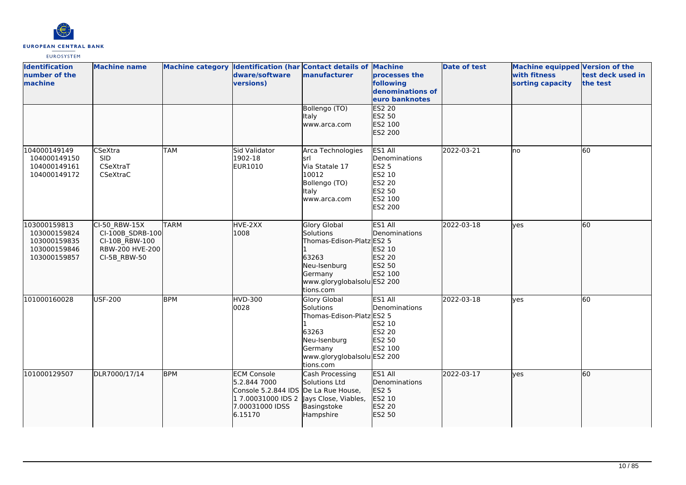

| <b>Identification</b><br>number of the<br>machine                            | <b>Machine name</b>                                                                    |             | dware/software<br>versions)                                                                                   | Machine category Identification (har Contact details of Machine<br>manufacturer                                                               | processes the<br>following<br>denominations of<br>euro banknotes                             | <b>Date of test</b> | Machine equipped Version of the<br>with fitness<br>sorting capacity | test deck used in<br>the test |
|------------------------------------------------------------------------------|----------------------------------------------------------------------------------------|-------------|---------------------------------------------------------------------------------------------------------------|-----------------------------------------------------------------------------------------------------------------------------------------------|----------------------------------------------------------------------------------------------|---------------------|---------------------------------------------------------------------|-------------------------------|
|                                                                              |                                                                                        |             |                                                                                                               | Bollengo (TO)<br><b>Italy</b><br>www.arca.com                                                                                                 | <b>ES2 20</b><br>ES2 50<br>ES2 100<br>ES2 200                                                |                     |                                                                     |                               |
| 104000149149<br>104000149150<br>104000149161<br>104000149172                 | <b>CSeXtra</b><br><b>SID</b><br>CSeXtraT<br>CSeXtraC                                   | <b>TAM</b>  | <b>Sid Validator</b><br>1902-18<br>EUR1010                                                                    | Arca Technologies<br>lsrl<br>Via Statale 17<br>10012<br>Bollengo (TO)<br><b>Italy</b><br>www.arca.com                                         | ES1 All<br>Denominations<br><b>ES2 5</b><br>ES2 10<br>ES2 20<br>ES2 50<br>ES2 100<br>ES2 200 | 2022-03-21          | lno                                                                 | 60                            |
| 103000159813<br>103000159824<br>103000159835<br>103000159846<br>103000159857 | CI-50 RBW-15X<br>CI-100B_SDRB-100<br>CI-10B RBW-100<br>RBW-200 HVE-200<br>CI-5B_RBW-50 | <b>TARM</b> | HVE-2XX<br>1008                                                                                               | Glory Global<br>Solutions<br>Thomas-Edison-Platz ES2 5<br>63263<br>Neu-Isenburg<br>Germany<br>www.gloryglobalsolu ES2 200<br>tions.com        | ES1 All<br>Denominations<br>ES2 10<br>ES2 20<br>ES2 50<br>ES2 100                            | 2022-03-18          | lves                                                                | 60                            |
| 101000160028                                                                 | <b>USF-200</b>                                                                         | <b>BPM</b>  | <b>HVD-300</b><br>0028                                                                                        | <b>Glory Global</b><br>Solutions<br>Thomas-Edison-Platz ES2 5<br>63263<br>Neu-Isenburg<br>Germany<br>www.gloryglobalsolu ES2 200<br>tions.com | ES1 All<br>Denominations<br>ES2 10<br><b>ES2 20</b><br>ES2 50<br>ES2 100                     | 2022-03-18          | lyes                                                                | 60                            |
| 101000129507                                                                 | DLR7000/17/14                                                                          | <b>BPM</b>  | <b>ECM Console</b><br>5.2.844 7000<br>Console 5.2.844 IDS<br>1 7.00031000 IDS 2<br>7.00031000 IDSS<br>6.15170 | Cash Processing<br>Solutions Ltd<br>De La Rue House,<br>Jays Close, Viables,<br>Basingstoke<br>Hampshire                                      | ES1 All<br>Denominations<br>ES2 5<br>ES2 10<br>ES2 20<br>ES2 50                              | 2022-03-17          | ves                                                                 | 60                            |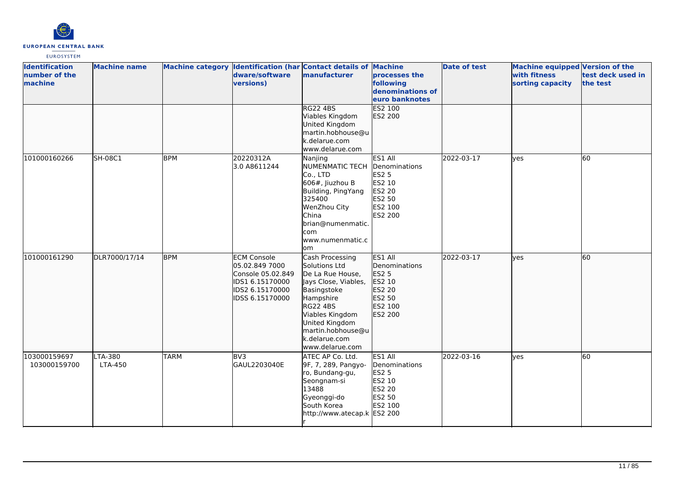

| <b>Identification</b><br>number of the<br>machine | <b>Machine name</b> |             | dware/software<br>versions)                                                                                        | Machine category Identification (har Contact details of Machine<br>manufacturer                                                                                                                                    | processes the<br>following<br>denominations of<br>euro banknotes                             | <b>Date of test</b> | <b>Machine equipped Version of the</b><br>with fitness<br>sorting capacity | test deck used in<br>the test |
|---------------------------------------------------|---------------------|-------------|--------------------------------------------------------------------------------------------------------------------|--------------------------------------------------------------------------------------------------------------------------------------------------------------------------------------------------------------------|----------------------------------------------------------------------------------------------|---------------------|----------------------------------------------------------------------------|-------------------------------|
|                                                   |                     |             |                                                                                                                    | <b>RG22 4BS</b><br>Viables Kingdom<br>United Kingdom<br>martin.hobhouse@u<br>k.delarue.com<br>www.delarue.com                                                                                                      | <b>ES2 100</b><br>ES2 200                                                                    |                     |                                                                            |                               |
| 101000160266                                      | <b>SH-08C1</b>      | <b>BPM</b>  | 20220312A<br>3.0 A8611244                                                                                          | Nanjing<br><b>NUMENMATIC TECH</b><br>Co., LTD<br>$606$ #, Jiuzhou B<br>Building, PingYang<br>325400<br>WenZhou City<br><b>China</b><br>brian@numenmatic.<br>com<br>www.numenmatic.c<br>lom                         | ES1 All<br>Denominations<br><b>ES2 5</b><br>ES2 10<br>ES2 20<br>ES2 50<br>ES2 100<br>ES2 200 | 2022-03-17          | yes                                                                        | 60                            |
| 101000161290                                      | DLR7000/17/14       | <b>BPM</b>  | <b>ECM Console</b><br>05.02.849 7000<br>Console 05.02.849<br>IDS1 6.15170000<br>IDS2 6.15170000<br>IDSS 6.15170000 | Cash Processing<br>Solutions Ltd<br>De La Rue House,<br>Jays Close, Viables,<br>Basingstoke<br>Hampshire<br>RG22 4BS<br>Viables Kingdom<br>United Kingdom<br>martin.hobhouse@u<br>k.delarue.com<br>www.delarue.com | ES1 All<br>Denominations<br><b>ES2 5</b><br>ES2 10<br>ES2 20<br>ES2 50<br>ES2 100<br>ES2 200 | 2022-03-17          | lyes                                                                       | 60                            |
| 103000159697<br>103000159700                      | LTA-380<br>LTA-450  | <b>TARM</b> | BV <sub>3</sub><br>GAUL2203040E                                                                                    | ATEC AP Co. Ltd.<br>9F, 7, 289, Pangyo-<br>ro, Bundang-gu,<br>Seongnam-si<br>13488<br>Gyeonggi-do<br>South Korea<br>http://www.atecap.k ES2 200                                                                    | ES1 All<br>Denominations<br><b>ES2 5</b><br>ES2 10<br>ES2 20<br>ES2 50<br>ES2 100            | 2022-03-16          | yes                                                                        | 60                            |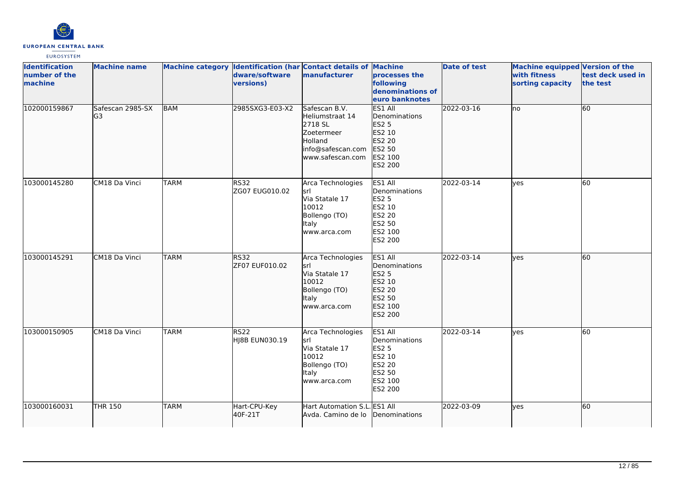

| <b>Identification</b><br>number of the<br>machine | <b>Machine name</b>     |             | dware/software<br>versions)        | Machine category Identification (har Contact details of Machine<br>manufacturer                               | processes the<br>following<br>denominations of<br>euro banknotes                             | <b>Date of test</b> | Machine equipped Version of the<br>with fitness<br>sorting capacity | test deck used in<br>the test |
|---------------------------------------------------|-------------------------|-------------|------------------------------------|---------------------------------------------------------------------------------------------------------------|----------------------------------------------------------------------------------------------|---------------------|---------------------------------------------------------------------|-------------------------------|
| 102000159867                                      | Safescan 2985-SX<br>lG3 | <b>BAM</b>  | 2985SXG3-E03-X2                    | Safescan B.V.<br>Heliumstraat 14<br>2718 SL<br>Zoetermeer<br>Holland<br>info@safescan.com<br>www.safescan.com | ES1 All<br>Denominations<br><b>ES2 5</b><br>ES2 10<br>ES2 20<br>ES2 50<br>ES2 100<br>ES2 200 | 2022-03-16          | Ino                                                                 | 60                            |
| 103000145280                                      | CM18 Da Vinci           | <b>TARM</b> | <b>RS32</b><br>ZG07 EUG010.02      | Arca Technologies<br>lsrl<br>Via Statale 17<br>10012<br>Bollengo (TO)<br>Italy<br>www.arca.com                | ES1 All<br>Denominations<br><b>ES2 5</b><br>ES2 10<br>ES2 20<br>ES2 50<br>ES2 100<br>ES2 200 | 2022-03-14          | <b>l</b> ves                                                        | 60                            |
| 103000145291                                      | CM18 Da Vinci           | <b>TARM</b> | <b>RS32</b><br>ZF07 EUF010.02      | Arca Technologies<br>lsrl<br>Via Statale 17<br>10012<br>Bollengo (TO)<br><b>Italy</b><br>www.arca.com         | ES1 All<br>Denominations<br>ES2 5<br>ES2 10<br>ES2 20<br>ES2 50<br>ES2 100<br>ES2 200        | 2022-03-14          | lves                                                                | 60                            |
| 103000150905                                      | CM18 Da Vinci           | <b>TARM</b> | RS <sub>22</sub><br>HJ8B EUN030.19 | Arca Technologies<br>lsrl<br>Via Statale 17<br>10012<br>Bollengo (TO)<br>Italy<br>www.arca.com                | ES1 All<br>Denominations<br><b>ES2 5</b><br>ES2 10<br>ES2 20<br>ES2 50<br>ES2 100<br>ES2 200 | 2022-03-14          | ves                                                                 | 60                            |
| 103000160031                                      | <b>THR 150</b>          | <b>TARM</b> | Hart-CPU-Key<br>40F-21T            | Hart Automation S.L. ES1 All<br>Avda. Camino de lo                                                            | Denominations                                                                                | 2022-03-09          | lyes                                                                | 60                            |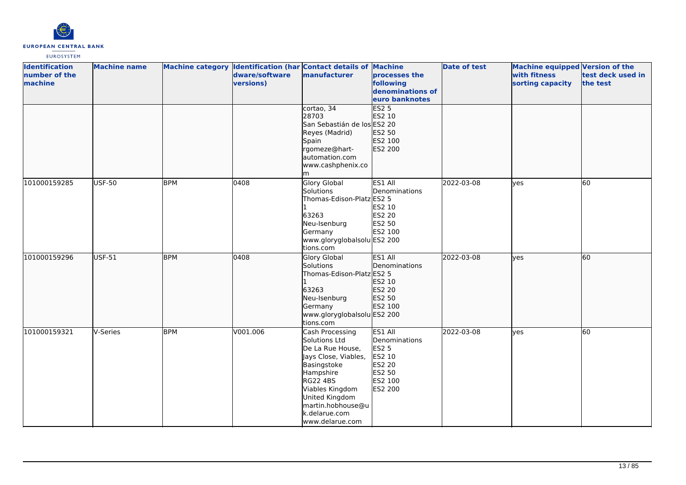

| <b>Identification</b><br>number of the<br>machine | <b>Machine name</b> |            | dware/software<br>versions) | Machine category Identification (har Contact details of Machine<br>manufacturer                                                                                                                                           | processes the<br>following<br>denominations of<br>euro banknotes                             | <b>Date of test</b> | <b>Machine equipped Version of the</b><br>with fitness<br>sorting capacity | test deck used in<br>the test |
|---------------------------------------------------|---------------------|------------|-----------------------------|---------------------------------------------------------------------------------------------------------------------------------------------------------------------------------------------------------------------------|----------------------------------------------------------------------------------------------|---------------------|----------------------------------------------------------------------------|-------------------------------|
|                                                   |                     |            |                             | cortao, 34<br>28703<br>San Sebastián de los ES2 20<br>Reyes (Madrid)<br>Spain<br>rgomeze@hart-<br>automation.com<br>www.cashphenix.co<br>m                                                                                | ES25<br>ES2 10<br>ES2 50<br>ES2 100<br>ES2 200                                               |                     |                                                                            |                               |
| 101000159285                                      | <b>USF-50</b>       | <b>BPM</b> | 0408                        | Glory Global<br>Solutions<br>Thomas-Edison-Platz ES2 5<br>63263<br>Neu-Isenburg<br>Germany<br>www.gloryglobalsolu ES2 200<br>tions.com                                                                                    | ES1 All<br>Denominations<br>ES2 10<br>ES2 20<br>ES2 50<br>ES2 100                            | 2022-03-08          | <b>ves</b>                                                                 | 60                            |
| 101000159296                                      | <b>USF-51</b>       | <b>BPM</b> | 0408                        | Glory Global<br>Solutions<br>Thomas-Edison-Platz ES2 5<br>63263<br>Neu-Isenburg<br>Germany<br>www.gloryglobalsolu ES2 200<br>tions.com                                                                                    | ES1 All<br>Denominations<br>ES2 10<br>ES2 20<br>ES2 50<br>ES2 100                            | 2022-03-08          | ves                                                                        | 60                            |
| 101000159321                                      | V-Series            | <b>BPM</b> | V001.006                    | Cash Processing<br>Solutions Ltd<br>De La Rue House,<br>Jays Close, Viables,<br>Basingstoke<br>Hampshire<br><b>RG22 4BS</b><br>Viables Kingdom<br>United Kingdom<br>martin.hobhouse@u<br>k.delarue.com<br>www.delarue.com | ES1 All<br>Denominations<br>ES2 5<br>ES2 10<br><b>ES2 20</b><br>ES2 50<br>ES2 100<br>ES2 200 | 2022-03-08          | yes                                                                        | 60                            |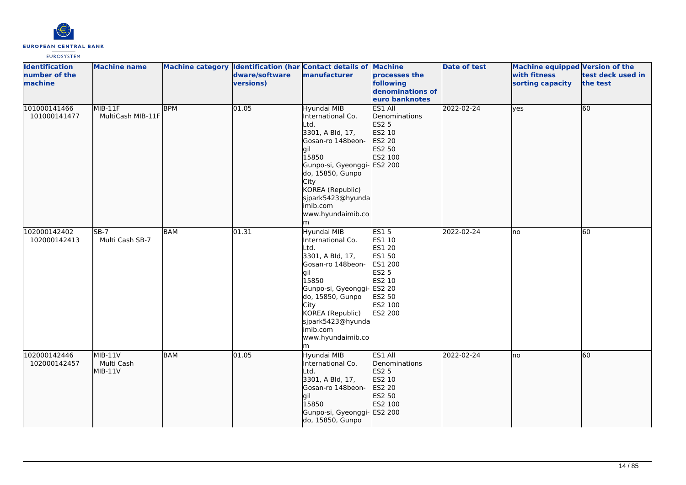

| <b>Identification</b><br>number of the<br>machine | <b>Machine name</b>                |            | dware/software<br>versions) | Machine category Identification (har Contact details of Machine<br>manufacturer                                                                                                                                                       | processes the<br>following<br>denominations of<br>euro banknotes                                                                       | <b>Date of test</b> | Machine equipped Version of the<br>with fitness<br>sorting capacity | test deck used in<br>the test |
|---------------------------------------------------|------------------------------------|------------|-----------------------------|---------------------------------------------------------------------------------------------------------------------------------------------------------------------------------------------------------------------------------------|----------------------------------------------------------------------------------------------------------------------------------------|---------------------|---------------------------------------------------------------------|-------------------------------|
| 101000141466<br>101000141477                      | MIB-11F<br>MultiCash MIB-11F       | <b>BPM</b> | 01.05                       | Hyundai MIB<br>International Co.<br>Ltd.<br>3301, A Bld, 17,<br>Gosan-ro 148beon-<br><b>gil</b><br>15850<br>Gunpo-si, Gyeonggi-<br>do, 15850, Gunpo<br>City<br>KOREA (Republic)<br>sjpark5423@hyunda<br>imib.com<br>www.hyundaimib.co | ES1 All<br>Denominations<br>ES2 5<br>ES2 10<br>ES2 20<br>ES2 50<br>ES2 100<br>ES2 200                                                  | 2022-02-24          | lves                                                                | 60                            |
| 102000142402<br>102000142413                      | $SB-7$<br>Multi Cash SB-7          | BAM        | 01.31                       | Hyundai MIB<br>International Co.<br>Ltd.<br>3301, A Bld, 17,<br>Gosan-ro 148beon-<br>lgil<br>15850<br>Gunpo-si, Gyeonggi-<br>do, 15850, Gunpo<br>City<br>KOREA (Republic)<br>sjpark5423@hyunda<br>imib.com<br>www.hyundaimib.co<br>m  | <b>ES15</b><br>ES1 10<br>ES1 20<br>ES1 50<br>ES1 200<br><b>ES2 5</b><br>ES2 10<br><b>ES2 20</b><br>ES2 50<br>ES2 100<br><b>ES2 200</b> | 2022-02-24          | lno                                                                 | 60                            |
| 102000142446<br>102000142457                      | $MIB-11V$<br>Multi Cash<br>MIB-11V | <b>BAM</b> | 01.05                       | Hyundai MIB<br>International Co.<br>Ltd.<br>3301, A Bld, 17,<br>Gosan-ro 148beon-<br>lgil<br>15850<br>Gunpo-si, Gyeonggi-<br>do, 15850, Gunpo                                                                                         | ES1 All<br>Denominations<br>ES2 5<br>ES2 10<br>ES2 20<br>ES2 50<br>ES2 100<br>ES2 200                                                  | 2022-02-24          | lno                                                                 | 60                            |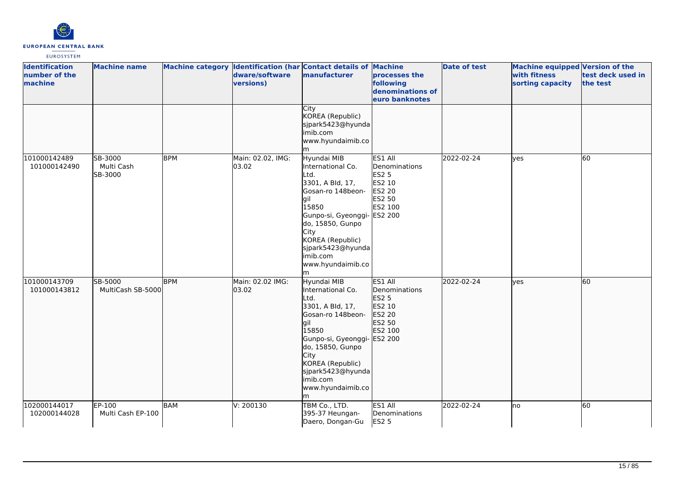

| <b>Identification</b><br>number of the<br>machine | <b>Machine name</b>              |            | dware/software<br>versions) | Machine category Identification (har Contact details of Machine<br>manufacturer                                                                                                                                                               | processes the<br>following<br>denominations of<br>euro banknotes                  | Date of test | <b>Machine equipped Version of the</b><br>with fitness<br>sorting capacity | test deck used in<br>the test |
|---------------------------------------------------|----------------------------------|------------|-----------------------------|-----------------------------------------------------------------------------------------------------------------------------------------------------------------------------------------------------------------------------------------------|-----------------------------------------------------------------------------------|--------------|----------------------------------------------------------------------------|-------------------------------|
|                                                   |                                  |            |                             | City<br>KOREA (Republic)<br>sjpark5423@hyunda<br>imib.com<br>www.hyundaimib.co<br>m                                                                                                                                                           |                                                                                   |              |                                                                            |                               |
| 101000142489<br>101000142490                      | SB-3000<br>Multi Cash<br>SB-3000 | <b>BPM</b> | Main: 02.02, IMG:<br>03.02  | Hyundai MIB<br>International Co.<br>Ltd.<br>3301, A Bld, 17,<br>Gosan-ro 148beon-<br>lgil<br>15850<br>Gunpo-si, Gyeonggi- ES2 200<br>do, 15850, Gunpo<br>City<br>KOREA (Republic)<br>sjpark5423@hyunda<br>imib.com<br>www.hyundaimib.co<br>lm | ES1 All<br>Denominations<br><b>ES2 5</b><br>ES2 10<br>ES2 20<br>ES2 50<br>ES2 100 | 2022-02-24   | lves                                                                       | $\overline{60}$               |
| 101000143709<br>101000143812                      | SB-5000<br>MultiCash SB-5000     | <b>BPM</b> | Main: 02.02 IMG:<br>03.02   | Hyundai MIB<br>International Co.<br>Ltd.<br>3301, A Bld, 17,<br>Gosan-ro 148beon-<br>gil<br>15850<br>Gunpo-si, Gyeonggi- ES2 200<br>do, 15850, Gunpo<br>City<br>KOREA (Republic)<br>sjpark5423@hyunda<br>imib.com<br>www.hyundaimib.co<br>m   | ES1 All<br>Denominations<br>ES2 5<br>ES2 10<br>ES2 20<br>ES2 50<br>ES2 100        | 2022-02-24   | lves                                                                       | 60                            |
| 102000144017<br>102000144028                      | EP-100<br>Multi Cash EP-100      | <b>BAM</b> | V: 200130                   | TBM Co., LTD.<br>395-37 Heungan-<br>Daero, Dongan-Gu                                                                                                                                                                                          | ES1 All<br>Denominations<br>ES2 5                                                 | 2022-02-24   | lno                                                                        | 60                            |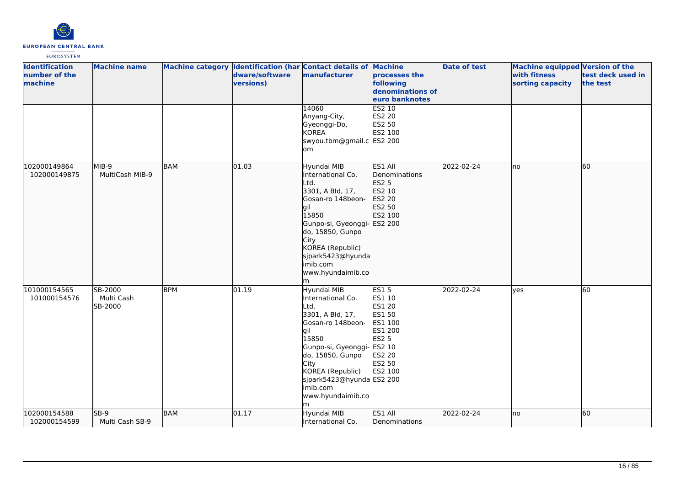

| <b>Identification</b><br>number of the<br>machine | <b>Machine name</b>              |            | Machine category Identification (har Contact details of Machine<br>dware/software<br>versions) | manufacturer                                                                                                                                                                                                                                  | processes the<br>following<br>denominations of<br>euro banknotes                                                                    | <b>Date of test</b> | Machine equipped Version of the<br>with fitness<br>sorting capacity | test deck used in<br>the test |
|---------------------------------------------------|----------------------------------|------------|------------------------------------------------------------------------------------------------|-----------------------------------------------------------------------------------------------------------------------------------------------------------------------------------------------------------------------------------------------|-------------------------------------------------------------------------------------------------------------------------------------|---------------------|---------------------------------------------------------------------|-------------------------------|
|                                                   |                                  |            |                                                                                                | 14060<br>Anyang-City,<br>Gyeonggi-Do,<br>KOREA<br>swyou.tbm@gmail.c ES2 200<br>lom                                                                                                                                                            | ES2 10<br><b>ES2 20</b><br>ES2 50<br>ES2 100                                                                                        |                     |                                                                     |                               |
| 102000149864<br>102000149875                      | MIB-9<br>MultiCash MIB-9         | <b>BAM</b> | 01.03                                                                                          | Hyundai MIB<br>International Co.<br>Ltd.<br>3301, A Bld, 17,<br>Gosan-ro 148beon-<br>gil<br>15850<br>Gunpo-si, Gyeonggi-<br>do, 15850, Gunpo<br><b>City</b><br>KOREA (Republic)<br>sjpark5423@hyunda<br>imib.com<br>www.hyundaimib.co<br>lm.  | ES1 All<br>Denominations<br><b>ES2 5</b><br>ES2 10<br>ES2 20<br>ES2 50<br>ES2 100<br>ES2 200                                        | 2022-02-24          | <b>I</b> no                                                         | 60                            |
| 101000154565<br>101000154576                      | SB-2000<br>Multi Cash<br>SB-2000 | <b>BPM</b> | 01.19                                                                                          | Hyundai MIB<br>International Co.<br>Ltd.<br>3301, A Bld, 17,<br>Gosan-ro 148beon-<br>lgil<br>15850<br>Gunpo-si, Gyeonggi-<br>do, 15850, Gunpo<br>City<br>KOREA (Republic)<br>sjpark5423@hyunda ES2 200<br>imib.com<br>www.hyundaimib.co<br>lm | <b>ES15</b><br>ES1 10<br>ES1 20<br>ES1 50<br>ES1 100<br>ES1 200<br>ES2 <sub>5</sub><br>ES2 10<br><b>ES2 20</b><br>ES2 50<br>ES2 100 | 2022-02-24          | <b>ves</b>                                                          | 60                            |
| 102000154588<br>102000154599                      | $SB-9$<br>Multi Cash SB-9        | <b>BAM</b> | 01.17                                                                                          | Hyundai MIB<br>International Co.                                                                                                                                                                                                              | ES1 All<br>Denominations                                                                                                            | 2022-02-24          | lno                                                                 | 60                            |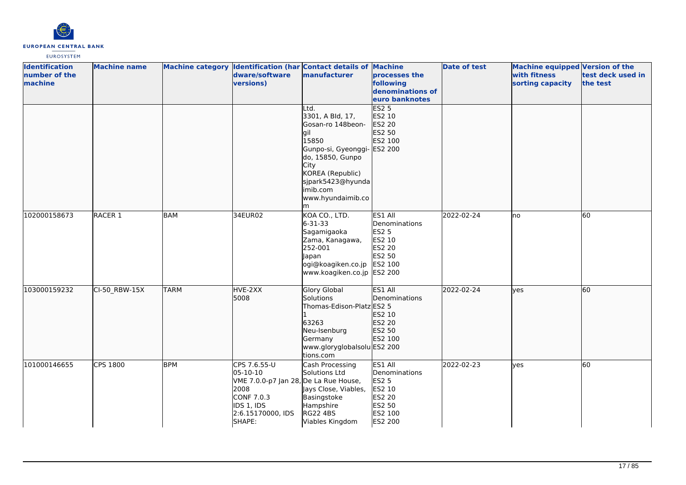

| <b>Identification</b><br>number of the<br>machine | <b>Machine name</b> |             | dware/software<br>versions)                                                                                                          | Machine category Identification (har Contact details of Machine<br>manufacturer                                                                                                                 | processes the<br>following<br>denominations of<br>euro banknotes                      | <b>Date of test</b> | <b>Machine equipped Version of the</b><br>with fitness<br>sorting capacity | test deck used in<br>the test |
|---------------------------------------------------|---------------------|-------------|--------------------------------------------------------------------------------------------------------------------------------------|-------------------------------------------------------------------------------------------------------------------------------------------------------------------------------------------------|---------------------------------------------------------------------------------------|---------------------|----------------------------------------------------------------------------|-------------------------------|
|                                                   |                     |             |                                                                                                                                      | Ltd.<br>3301, A Bld, 17,<br>Gosan-ro 148beon-<br>gil<br>15850<br>Gunpo-si, Gyeonggi-<br>do, 15850, Gunpo<br>City<br>KOREA (Republic)<br>sjpark5423@hyunda<br>imib.com<br>www.hyundaimib.co<br>m | ES25<br>ES2 10<br>ES2 20<br>ES2 50<br>ES2 100<br><b>ES2 200</b>                       |                     |                                                                            |                               |
| 102000158673                                      | RACER 1             | <b>BAM</b>  | 34EUR02                                                                                                                              | KOA CO., LTD.<br>$6 - 31 - 33$<br>Sagamigaoka<br>Zama, Kanagawa,<br>252-001<br>Japan<br>ogi@koagiken.co.jp ES2 100<br>www.koagiken.co.jp ES2 200                                                | ES1 All<br>Denominations<br>ES2 5<br>ES2 10<br><b>ES2 20</b><br>ES2 50                | 2022-02-24          | lno                                                                        | 60                            |
| 103000159232                                      | CI-50 RBW-15X       | <b>TARM</b> | HVE-2XX<br>5008                                                                                                                      | <b>Glory Global</b><br>Solutions<br>Thomas-Edison-Platz ES2 5<br>63263<br>Neu-Isenburg<br>Germany<br>www.gloryglobalsolu ES2 200<br>tions.com                                                   | <b>ES1 All</b><br>Denominations<br>ES2 10<br><b>ES2 20</b><br>ES2 50<br>ES2 100       | 2022-02-24          | lyes                                                                       | 60                            |
| 101000146655                                      | <b>CPS 1800</b>     | <b>BPM</b>  | CPS 7.6.55-U<br>05-10-10<br>VME 7.0.0-p7 Jan 28, De La Rue House,<br>2008<br>CONF 7.0.3<br>IDS 1, IDS<br>2:6.15170000, IDS<br>SHAPE: | Cash Processing<br>Solutions Ltd<br>Jays Close, Viables,<br>Basingstoke<br>Hampshire<br><b>RG22 4BS</b><br>Viables Kingdom                                                                      | ES1 All<br>Denominations<br>ES2 5<br>ES2 10<br>ES2 20<br>ES2 50<br>ES2 100<br>ES2 200 | 2022-02-23          | lves                                                                       | 60                            |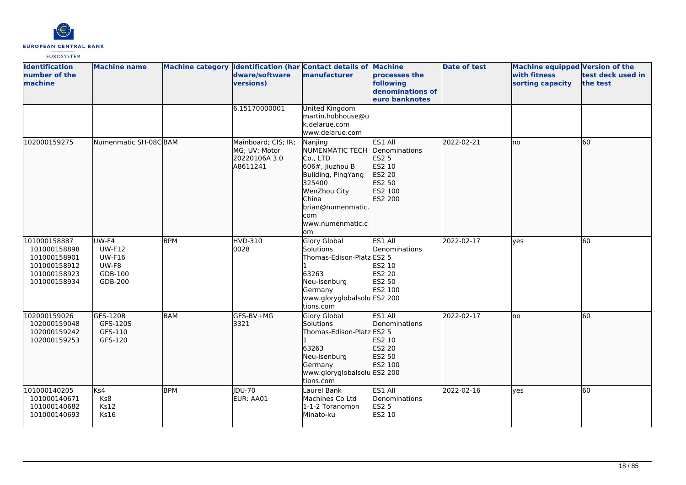

| <b>Identification</b><br>number of the<br>machine                                            | <b>Machine name</b>                                             |            | dware/software<br>versions)                                       | Machine category Identification (har Contact details of Machine<br>manufacturer                                                                                          | processes the<br>following<br>denominations of<br>euro banknotes                             | <b>Date of test</b> | <b>Machine equipped Version of the</b><br>with fitness<br>sorting capacity | test deck used in<br>the test |
|----------------------------------------------------------------------------------------------|-----------------------------------------------------------------|------------|-------------------------------------------------------------------|--------------------------------------------------------------------------------------------------------------------------------------------------------------------------|----------------------------------------------------------------------------------------------|---------------------|----------------------------------------------------------------------------|-------------------------------|
|                                                                                              |                                                                 |            | 6.15170000001                                                     | United Kingdom<br>martin.hobhouse@u<br>k.delarue.com<br>www.delarue.com                                                                                                  |                                                                                              |                     |                                                                            |                               |
| 102000159275                                                                                 | Numenmatic SH-08CBAM                                            |            | Mainboard; CIS; IR;<br>MG; UV; Motor<br>20220106A 3.0<br>A8611241 | Nanjing<br>NUMENMATIC TECH<br>Co., LTD<br>606#, Jiuzhou B<br>Building, PingYang<br>325400<br>WenZhou City<br>China<br>brian@numenmatic.<br>com<br>www.numenmatic.c<br>om | ES1 All<br>Denominations<br><b>ES2 5</b><br>ES2 10<br>ES2 20<br>ES2 50<br>ES2 100<br>ES2 200 | 2022-02-21          | lno                                                                        | 60                            |
| 101000158887<br>101000158898<br>101000158901<br>101000158912<br>101000158923<br>101000158934 | UW-F4<br><b>UW-F12</b><br>UW-F16<br>UW-F8<br>GDB-100<br>GDB-200 | <b>BPM</b> | <b>HVD-310</b><br>0028                                            | Glory Global<br>Solutions<br>Thomas-Edison-Platz ES2 5<br>63263<br>Neu-Isenburg<br>Germany<br>www.gloryglobalsolu ES2 200<br>tions.com                                   | ES1 All<br>Denominations<br>ES2 10<br>ES2 20<br>ES2 50<br>ES2 100                            | 2022-02-17          | yes                                                                        | 60                            |
| 102000159026<br>102000159048<br>102000159242<br>102000159253                                 | GFS-120B<br>GFS-120S<br>GFS-110<br>GFS-120                      | <b>BAM</b> | GFS-BV+MG<br>3321                                                 | Glory Global<br>Solutions<br>Thomas-Edison-Platz ES2 5<br>63263<br>Neu-Isenburg<br>Germany<br>www.gloryglobalsolu ES2 200<br>tions.com                                   | ES1 All<br>Denominations<br>ES2 10<br>ES2 20<br>ES2 50<br>ES2 100                            | 2022-02-17          | lno                                                                        | 60                            |
| 101000140205<br>101000140671<br>101000140682<br>101000140693                                 | Ks4<br>Ks8<br><b>Ks12</b><br>Ks16                               | <b>BPM</b> | JDU-70<br>EUR: AA01                                               | Laurel Bank<br>Machines Co Ltd<br>1-1-2 Toranomon<br>Minato-ku                                                                                                           | ES1 All<br>Denominations<br><b>ES2 5</b><br>ES2 10                                           | 2022-02-16          | yes                                                                        | 60                            |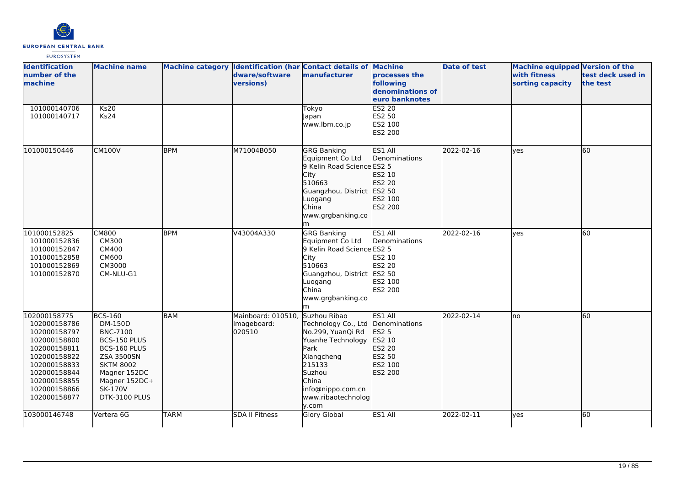

| <b>Identification</b><br>number of the<br>machine                                                                                                                            | <b>Machine name</b>                                                                                                                                                                       |             | dware/software<br>versions)                 | Machine category  Identification (har Contact details of Machine<br>manufacturer                                                                                                            | processes the<br>following<br>denominations of<br>euro banknotes                             | <b>Date of test</b> | <b>Machine equipped Version of the</b><br><b>with fitness</b><br>sorting capacity | test deck used in<br>the test |
|------------------------------------------------------------------------------------------------------------------------------------------------------------------------------|-------------------------------------------------------------------------------------------------------------------------------------------------------------------------------------------|-------------|---------------------------------------------|---------------------------------------------------------------------------------------------------------------------------------------------------------------------------------------------|----------------------------------------------------------------------------------------------|---------------------|-----------------------------------------------------------------------------------|-------------------------------|
| 101000140706<br>101000140717                                                                                                                                                 | <b>Ks20</b><br>Ks24                                                                                                                                                                       |             |                                             | Tokyo<br>Japan<br>www.lbm.co.jp                                                                                                                                                             | <b>ES2 20</b><br>ES2 50<br>ES2 100<br>ES2 200                                                |                     |                                                                                   |                               |
| 101000150446                                                                                                                                                                 | <b>CM100V</b>                                                                                                                                                                             | <b>BPM</b>  | M71004B050                                  | <b>GRG Banking</b><br>Equipment Co Ltd<br>9 Kelin Road Science ES2 5<br>City<br>510663<br>Guangzhou, District ES2 50<br>Luogang<br>China<br>www.grgbanking.co                               | ES1 All<br>Denominations<br>ES2 10<br>ES2 20<br>ES2 100<br>ES2 200                           | 2022-02-16          | ves                                                                               | 60                            |
| 101000152825<br>101000152836<br>101000152847<br>101000152858<br>101000152869<br>101000152870                                                                                 | <b>CM800</b><br><b>CM300</b><br><b>CM400</b><br>CM600<br>CM3000<br>CM-NLU-G1                                                                                                              | <b>BPM</b>  | V43004A330                                  | <b>GRG Banking</b><br>Equipment Co Ltd<br>9 Kelin Road Science ES2 5<br>City<br>510663<br>Guangzhou, District ES2 50<br>Luogang<br>China<br>www.grgbanking.co<br>m                          | ES1 All<br>Denominations<br>ES2 10<br>ES2 20<br>ES2 100<br>ES2 200                           | 2022-02-16          | lves                                                                              | $\overline{60}$               |
| 102000158775<br>102000158786<br>102000158797<br>102000158800<br>102000158811<br>102000158822<br>102000158833<br>102000158844<br>102000158855<br>102000158866<br>102000158877 | <b>BCS-160</b><br>DM-150D<br><b>BNC-7100</b><br>BCS-150 PLUS<br>BCS-160 PLUS<br><b>ZSA 3500SN</b><br><b>SKTM 8002</b><br>Magner 152DC<br>Magner 152DC+<br><b>SK-170V</b><br>DTK-3100 PLUS | <b>BAM</b>  | Mainboard: 010510,<br>Imageboard:<br>020510 | Suzhou Ribao<br>Technology Co., Ltd<br>No.299, YuanQi Rd<br>Yuanhe Technology<br><b>Park</b><br>Xiangcheng<br>215133<br>Suzhou<br>China<br>info@nippo.com.cn<br>www.ribaotechnolog<br>y.com | <b>ES1 AII</b><br>Denominations<br>ES2 5<br>ES2 10<br>ES2 20<br>ES2 50<br>ES2 100<br>ES2 200 | 2022-02-14          | Ino                                                                               | 60                            |
| 103000146748                                                                                                                                                                 | Vertera 6G                                                                                                                                                                                | <b>TARM</b> | <b>SDA II Fitness</b>                       | Glory Global                                                                                                                                                                                | ES1 All                                                                                      | 2022-02-11          | lves                                                                              | 60                            |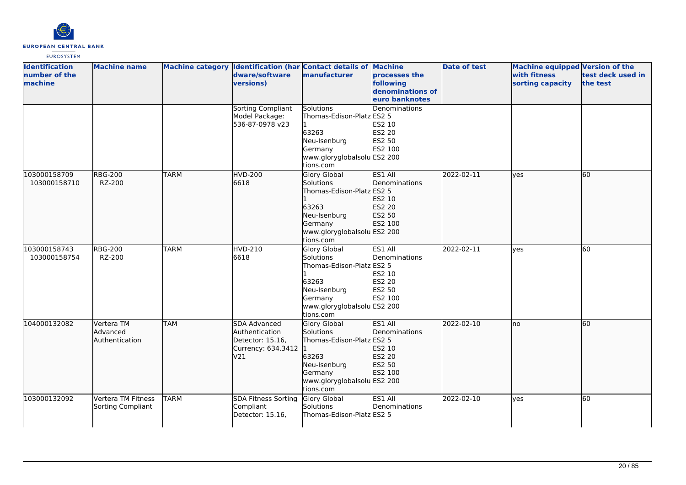

| <b>Identification</b><br>number of the<br>machine | <b>Machine name</b>                      |             | dware/software<br><b>versions</b> )                                             | Machine category Identification (har Contact details of<br><b>manufacturer</b>                                                                | <b>Machine</b><br>processes the<br>following<br>denominations of<br>euro banknotes | <b>Date of test</b> | <b>Machine equipped Version of the</b><br>with fitness<br>sorting capacity | test deck used in<br>the test |
|---------------------------------------------------|------------------------------------------|-------------|---------------------------------------------------------------------------------|-----------------------------------------------------------------------------------------------------------------------------------------------|------------------------------------------------------------------------------------|---------------------|----------------------------------------------------------------------------|-------------------------------|
|                                                   |                                          |             | Sorting Compliant<br>Model Package:<br>536-87-0978 v23                          | Solutions<br>Thomas-Edison-Platz ES2 5<br>63263<br>Neu-Isenburg<br>Germany<br>www.gloryglobalsolu ES2 200<br>tions.com                        | Denominations<br>ES2 10<br><b>ES2 20</b><br>ES2 50<br>ES2 100                      |                     |                                                                            |                               |
| 103000158709<br>103000158710                      | <b>RBG-200</b><br>RZ-200                 | <b>TARM</b> | <b>HVD-200</b><br>6618                                                          | Glory Global<br>Solutions<br>Thomas-Edison-Platz ES2 5<br>63263<br>Neu-Isenburg<br>Germany<br>www.gloryglobalsolu ES2 200<br>tions.com        | ES1 All<br>Denominations<br>ES2 10<br>ES2 20<br>ES2 50<br>ES2 100                  | 2022-02-11          | lyes                                                                       | 60                            |
| 103000158743<br>103000158754                      | <b>RBG-200</b><br>RZ-200                 | <b>TARM</b> | HVD-210<br>6618                                                                 | Glory Global<br>Solutions<br>Thomas-Edison-Platz ES2 5<br>63263<br>Neu-Isenburg<br>Germany<br>www.gloryglobalsolu ES2 200<br>tions.com        | ES1 All<br>Denominations<br>ES2 10<br>ES2 20<br>ES2 50<br>ES2 100                  | 2022-02-11          | yes                                                                        | 60                            |
| 104000132082                                      | Vertera TM<br>Advanced<br>Authentication | TAM         | SDA Advanced<br>Authentication<br>Detector: 15.16,<br>Currency: 634.3412<br>V21 | <b>Glory Global</b><br>Solutions<br>Thomas-Edison-Platz ES2 5<br>63263<br>Neu-Isenburg<br>Germany<br>www.gloryglobalsolu ES2 200<br>tions.com | <b>ES1 AII</b><br>Denominations<br>ES2 10<br>ES2 20<br>ES2 50<br>ES2 100           | 2022-02-10          | lno                                                                        | 60                            |
| 103000132092                                      | Vertera TM Fitness<br>Sorting Compliant  | <b>TARM</b> | <b>SDA Fitness Sorting</b><br>Compliant<br>Detector: 15.16,                     | Glory Global<br>Solutions<br>Thomas-Edison-Platz ES2 5                                                                                        | ES1 All<br>Denominations                                                           | 2022-02-10          | lves                                                                       | 60                            |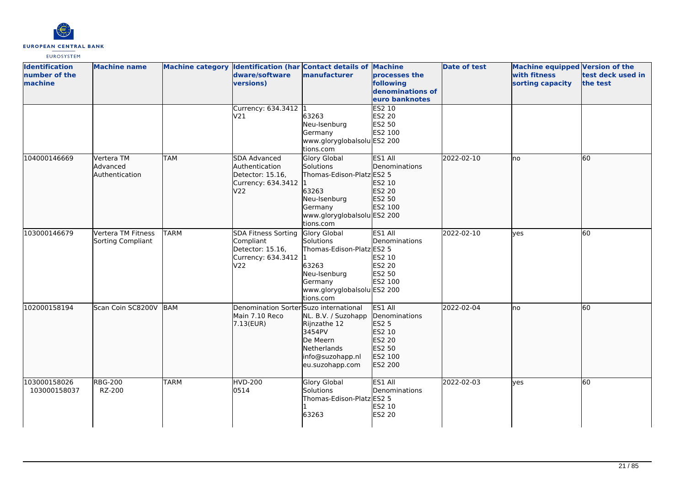

| <b>Identification</b><br>number of the<br>machine | <b>Machine name</b>                      |             | dware/software<br>versions)                                                       | Machine category Identification (har Contact details of Machine<br>manufacturer                                                               | processes the<br>following<br>denominations of<br>euro banknotes                      | <b>Date of test</b> | Machine equipped Version of the<br>with fitness<br>sorting capacity | test deck used in<br>the test |
|---------------------------------------------------|------------------------------------------|-------------|-----------------------------------------------------------------------------------|-----------------------------------------------------------------------------------------------------------------------------------------------|---------------------------------------------------------------------------------------|---------------------|---------------------------------------------------------------------|-------------------------------|
|                                                   |                                          |             | Currency: 634.3412 1<br>V21                                                       | 63263<br>Neu-Isenburg<br>Germany<br>www.gloryglobalsolu ES2 200<br>tions.com                                                                  | ES2 10<br><b>ES2 20</b><br>ES2 50<br>ES2 100                                          |                     |                                                                     |                               |
| 104000146669                                      | Vertera TM<br>Advanced<br>Authentication | <b>TAM</b>  | SDA Advanced<br>Authentication<br>Detector: 15.16,<br>Currency: 634.3412<br>V22   | <b>Glory Global</b><br>Solutions<br>Thomas-Edison-Platz ES2 5<br>63263<br>Neu-Isenburg<br>Germany<br>www.gloryglobalsolu ES2 200<br>tions.com | ES1 All<br>Denominations<br>ES2 10<br>ES2 20<br>ES2 50<br>ES2 100                     | 2022-02-10          | lno                                                                 | 60                            |
| 103000146679                                      | Vertera TM Fitness<br>Sorting Compliant  | <b>TARM</b> | SDA Fitness Sorting<br>Compliant<br>Detector: 15.16,<br>Currency: 634.3412<br>V22 | Glory Global<br>Solutions<br>Thomas-Edison-Platz ES2 5<br>63263<br>Neu-Isenburg<br>Germany<br>www.gloryglobalsolu ES2 200<br>tions.com        | ES1 All<br>Denominations<br>ES2 10<br><b>ES2 20</b><br>ES2 50<br>ES2 100              | 2022-02-10          | lves                                                                | 60                            |
| 102000158194                                      | Scan Coin SC8200V                        | BAM         | Denomination Sorter Suzo international<br>Main 7.10 Reco<br>7.13(EUR)             | NL. B.V. / Suzohapp<br>Rijnzathe 12<br>3454PV<br>De Meern<br>Netherlands<br>info@suzohapp.nl<br>eu.suzohapp.com                               | ES1 All<br>Denominations<br>ES2 5<br>ES2 10<br>ES2 20<br>ES2 50<br>ES2 100<br>ES2 200 | 2022-02-04          | lno                                                                 | 60                            |
| 103000158026<br>103000158037                      | <b>RBG-200</b><br>RZ-200                 | <b>TARM</b> | <b>HVD-200</b><br>0514                                                            | <b>Glory Global</b><br>Solutions<br>Thomas-Edison-Platz ES2 5<br>63263                                                                        | ES1 All<br>Denominations<br>ES2 10<br>ES2 20                                          | 2022-02-03          | lyes                                                                | 60                            |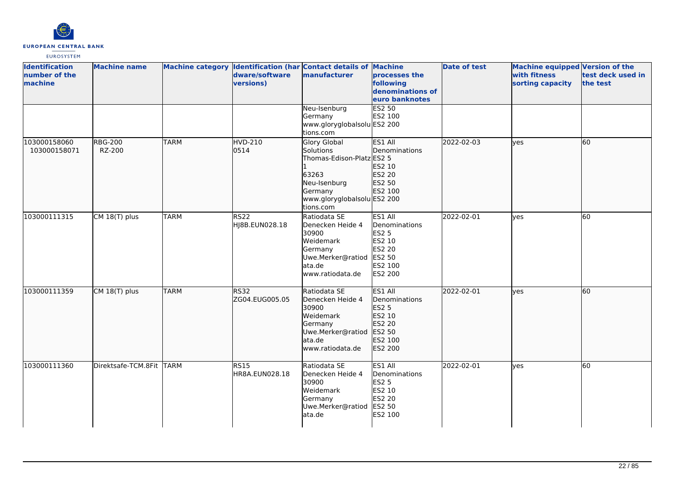

| <b>Identification</b><br>number of the<br>machine | <b>Machine name</b>      |             | dware/software<br>versions)   | Machine category Identification (har Contact details of Machine<br>manufacturer                                                        | processes the<br>following<br>denominations of<br>euro banknotes                             | <b>Date of test</b> | Machine equipped Version of the<br>with fitness<br>sorting capacity | test deck used in<br>the test |
|---------------------------------------------------|--------------------------|-------------|-------------------------------|----------------------------------------------------------------------------------------------------------------------------------------|----------------------------------------------------------------------------------------------|---------------------|---------------------------------------------------------------------|-------------------------------|
|                                                   |                          |             |                               | Neu-Isenburg<br>Germany<br>www.gloryglobalsolu ES2 200<br>tions.com                                                                    | <b>ES2 50</b><br>ES2 100                                                                     |                     |                                                                     |                               |
| 103000158060<br>103000158071                      | <b>RBG-200</b><br>RZ-200 | <b>TARM</b> | <b>HVD-210</b><br>0514        | Glory Global<br>Solutions<br>Thomas-Edison-Platz ES2 5<br>63263<br>Neu-Isenburg<br>Germany<br>www.gloryglobalsolu ES2 200<br>tions.com | ES1 All<br>Denominations<br>ES2 10<br>ES2 20<br>ES2 50<br>ES2 100                            | 2022-02-03          | ves                                                                 | 60                            |
| 103000111315                                      | CM 18(T) plus            | <b>TARM</b> | <b>RS22</b><br>HJ8B.EUN028.18 | Ratiodata SE<br>Denecken Heide 4<br>30900<br>Weidemark<br>Germany<br>Uwe.Merker@ratiod<br>ata.de<br>www.ratiodata.de                   | ES1 All<br>Denominations<br><b>ES2 5</b><br>ES2 10<br>ES2 20<br>ES2 50<br>ES2 100<br>ES2 200 | 2022-02-01          | yes                                                                 | 60                            |
| 103000111359                                      | CM 18(T) plus            | <b>TARM</b> | RS32<br>ZG04.EUG005.05        | Ratiodata SE<br>Denecken Heide 4<br>30900<br>Weidemark<br>Germany<br>Uwe.Merker@ratiod<br>ata.de<br>www.ratiodata.de                   | ES1 All<br>Denominations<br>ES2 5<br>ES2 10<br>ES2 20<br>ES2 50<br>ES2 100<br><b>ES2 200</b> | 2022-02-01          | ves                                                                 | 60                            |
| 103000111360                                      | Direktsafe-TCM.8Fit TARM |             | <b>RS15</b><br>HR8A.EUN028.18 | Ratiodata SE<br>Denecken Heide 4<br>30900<br>Weidemark<br>Germany<br>Uwe.Merker@ratiod<br>ata.de                                       | ES1 All<br>Denominations<br><b>ES2 5</b><br>ES2 10<br>ES2 20<br>ES2 50<br>ES2 100            | 2022-02-01          | ves                                                                 | 60                            |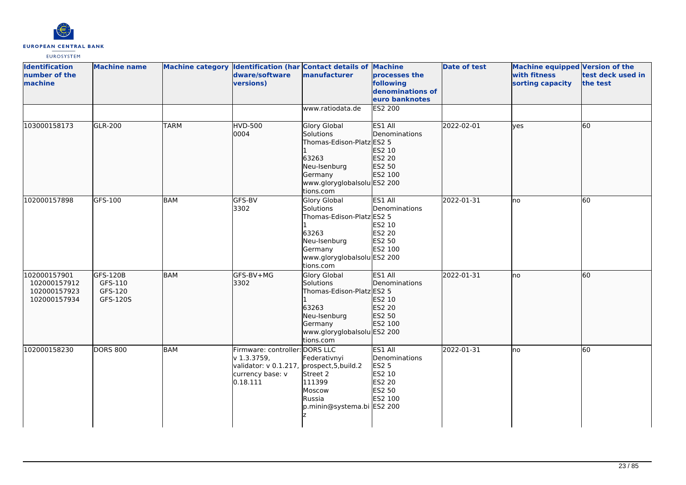

| <b>Identification</b><br>number of the<br>machine            | <b>Machine name</b>                        |             | dware/software<br>versions)                                                                              | Machine category Identification (har Contact details of Machine<br>manufacturer                                                               | processes the<br>following<br>denominations of<br>euro banknotes                  | <b>Date of test</b> | Machine equipped Version of the<br>with fitness<br>sorting capacity | test deck used in<br>the test |
|--------------------------------------------------------------|--------------------------------------------|-------------|----------------------------------------------------------------------------------------------------------|-----------------------------------------------------------------------------------------------------------------------------------------------|-----------------------------------------------------------------------------------|---------------------|---------------------------------------------------------------------|-------------------------------|
|                                                              |                                            |             |                                                                                                          | www.ratiodata.de                                                                                                                              | <b>ES2 200</b>                                                                    |                     |                                                                     |                               |
| 103000158173                                                 | GLR-200                                    | <b>TARM</b> | <b>HVD-500</b><br>0004                                                                                   | Glory Global<br>Solutions<br>Thomas-Edison-Platz ES2 5<br>63263<br>Neu-Isenburg<br>Germany<br>www.gloryglobalsolu ES2 200<br>tions.com        | ES1 All<br>Denominations<br>ES2 10<br>ES2 20<br>ES2 50<br>ES2 100                 | 2022-02-01          | ves                                                                 | 60                            |
| 102000157898                                                 | GFS-100                                    | <b>BAM</b>  | GFS-BV<br>3302                                                                                           | <b>Glory Global</b><br>Solutions<br>Thomas-Edison-Platz ES2 5<br>63263<br>Neu-Isenburg<br>Germany<br>www.gloryglobalsolu ES2 200<br>tions.com | ES1 All<br>Denominations<br>ES2 10<br>ES2 20<br>ES2 50<br>ES2 100                 | 2022-01-31          | no                                                                  | 60                            |
| 102000157901<br>102000157912<br>102000157923<br>102000157934 | GFS-120B<br>GFS-110<br>GFS-120<br>GFS-120S | <b>BAM</b>  | GFS-BV+MG<br>3302                                                                                        | Glory Global<br>Solutions<br>Thomas-Edison-Platz ES2 5<br>63263<br>Neu-Isenburg<br>Germany<br>www.gloryglobalsolu ES2 200<br>tions.com        | ES1 All<br>Denominations<br>ES2 10<br>ES2 20<br>ES2 50<br>ES2 100                 | 2022-01-31          | lno                                                                 | 60                            |
| 102000158230                                                 | <b>DORS 800</b>                            | <b>BAM</b>  | Firmware: controller: DORS LLC<br>$v$ 1.3.3759,<br>validator: v 0.1.217,<br>currency base: v<br>0.18.111 | Federativnyi<br>prospect, 5, build. 2<br>Street 2<br>111399<br>Moscow<br>Russia<br>p.minin@systema.bi ES2 200                                 | ES1 All<br>Denominations<br><b>ES2 5</b><br>ES2 10<br>ES2 20<br>ES2 50<br>ES2 100 | 2022-01-31          | lno                                                                 | 60                            |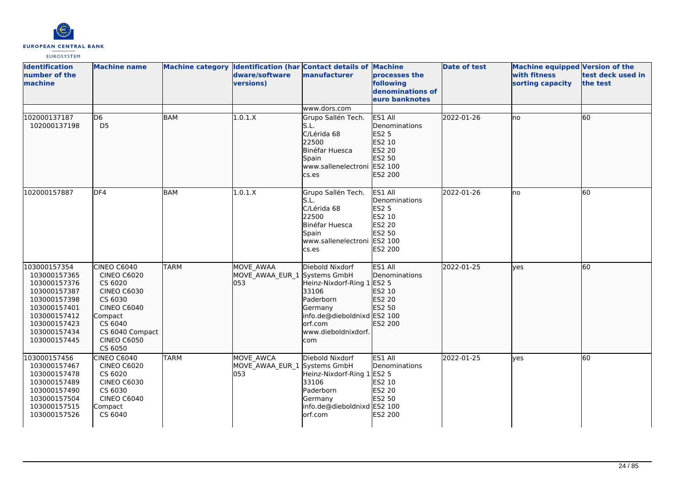

| <b>Identification</b><br>number of the<br>machine                                                                                                            | <b>Machine name</b>                                                                                                                                                           |             | dware/software<br>versions)                             | Machine category Identification (har Contact details of Machine<br>manufacturer                                                                        | processes the<br>following<br>denominations of<br>euro banknotes                                    | <b>Date of test</b> | <b>Machine equipped Version of the</b><br>with fitness<br>sorting capacity | test deck used in<br>the test |
|--------------------------------------------------------------------------------------------------------------------------------------------------------------|-------------------------------------------------------------------------------------------------------------------------------------------------------------------------------|-------------|---------------------------------------------------------|--------------------------------------------------------------------------------------------------------------------------------------------------------|-----------------------------------------------------------------------------------------------------|---------------------|----------------------------------------------------------------------------|-------------------------------|
|                                                                                                                                                              |                                                                                                                                                                               |             |                                                         | www.dors.com                                                                                                                                           |                                                                                                     |                     |                                                                            |                               |
| 102000137187<br>102000137198                                                                                                                                 | D <sub>6</sub><br>D <sub>5</sub>                                                                                                                                              | <b>BAM</b>  | 1.0.1.X                                                 | Grupo Sallén Tech.<br>S.L.<br>C/Lérida 68<br>22500<br>Binéfar Huesca<br>Spain<br>www.sallenelectroni<br>cs.es                                          | ES1 All<br>Denominations<br><b>ES2 5</b><br>ES2 10<br>ES2 20<br>ES2 50<br>ES2 100<br>ES2 200        | 2022-01-26          | lno                                                                        | 60                            |
| 102000157887                                                                                                                                                 | DF4                                                                                                                                                                           | <b>BAM</b>  | 1.0.1.X                                                 | Grupo Sallén Tech.<br>S.L.<br>C/Lérida 68<br>22500<br>Binéfar Huesca<br>Spain<br>www.sallenelectroni<br>cs.es                                          | ES1 All<br>Denominations<br><b>ES2 5</b><br>ES2 10<br><b>ES2 20</b><br>ES2 50<br>ES2 100<br>ES2 200 | 2022-01-26          | lno                                                                        | 60                            |
| 103000157354<br>103000157365<br>103000157376<br>103000157387<br>103000157398<br>103000157401<br>103000157412<br>103000157423<br>103000157434<br>103000157445 | CINEO C6040<br><b>CINEO C6020</b><br>CS 6020<br><b>CINEO C6030</b><br>CS 6030<br><b>CINEO C6040</b><br>Compact<br>CS 6040<br>CS 6040 Compact<br><b>CINEO C6050</b><br>CS 6050 | <b>TARM</b> | <b>MOVE AWAA</b><br>MOVE_AWAA_EUR_1 Systems GmbH<br>053 | Diebold Nixdorf<br>Heinz-Nixdorf-Ring 1 ES2 5<br>33106<br>Paderborn<br>Germany<br>info.de@dieboldnixd ES2 100<br>orf.com<br>www.dieboldnixdorf.<br>com | ES1 All<br>Denominations<br>ES2 10<br>ES2 20<br>ES2 50<br>ES2 200                                   | 2022-01-25          | ves                                                                        | 60                            |
| 103000157456<br>103000157467<br>103000157478<br>103000157489<br>103000157490<br>103000157504<br>103000157515<br>103000157526                                 | CINEO C6040<br><b>CINEO C6020</b><br>CS 6020<br><b>CINEO C6030</b><br>CS 6030<br><b>CINEO C6040</b><br>Compact<br>CS 6040                                                     | <b>TARM</b> | MOVE_AWCA<br>MOVE AWAA EUR 1 Systems GmbH<br>053        | Diebold Nixdorf<br>Heinz-Nixdorf-Ring 1 ES2 5<br>33106<br>Paderborn<br>Germany<br>info.de@dieboldnixd ES2 100<br>orf.com                               | ES1 All<br>Denominations<br>ES2 10<br><b>ES2 20</b><br>ES2 50<br>ES2 200                            | 2022-01-25          | ves                                                                        | 60                            |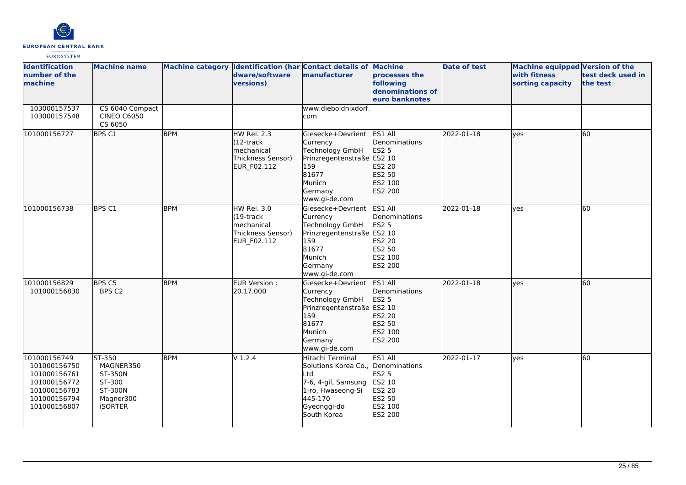

| <b>Identification</b><br>number of the<br>machine                                                            | <b>Machine name</b>                                                                       |            | dware/software<br>versions)                                                           | Machine category Identification (har Contact details of Machine<br>manufacturer                                                                    | processes the<br>following<br>denominations of<br>euro banknotes                             | <b>Date of test</b> | <b>Machine equipped Version of the</b><br>with fitness<br>sorting capacity | test deck used in<br>the test |
|--------------------------------------------------------------------------------------------------------------|-------------------------------------------------------------------------------------------|------------|---------------------------------------------------------------------------------------|----------------------------------------------------------------------------------------------------------------------------------------------------|----------------------------------------------------------------------------------------------|---------------------|----------------------------------------------------------------------------|-------------------------------|
| 103000157537<br>103000157548                                                                                 | CS 6040 Compact<br><b>CINEO C6050</b><br>CS 6050                                          |            |                                                                                       | www.dieboldnixdorf.<br>com                                                                                                                         |                                                                                              |                     |                                                                            |                               |
| 101000156727                                                                                                 | BPS C1                                                                                    | <b>BPM</b> | HW Rel. 2.3<br>l(12-track<br>mechanical<br>Thickness Sensor)<br><b>EUR F02.112</b>    | lGiesecke+Devrient<br>Currency<br>Technology GmbH<br>Prinzregentenstraße ES2 10<br>159<br>81677<br>Munich<br>Germany<br>www.gi-de.com              | ES1 All<br>Denominations<br>ES2 5<br>ES2 20<br>ES2 50<br>ES2 100<br>ES2 200                  | 2022-01-18          | lyes                                                                       | 60                            |
| 101000156738                                                                                                 | BPS <sub>C1</sub>                                                                         | <b>BPM</b> | <b>HW Rel. 3.0</b><br>$(19$ -track<br>lmechanical<br>Thickness Sensor)<br>EUR_F02.112 | Giesecke+Devrient<br>Currency<br>Technology GmbH<br>Prinzregentenstraße ES2 10<br>159<br>81677<br>Munich<br>Germany<br>www.gi-de.com               | ES1 All<br>Denominations<br><b>ES2 5</b><br>ES2 20<br>ES2 50<br>ES2 100<br>ES2 200           | 2022-01-18          | ves                                                                        | 60                            |
| 101000156829<br>101000156830                                                                                 | BPS C5<br>BPS C2                                                                          | <b>BPM</b> | EUR Version:<br>20.17.000                                                             | Giesecke+Devrient<br>Currency<br>Technology GmbH<br>Prinzregentenstraße<br>159<br>81677<br>Munich<br>Germany<br>www.gi-de.com                      | ES1 All<br>Denominations<br><b>ES2 5</b><br>ES2 10<br>ES2 20<br>ES2 50<br>ES2 100<br>ES2 200 | 2022-01-18          | lves                                                                       | 60                            |
| 101000156749<br>101000156750<br>101000156761<br>101000156772<br>101000156783<br>101000156794<br>101000156807 | ST-350<br>MAGNER350<br><b>ST-350N</b><br>ST-300<br>ST-300N<br>Magner300<br><b>iSORTER</b> | <b>BPM</b> | $V$ 1.2.4                                                                             | Hitachi Terminal<br>Solutions Korea Co., Denominations<br>Ltd<br>7-6, 4-gil, Samsung<br>1-ro, Hwaseong-Si<br>445-170<br>Gyeonggi-do<br>South Korea | ES1 All<br>ES2 5<br>ES2 10<br>ES2 20<br>ES2 50<br>ES2 100<br>ES2 200                         | 2022-01-17          | ves                                                                        | 60                            |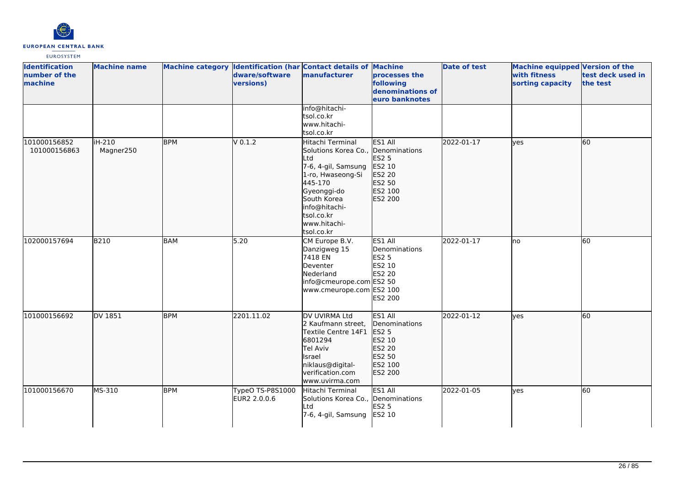

| <b>Identification</b><br>number of the<br>machine | <b>Machine name</b> |            | dware/software<br>versions)      | Machine category Identification (har Contact details of Machine<br>manufacturer                                                                                                                                 | processes the<br>following<br>denominations of<br>euro banknotes                             | <b>Date of test</b> | Machine equipped Version of the<br>with fitness<br>sorting capacity | test deck used in<br>the test |
|---------------------------------------------------|---------------------|------------|----------------------------------|-----------------------------------------------------------------------------------------------------------------------------------------------------------------------------------------------------------------|----------------------------------------------------------------------------------------------|---------------------|---------------------------------------------------------------------|-------------------------------|
|                                                   |                     |            |                                  | info@hitachi-<br>tsol.co.kr<br>www.hitachi-<br>tsol.co.kr                                                                                                                                                       |                                                                                              |                     |                                                                     |                               |
| 101000156852<br>101000156863                      | iH-210<br>Magner250 | <b>BPM</b> | V 0.1.2                          | Hitachi Terminal<br>Solutions Korea Co., Denominations<br>Ltd<br>7-6, 4-gil, Samsung<br>1-ro, Hwaseong-Si<br>445-170<br>Gyeonggi-do<br>South Korea<br>info@hitachi-<br>tsol.co.kr<br>www.hitachi-<br>tsol.co.kr | ES1 All<br><b>ES2 5</b><br>ES2 10<br>ES2 20<br>ES2 50<br>ES2 100<br>ES2 200                  | 2022-01-17          | lves                                                                | 60                            |
| 102000157694                                      | <b>B210</b>         | <b>BAM</b> | 5.20                             | CM Europe B.V.<br>Danzigweg 15<br>7418 EN<br>Deventer<br>Nederland<br>info@cmeurope.com ES2 50<br>www.cmeurope.com ES2 100                                                                                      | ES1 All<br>Denominations<br><b>ES2 5</b><br>ES2 10<br>ES2 20<br>ES2 200                      | 2022-01-17          | lno                                                                 | 60                            |
| 101000156692                                      | DV 1851             | <b>BPM</b> | 2201.11.02                       | DV UVIRMA Ltd<br>2 Kaufmann street,<br>Textile Centre 14F1<br>6801294<br>Tel Aviv<br>Israel<br>niklaus@digital-<br>verification.com<br>www.uvirma.com                                                           | ES1 All<br>Denominations<br><b>ES2 5</b><br>ES2 10<br>ES2 20<br>ES2 50<br>ES2 100<br>ES2 200 | 2022-01-12          | ves                                                                 | 60                            |
| 101000156670                                      | MS-310              | <b>BPM</b> | TypeO TS-P8S1000<br>EUR2 2.0.0.6 | Hitachi Terminal<br>Solutions Korea Co., Denominations<br>Ltd<br>7-6, 4-gil, Samsung                                                                                                                            | ES1 All<br><b>ES2 5</b><br>ES2 10                                                            | 2022-01-05          | lyes                                                                | 60                            |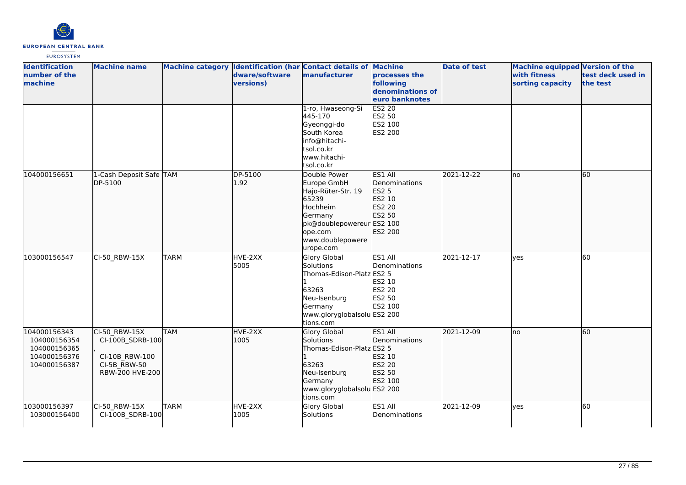

| <b>Identification</b><br>number of the<br>machine                            | <b>Machine name</b>                                                                    |             | dware/software<br>versions) | Machine category Identification (har Contact details of Machine<br>manufacturer                                                                            | processes the<br>following<br>denominations of<br>euro banknotes           | <b>Date of test</b> | <b>Machine equipped Version of the</b><br>with fitness<br>sorting capacity | test deck used in<br>the test |
|------------------------------------------------------------------------------|----------------------------------------------------------------------------------------|-------------|-----------------------------|------------------------------------------------------------------------------------------------------------------------------------------------------------|----------------------------------------------------------------------------|---------------------|----------------------------------------------------------------------------|-------------------------------|
|                                                                              |                                                                                        |             |                             | 1-ro, Hwaseong-Si<br>445-170<br>Gyeonggi-do<br>South Korea<br>info@hitachi-<br>tsol.co.kr<br>www.hitachi-<br>tsol.co.kr                                    | <b>ES2 20</b><br>ES2 50<br>ES2 100<br>ES2 200                              |                     |                                                                            |                               |
| 104000156651                                                                 | 1-Cash Deposit Safe TAM<br>DP-5100                                                     |             | DP-5100<br>1.92             | Double Power<br>Europe GmbH<br>Hajo-Rüter-Str. 19<br>65239<br>Hochheim<br>Germany<br>pk@doublepowereur ES2 100<br>ope.com<br>www.doublepowere<br>urope.com | ES1 All<br>Denominations<br>ES2 5<br>ES2 10<br>ES2 20<br>ES2 50<br>ES2 200 | 2021-12-22          | no                                                                         | 60                            |
| 103000156547                                                                 | CI-50_RBW-15X                                                                          | <b>TARM</b> | HVE-2XX<br>5005             | <b>Glory Global</b><br>Solutions<br>Thomas-Edison-Platz ES2 5<br>63263<br>Neu-Isenburg<br>Germany<br>www.gloryglobalsolu ES2 200<br>tions.com              | ES1 All<br>Denominations<br>ES2 10<br><b>ES2 20</b><br>ES2 50<br>ES2 100   | 2021-12-17          | lyes                                                                       | 60                            |
| 104000156343<br>104000156354<br>104000156365<br>104000156376<br>104000156387 | CI-50_RBW-15X<br>CI-100B_SDRB-100<br>CI-10B RBW-100<br>CI-5B_RBW-50<br>RBW-200 HVE-200 | <b>TAM</b>  | HVE-2XX<br>1005             | Glory Global<br>Solutions<br>Thomas-Edison-Platz ES2 5<br>63263<br>Neu-Isenburg<br>Germany<br>www.gloryglobalsolu ES2 200<br>tions.com                     | ES1 All<br>Denominations<br>ES2 10<br>ES2 20<br>ES2 50<br>ES2 100          | 2021-12-09          | no                                                                         | 60                            |
| 103000156397<br>103000156400                                                 | CI-50 RBW-15X<br>CI-100B_SDRB-100                                                      | <b>TARM</b> | HVE-2XX<br>1005             | <b>Glory Global</b><br>Solutions                                                                                                                           | ES1 All<br>Denominations                                                   | 2021-12-09          | lyes                                                                       | 60                            |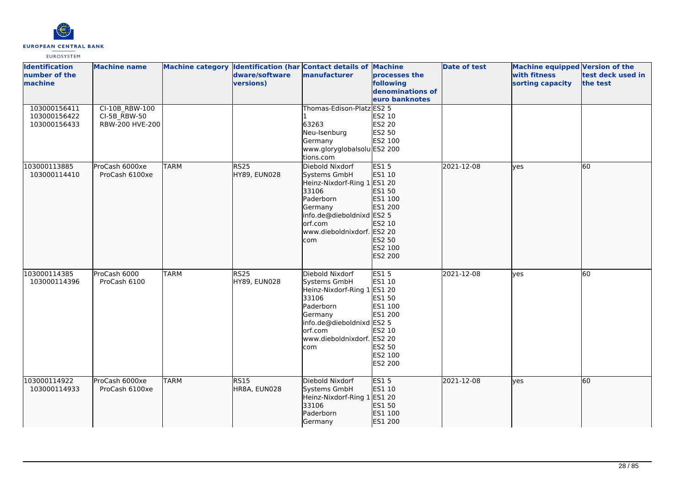

| <b>Identification</b><br>number of the<br>machine | <b>Machine name</b>                               |             | dware/software<br>versions)      | Machine category Identification (har Contact details of Machine<br>manufacturer                                                                                              | processes the<br>following<br>denominations of<br>euro banknotes                                       | <b>Date of test</b> | Machine equipped Version of the<br>with fitness<br>sorting capacity | test deck used in<br>the test |
|---------------------------------------------------|---------------------------------------------------|-------------|----------------------------------|------------------------------------------------------------------------------------------------------------------------------------------------------------------------------|--------------------------------------------------------------------------------------------------------|---------------------|---------------------------------------------------------------------|-------------------------------|
| 103000156411<br>103000156422<br>103000156433      | CI-10B RBW-100<br>CI-5B_RBW-50<br>RBW-200 HVE-200 |             |                                  | Thomas-Edison-Platz ES2 5<br>63263<br>Neu-Isenburg<br>Germany<br>www.gloryglobalsolu ES2 200<br>tions.com                                                                    | ES2 10<br>ES2 20<br>ES2 50<br>ES2 100                                                                  |                     |                                                                     |                               |
| 103000113885<br>103000114410                      | ProCash 6000xe<br>ProCash 6100xe                  | <b>TARM</b> | RS <sub>25</sub><br>HY89, EUN028 | Diebold Nixdorf<br>Systems GmbH<br>Heinz-Nixdorf-Ring 1 ES1 20<br>33106<br>Paderborn<br>Germany<br>info.de@dieboldnixd ES2 5<br>orf.com<br>www.dieboldnixdorf. ES2 20<br>com | <b>ES15</b><br>ES1 10<br>ES1 50<br>ES1 100<br>ES1 200<br>ES2 10<br>ES2 50<br>ES2 100<br>ES2 200        | 2021-12-08          | <b>lyes</b>                                                         | 60                            |
| 103000114385<br>103000114396                      | ProCash 6000<br>ProCash 6100                      | <b>TARM</b> | <b>RS25</b><br>HY89, EUN028      | Diebold Nixdorf<br>Systems GmbH<br>Heinz-Nixdorf-Ring 1 ES1 20<br>33106<br>Paderborn<br>Germany<br>info.de@dieboldnixd ES2 5<br>orf.com<br>www.dieboldnixdorf. ES2 20<br>com | <b>ES15</b><br>ES1 10<br>ES1 50<br>ES1 100<br>ES1 200<br>ES2 10<br>ES2 50<br>ES2 100<br><b>ES2 200</b> | 2021-12-08          | lyes                                                                | 60                            |
| 103000114922<br>103000114933                      | ProCash 6000xe<br>ProCash 6100xe                  | <b>TARM</b> | RS15<br>HR8A, EUN028             | Diebold Nixdorf<br>Systems GmbH<br>Heinz-Nixdorf-Ring 1 ES1 20<br>33106<br>Paderborn<br>Germany                                                                              | <b>ES15</b><br>ES1 10<br>ES1 50<br>ES1 100<br>ES1 200                                                  | 2021-12-08          | <b>lyes</b>                                                         | 60                            |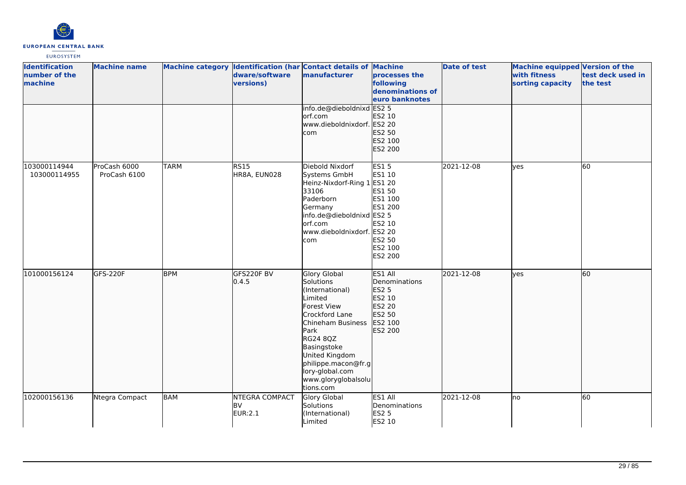

| <b>Identification</b><br>number of the<br>machine | <b>Machine name</b>          |             | dware/software<br>versions)                   | Machine category Identification (har Contact details of Machine<br>manufacturer                                                                                                                                                                         | processes the<br>following<br>denominations of<br>euro banknotes                                | <b>Date of test</b> | Machine equipped Version of the<br>with fitness<br>sorting capacity | test deck used in<br>the test |
|---------------------------------------------------|------------------------------|-------------|-----------------------------------------------|---------------------------------------------------------------------------------------------------------------------------------------------------------------------------------------------------------------------------------------------------------|-------------------------------------------------------------------------------------------------|---------------------|---------------------------------------------------------------------|-------------------------------|
|                                                   |                              |             |                                               | info.de@dieboldnixd ES2 5<br>orf.com<br>www.dieboldnixdorf. ES2 20<br>com                                                                                                                                                                               | ES2 10<br>ES2 50<br>ES2 100<br>ES2 200                                                          |                     |                                                                     |                               |
| 103000114944<br>103000114955                      | ProCash 6000<br>ProCash 6100 | <b>TARM</b> | <b>RS15</b><br>HR8A, EUN028                   | Diebold Nixdorf<br>Systems GmbH<br>Heinz-Nixdorf-Ring 1 ES1 20<br>33106<br>Paderborn<br>Germany<br>info.de@dieboldnixd ES2 5<br>orf.com<br>www.dieboldnixdorf. ES2 20<br>com                                                                            | <b>ES15</b><br>ES1 10<br>ES1 50<br>ES1 100<br>ES1 200<br>ES2 10<br>ES2 50<br>ES2 100<br>ES2 200 | 2021-12-08          | lyes                                                                | 60                            |
| 101000156124                                      | GFS-220F                     | <b>BPM</b>  | GFS220F BV<br>0.4.5                           | <b>Glory Global</b><br>Solutions<br>(International)<br>Limited<br>Forest View<br>Crockford Lane<br>Chineham Business<br>Park<br>RG24 8QZ<br>Basingstoke<br>United Kingdom<br>philippe.macon@fr.g<br>lory-global.com<br>www.gloryglobalsolu<br>tions.com | ES1 All<br>Denominations<br>ES2 5<br>ES2 10<br>ES2 20<br>ES2 50<br>ES2 100<br>ES2 200           | 2021-12-08          | lyes                                                                | 60                            |
| 102000156136                                      | Ntegra Compact               | <b>BAM</b>  | <b>NTEGRA COMPACT</b><br><b>BV</b><br>EUR:2.1 | Glory Global<br>Solutions<br>(International)<br>Limited                                                                                                                                                                                                 | ES1 All<br>Denominations<br><b>ES2 5</b><br>ES2 10                                              | 2021-12-08          | lno                                                                 | 60                            |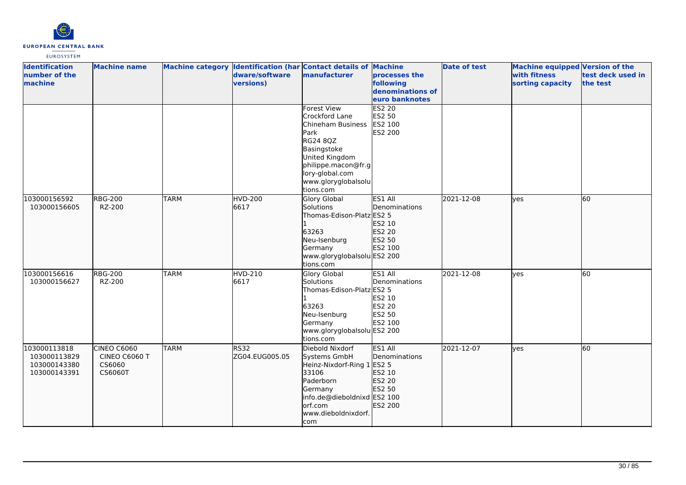

| <b>Identification</b><br>number of the<br>machine            | <b>Machine name</b>                                      |             | dware/software<br>versions) | Machine category Identification (har Contact details of Machine<br>manufacturer                                                                                                       | processes the<br>following<br>denominations of<br>euro banknotes   | <b>Date of test</b> | Machine equipped Version of the<br>with fitness<br>sorting capacity | test deck used in<br>the test |
|--------------------------------------------------------------|----------------------------------------------------------|-------------|-----------------------------|---------------------------------------------------------------------------------------------------------------------------------------------------------------------------------------|--------------------------------------------------------------------|---------------------|---------------------------------------------------------------------|-------------------------------|
|                                                              |                                                          |             |                             | Forest View<br>Crockford Lane<br>Chineham Business<br>Park<br>RG24 8QZ<br>Basingstoke<br>United Kingdom<br>philippe.macon@fr.g<br>lory-global.com<br>www.gloryglobalsolu<br>tions.com | <b>ES2 20</b><br>ES2 50<br>ES2 100<br><b>ES2 200</b>               |                     |                                                                     |                               |
| 103000156592<br>103000156605                                 | <b>RBG-200</b><br>RZ-200                                 | <b>TARM</b> | <b>HVD-200</b><br>6617      | <b>Glory Global</b><br>Solutions<br>Thomas-Edison-Platz ES2 5<br>63263<br>Neu-Isenburg<br>Germany<br>www.gloryglobalsolu ES2 200<br>tions.com                                         | lES1 All<br>Denominations<br>ES2 10<br>ES2 20<br>ES2 50<br>ES2 100 | 2021-12-08          | lves                                                                | 60                            |
| 103000156616<br>103000156627                                 | <b>RBG-200</b><br>RZ-200                                 | <b>TARM</b> | HVD-210<br>6617             | Glory Global<br>Solutions<br>Thomas-Edison-Platz ES2 5<br>63263<br>Neu-Isenburg<br>Germany<br>www.gloryglobalsolu ES2 200<br>tions.com                                                | ES1 All<br>Denominations<br>ES2 10<br>ES2 20<br>ES2 50<br>ES2 100  | 2021-12-08          | yes                                                                 | 60                            |
| 103000113818<br>103000113829<br>103000143380<br>103000143391 | <b>CINEO C6060</b><br>CINEO C6060 T<br>CS6060<br>CS6060T | <b>TARM</b> | RS32<br>ZG04.EUG005.05      | Diebold Nixdorf<br>Systems GmbH<br>Heinz-Nixdorf-Ring 1 ES2 5<br>33106<br>Paderborn<br>Germany<br>info.de@dieboldnixd ES2 100<br>orf.com<br>www.dieboldnixdorf.<br>com                | ES1 All<br>Denominations<br>ES2 10<br>ES2 20<br>ES2 50<br>ES2 200  | 2021-12-07          | lves                                                                | 60                            |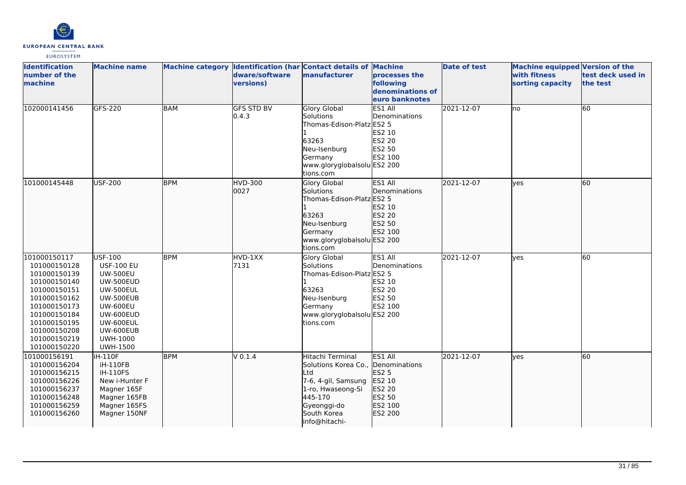

| <b>Identification</b><br>number of the<br>machine                                                                                                                                            | <b>Machine name</b>                                                                                                                                                                           |            | dware/software<br>versions) | Machine category Identification (har Contact details of Machine<br>manufacturer                                                                                     | processes the<br>following<br>denominations of<br>euro banknotes         | <b>Date of test</b> | <b>Machine equipped Version of the</b><br>with fitness<br>sorting capacity | test deck used in<br>the test |
|----------------------------------------------------------------------------------------------------------------------------------------------------------------------------------------------|-----------------------------------------------------------------------------------------------------------------------------------------------------------------------------------------------|------------|-----------------------------|---------------------------------------------------------------------------------------------------------------------------------------------------------------------|--------------------------------------------------------------------------|---------------------|----------------------------------------------------------------------------|-------------------------------|
| 102000141456                                                                                                                                                                                 | GFS-220                                                                                                                                                                                       | <b>BAM</b> | <b>GFS STD BV</b><br>0.4.3  | <b>Glory Global</b><br>Solutions<br>Thomas-Edison-Platz ES2 5<br>63263<br>Neu-Isenburg<br>Germany<br>www.gloryglobalsolu ES2 200<br>tions.com                       | ES1 All<br>Denominations<br>ES2 10<br><b>ES2 20</b><br>ES2 50<br>ES2 100 | 2021-12-07          | Ino                                                                        | 60                            |
| 101000145448                                                                                                                                                                                 | USF-200                                                                                                                                                                                       | <b>BPM</b> | HVD-300<br>0027             | <b>Glory Global</b><br>Solutions<br>Thomas-Edison-Platz ES2 5<br>63263<br>Neu-Isenburg<br>Germany<br>www.gloryglobalsolu ES2 200<br>tions.com                       | ES1 All<br>Denominations<br>ES2 10<br>ES2 20<br>ES2 50<br>ES2 100        | 2021-12-07          | lves                                                                       | 60                            |
| 101000150117<br>101000150128<br>101000150139<br>101000150140<br>101000150151<br>101000150162<br>101000150173<br>101000150184<br>101000150195<br>101000150208<br>101000150219<br>101000150220 | USF-100<br><b>USF-100 EU</b><br><b>UW-500EU</b><br><b>UW-500EUD</b><br><b>UW-500EUL</b><br>UW-500EUB<br><b>UW-600EU</b><br>UW-600EUD<br>UW-600EUL<br>UW-600EUB<br>UWH-1000<br><b>UWH-1500</b> | <b>BPM</b> | HVD-1XX<br>7131             | Glory Global<br>Solutions<br>Thomas-Edison-Platz ES2 5<br>63263<br>Neu-Isenburg<br>Germany<br>www.gloryglobalsolu ES2 200<br>tions.com                              | ES1 All<br>Denominations<br>ES2 10<br><b>ES2 20</b><br>ES2 50<br>ES2 100 | 2021-12-07          | lves                                                                       | 60                            |
| 101000156191<br>101000156204<br>101000156215<br>101000156226<br>101000156237<br>101000156248<br>101000156259<br>101000156260                                                                 | iH-110F<br>iH-110FB<br><b>iH-110FS</b><br>New i-Hunter F<br>Magner 165F<br>Magner 165FB<br>Magner 165FS<br>Magner 150NF                                                                       | <b>BPM</b> | V 0.1.4                     | Hitachi Terminal<br>Solutions Korea Co., Denominations<br>Ltd<br>7-6, 4-gil, Samsung<br>1-ro, Hwaseong-Si<br>445-170<br>Gyeonggi-do<br>South Korea<br>info@hitachi- | ES1 All<br>ES2 5<br>ES2 10<br>ES2 20<br>ES2 50<br>ES2 100<br>ES2 200     | 2021-12-07          | lyes                                                                       | 60                            |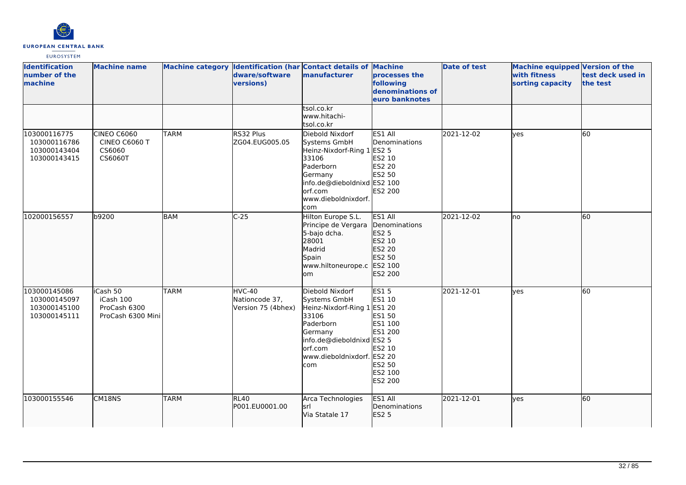

| <b>Identification</b><br>number of the<br>machine            | <b>Machine name</b>                                        |             | dware/software<br>versions)                    | Machine category Identification (har Contact details of Machine<br>manufacturer                                                                                              | processes the<br>following<br>denominations of<br>euro banknotes                                | <b>Date of test</b> | <b>Machine equipped Version of the</b><br>with fitness<br>sorting capacity | test deck used in<br>the test |
|--------------------------------------------------------------|------------------------------------------------------------|-------------|------------------------------------------------|------------------------------------------------------------------------------------------------------------------------------------------------------------------------------|-------------------------------------------------------------------------------------------------|---------------------|----------------------------------------------------------------------------|-------------------------------|
|                                                              |                                                            |             |                                                | tsol.co.kr<br>www.hitachi-<br>tsol.co.kr                                                                                                                                     |                                                                                                 |                     |                                                                            |                               |
| 103000116775<br>103000116786<br>103000143404<br>103000143415 | <b>CINEO C6060</b><br>CINEO C6060 T<br>CS6060<br>CS6060T   | <b>TARM</b> | RS32 Plus<br>ZG04.EUG005.05                    | Diebold Nixdorf<br>Systems GmbH<br>Heinz-Nixdorf-Ring 1 ES2 5<br>33106<br>Paderborn<br>Germany<br>info.de@dieboldnixd ES2 100<br>orf.com<br>www.dieboldnixdorf.<br>com       | ES1 All<br>Denominations<br>ES2 10<br><b>ES2 20</b><br><b>ES2 50</b><br>ES2 200                 | 2021-12-02          | lves                                                                       | 60                            |
| 102000156557                                                 | b9200                                                      | <b>BAM</b>  | $C-25$                                         | Hilton Europe S.L.<br>Principe de Vergara<br>5-bajo dcha.<br>28001<br>Madrid<br>Spain<br>www.hiltoneurope.c<br>lom                                                           | ES1 All<br>Denominations<br>ES2 5<br>ES2 10<br>ES2 20<br>ES2 50<br>ES2 100<br>ES2 200           | 2021-12-02          | lno                                                                        | 60                            |
| 103000145086<br>103000145097<br>103000145100<br>103000145111 | iCash 50<br>iCash 100<br>ProCash 6300<br>ProCash 6300 Mini | <b>TARM</b> | HVC-40<br>Nationcode 37,<br>Version 75 (4bhex) | Diebold Nixdorf<br>Systems GmbH<br>Heinz-Nixdorf-Ring 1 ES1 20<br>33106<br>Paderborn<br>Germany<br>info.de@dieboldnixd ES2 5<br>orf.com<br>www.dieboldnixdorf. ES2 20<br>com | <b>ES15</b><br>ES1 10<br>ES1 50<br>ES1 100<br>ES1 200<br>ES2 10<br>ES2 50<br>ES2 100<br>ES2 200 | 2021-12-01          | ves                                                                        | 60                            |
| 103000155546                                                 | CM18NS                                                     | <b>TARM</b> | RL40<br>P001.EU0001.00                         | Arca Technologies<br>lsrl<br>Via Statale 17                                                                                                                                  | ES1 All<br>Denominations<br>ES2 5                                                               | 2021-12-01          | ves                                                                        | 60                            |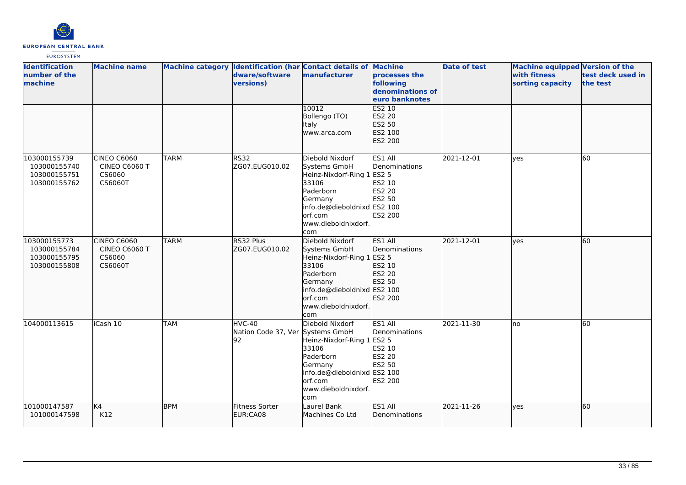

| <b>Identification</b><br>number of the<br>machine            | <b>Machine name</b>                               |             | dware/software<br>versions)                      | Machine category Identification (har Contact details of Machine<br>manufacturer                                                                                        | processes the<br>following<br>denominations of<br>euro banknotes         | <b>Date of test</b> | <b>Machine equipped Version of the</b><br>with fitness<br>sorting capacity | test deck used in<br>the test |
|--------------------------------------------------------------|---------------------------------------------------|-------------|--------------------------------------------------|------------------------------------------------------------------------------------------------------------------------------------------------------------------------|--------------------------------------------------------------------------|---------------------|----------------------------------------------------------------------------|-------------------------------|
|                                                              |                                                   |             |                                                  | 10012<br>Bollengo (TO)<br>Italy<br>www.arca.com                                                                                                                        | ES2 10<br>ES2 20<br>ES2 50<br>ES2 100<br>ES2 200                         |                     |                                                                            |                               |
| 103000155739<br>103000155740<br>103000155751<br>103000155762 | CINEO C6060<br>CINEO C6060 T<br>CS6060<br>CS6060T | <b>TARM</b> | <b>RS32</b><br>ZG07.EUG010.02                    | Diebold Nixdorf<br>Systems GmbH<br>Heinz-Nixdorf-Ring 1 ES2 5<br>33106<br>Paderborn<br>Germany<br>info.de@dieboldnixd ES2 100<br>orf.com<br>www.dieboldnixdorf.<br>com | ES1 All<br>Denominations<br>ES2 10<br><b>ES2 20</b><br>ES2 50<br>ES2 200 | 2021-12-01          | lves                                                                       | 60                            |
| 103000155773<br>103000155784<br>103000155795<br>103000155808 | CINEO C6060<br>CINEO C6060 T<br>CS6060<br>CS6060T | <b>TARM</b> | RS32 Plus<br>IZG07.EUG010.02                     | Diebold Nixdorf<br>Systems GmbH<br>Heinz-Nixdorf-Ring 1 ES2 5<br>33106<br>Paderborn<br>Germany<br>info.de@dieboldnixd ES2 100<br>orf.com<br>www.dieboldnixdorf.<br>com | ES1 All<br>Denominations<br>ES2 10<br>ES2 20<br>ES2 50<br>ES2 200        | 2021-12-01          | lves                                                                       | 60                            |
| 104000113615                                                 | iCash 10                                          | <b>TAM</b>  | HVC-40<br>Nation Code 37, Ver Systems GmbH<br>92 | Diebold Nixdorf<br>Heinz-Nixdorf-Ring 1 ES2 5<br>33106<br>Paderborn<br>Germany<br>info.de@dieboldnixd ES2 100<br>orf.com<br>www.dieboldnixdorf.<br>com                 | ES1 All<br>Denominations<br>ES2 10<br>ES2 20<br>ES2 50<br>ES2 200        | 2021-11-30          | lno                                                                        | 60                            |
| 101000147587<br>101000147598                                 | K4<br>K12                                         | <b>BPM</b>  | Fitness Sorter<br>EUR:CA08                       | Laurel Bank<br>Machines Co Ltd                                                                                                                                         | ES1 All<br>Denominations                                                 | 2021-11-26          | lyes                                                                       | 60                            |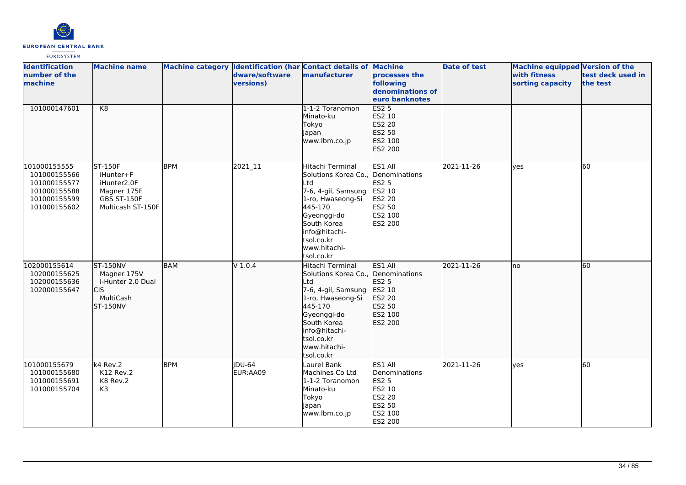

| <b>Identification</b><br>number of the<br>machine                                            | <b>Machine name</b>                                                                    |            | dware/software<br>versions) | Machine category Identification (har Contact details of Machine<br>manufacturer                                                                                                                                 | processes the<br>following<br>denominations of<br>euro banknotes                             | <b>Date of test</b> | Machine equipped Version of the<br>with fitness<br>sorting capacity | test deck used in<br>the test |
|----------------------------------------------------------------------------------------------|----------------------------------------------------------------------------------------|------------|-----------------------------|-----------------------------------------------------------------------------------------------------------------------------------------------------------------------------------------------------------------|----------------------------------------------------------------------------------------------|---------------------|---------------------------------------------------------------------|-------------------------------|
| 101000147601                                                                                 | K <sub>8</sub>                                                                         |            |                             | 1-1-2 Toranomon<br>Minato-ku<br>Tokyo<br>Japan<br>www.lbm.co.jp                                                                                                                                                 | <b>ES2 5</b><br>ES2 10<br>ES2 20<br>ES2 50<br>ES2 100<br>ES2 200                             |                     |                                                                     |                               |
| 101000155555<br>101000155566<br>101000155577<br>101000155588<br>101000155599<br>101000155602 | ST-150F<br>iHunter+F<br>iHunter2.0F<br>Magner 175F<br>GBS ST-150F<br>Multicash ST-150F | <b>BPM</b> | 2021_11                     | Hitachi Terminal<br>Solutions Korea Co., Denominations<br>Ltd<br>7-6, 4-gil, Samsung<br>1-ro, Hwaseong-Si<br>445-170<br>Gyeonggi-do<br>South Korea<br>info@hitachi-<br>tsol.co.kr<br>www.hitachi-<br>tsol.co.kr | ES1 All<br><b>ES2 5</b><br>ES2 10<br><b>ES2 20</b><br>ES2 50<br>ES2 100<br>ES2 200           | 2021-11-26          | ves                                                                 | 60                            |
| 102000155614<br>102000155625<br>102000155636<br>102000155647                                 | <b>ST-150NV</b><br>Magner 175V<br>i-Hunter 2.0 Dual<br>lcıs<br>MultiCash<br>ST-150NV   | <b>BAM</b> | V1.0.4                      | Hitachi Terminal<br>Solutions Korea Co.,<br>Ltd<br>7-6, 4-gil, Samsung<br>1-ro, Hwaseong-Si<br>445-170<br>Gyeonggi-do<br>South Korea<br>info@hitachi-<br>tsol.co.kr<br>www.hitachi-<br>tsol.co.kr               | ES1 All<br>Denominations<br>ES2 5<br>ES2 10<br>ES2 20<br>ES2 50<br>ES2 100<br>ES2 200        | 2021-11-26          | Ino                                                                 | 60                            |
| 101000155679<br>101000155680<br>101000155691<br>101000155704                                 | k4 Rev.2<br>K12 Rev.2<br>K8 Rev.2<br>K3                                                | <b>BPM</b> | <b>IDU-64</b><br>EUR:AA09   | Laurel Bank<br>Machines Co Ltd<br>1-1-2 Toranomon<br>Minato-ku<br>Tokyo<br>Japan<br>www.lbm.co.jp                                                                                                               | ES1 All<br>Denominations<br><b>ES2 5</b><br>ES2 10<br>ES2 20<br>ES2 50<br>ES2 100<br>ES2 200 | 2021-11-26          | ves                                                                 | 60                            |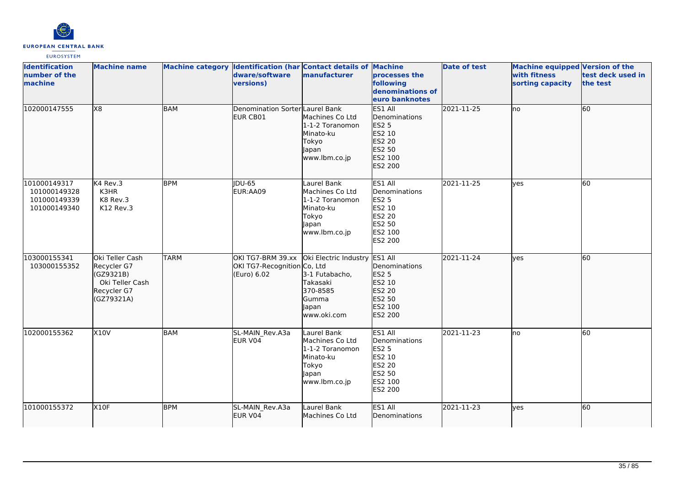

| <b>Identification</b><br>number of the<br><b>Imachine</b>    | <b>Machine name</b>                                                                         |             | Machine category Identification (har Contact details of Machine<br>dware/software<br>versions) | manufacturer                                                                                      | processes the<br>following<br>denominations of<br>euro banknotes                             | <b>Date of test</b> | Machine equipped Version of the<br>with fitness<br>sorting capacity | test deck used in<br>the test |
|--------------------------------------------------------------|---------------------------------------------------------------------------------------------|-------------|------------------------------------------------------------------------------------------------|---------------------------------------------------------------------------------------------------|----------------------------------------------------------------------------------------------|---------------------|---------------------------------------------------------------------|-------------------------------|
| 102000147555                                                 | X8                                                                                          | <b>BAM</b>  | Denomination Sorter Laurel Bank<br>EUR CB01                                                    | Machines Co Ltd<br>1-1-2 Toranomon<br>Minato-ku<br>Tokyo<br>Japan<br>www.lbm.co.jp                | ES1 All<br>Denominations<br><b>ES2 5</b><br>ES2 10<br>ES2 20<br>ES2 50<br>ES2 100<br>ES2 200 | 2021-11-25          | Ino                                                                 | 60                            |
| 101000149317<br>101000149328<br>101000149339<br>101000149340 | K4 Rev.3<br>K3HR<br>K8 Rev.3<br>K12 Rev.3                                                   | <b>BPM</b>  | <b>IDU-65</b><br>EUR:AA09                                                                      | Laurel Bank<br>Machines Co Ltd<br>1-1-2 Toranomon<br>Minato-ku<br>Tokyo<br>Japan<br>www.lbm.co.jp | ES1 All<br>Denominations<br><b>ES2 5</b><br>ES2 10<br>ES2 20<br>ES2 50<br>ES2 100<br>ES2 200 | 2021-11-25          | <b>ves</b>                                                          | 60                            |
| 103000155341<br>103000155352                                 | Oki Teller Cash<br>Recycler G7<br>(GZ9321B)<br>Oki Teller Cash<br>Recycler G7<br>(GZ79321A) | <b>TARM</b> | OKI TG7-BRM 39.xx<br>OKI TG7-Recognition Co, Ltd<br>(Euro) 6.02                                | Oki Electric Industry<br>3-1 Futabacho,<br>Takasaki<br>370-8585<br>Gumma<br>Japan<br>www.oki.com  | ES1 All<br>Denominations<br><b>ES2 5</b><br>ES2 10<br>ES2 20<br>ES2 50<br>ES2 100<br>ES2 200 | 2021-11-24          | ves                                                                 | 60                            |
| 102000155362                                                 | <b>X10V</b>                                                                                 | BAM         | SL-MAIN Rev.A3a<br>EUR V04                                                                     | Laurel Bank<br>Machines Co Ltd<br>1-1-2 Toranomon<br>Minato-ku<br>Tokyo<br>Japan<br>www.lbm.co.jp | ES1 All<br>Denominations<br><b>ES2 5</b><br>ES2 10<br>ES2 20<br>ES2 50<br>ES2 100<br>ES2 200 | 2021-11-23          | Ino                                                                 | 60                            |
| 101000155372                                                 | <b>X10F</b>                                                                                 | <b>BPM</b>  | SL-MAIN_Rev.A3a<br>EUR V04                                                                     | Laurel Bank<br>Machines Co Ltd                                                                    | ES1 All<br>Denominations                                                                     | 2021-11-23          | ves                                                                 | 60                            |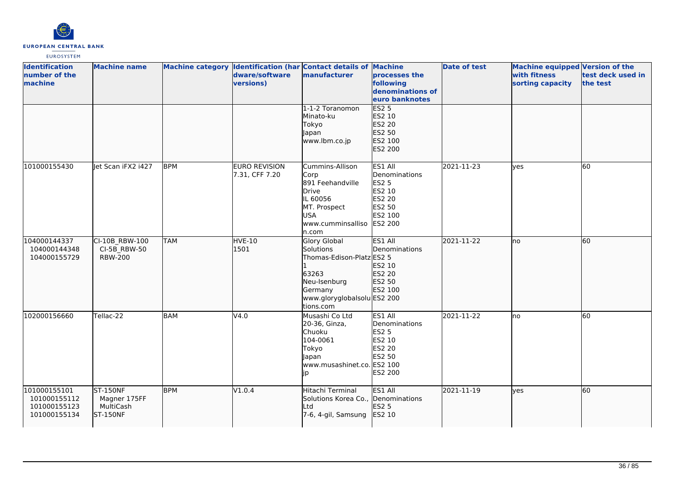

| <b>Identification</b><br>number of the<br>machine            | <b>Machine name</b>                                      |            | dware/software<br>versions)     | Machine category Identification (har Contact details of Machine<br>manufacturer                                                        | processes the<br>following<br>denominations of<br>euro banknotes                         | <b>Date of test</b> | <b>Machine equipped Version of the</b><br>with fitness<br>sorting capacity | test deck used in<br>the test |
|--------------------------------------------------------------|----------------------------------------------------------|------------|---------------------------------|----------------------------------------------------------------------------------------------------------------------------------------|------------------------------------------------------------------------------------------|---------------------|----------------------------------------------------------------------------|-------------------------------|
|                                                              |                                                          |            |                                 | 1-1-2 Toranomon<br>Minato-ku<br>Tokyo<br>Japan<br>www.lbm.co.jp                                                                        | <b>ES2 5</b><br>ES2 10<br>ES2 20<br>ES2 50<br>ES2 100<br>ES2 200                         |                     |                                                                            |                               |
| 101000155430                                                 | let Scan iFX2 i427                                       | <b>BPM</b> | EURO REVISION<br>7.31, CFF 7.20 | Cummins-Allison<br>Corp<br>891 Feehandville<br>Drive<br>IL 60056<br>MT. Prospect<br><b>USA</b><br>www.cumminsalliso ES2 200<br>ln.com  | ES1 All<br>Denominations<br>ES2 5<br>ES2 10<br>ES2 20<br>ES2 50<br>ES2 100               | 2021-11-23          | lves                                                                       | $\overline{60}$               |
| 104000144337<br>104000144348<br>104000155729                 | CI-10B_RBW-100<br>CI-5B RBW-50<br><b>RBW-200</b>         | <b>TAM</b> | <b>HVE-10</b><br>1501           | Glory Global<br>Solutions<br>Thomas-Edison-Platz ES2 5<br>63263<br>Neu-Isenburg<br>Germany<br>www.gloryglobalsolu ES2 200<br>tions.com | ES1 All<br>Denominations<br>ES2 10<br>ES2 20<br>ES2 50<br>ES2 100                        | 2021-11-22          | <b>I</b> no                                                                | 60                            |
| 102000156660                                                 | Tellac-22                                                | <b>BAM</b> | V4.0                            | Musashi Co Ltd<br>20-36, Ginza,<br>Chuoku<br>104-0061<br>Tokyo<br>Japan<br>www.musashinet.co. ES2 100<br>jp                            | ES1 All<br>Denominations<br><b>ES2 5</b><br>ES2 10<br>ES2 20<br>ES2 50<br><b>ES2 200</b> | 2021-11-22          | lno                                                                        | 60                            |
| 101000155101<br>101000155112<br>101000155123<br>101000155134 | <b>ST-150NF</b><br>Magner 175FF<br>MultiCash<br>ST-150NF | <b>BPM</b> | V1.0.4                          | Hitachi Terminal<br>Solutions Korea Co., Denominations<br>lLtd<br>7-6, 4-gil, Samsung                                                  | ES1 All<br>ES2 5<br>ES2 10                                                               | 2021-11-19          | lyes                                                                       | 60                            |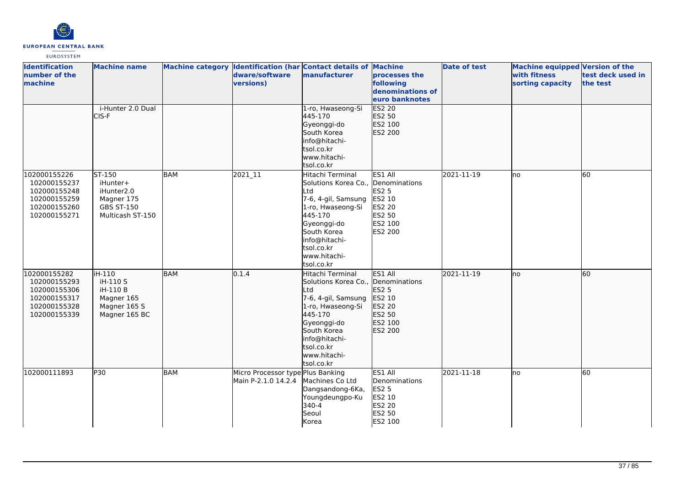

| <b>Identification</b><br>number of the<br>machine                                            | <b>Machine name</b>                                                                     | Machine category Identification (har Contact details of Machine | dware/software<br>versions)                              | manufacturer                                                                                                                                                                                                    | processes the<br>following                                                        | Date of test | Machine equipped Version of the<br>with fitness<br>sorting capacity | test deck used in<br>the test |
|----------------------------------------------------------------------------------------------|-----------------------------------------------------------------------------------------|-----------------------------------------------------------------|----------------------------------------------------------|-----------------------------------------------------------------------------------------------------------------------------------------------------------------------------------------------------------------|-----------------------------------------------------------------------------------|--------------|---------------------------------------------------------------------|-------------------------------|
|                                                                                              |                                                                                         |                                                                 |                                                          |                                                                                                                                                                                                                 | denominations of<br>leuro banknotes                                               |              |                                                                     |                               |
|                                                                                              | i-Hunter 2.0 Dual<br>CIS-F                                                              |                                                                 |                                                          | 1-ro, Hwaseong-Si<br>445-170<br>Gyeonggi-do<br>South Korea<br>info@hitachi-<br>tsol.co.kr<br>www.hitachi-<br>tsol.co.kr                                                                                         | <b>ES2 20</b><br>ES2 50<br>ES2 100<br>ES2 200                                     |              |                                                                     |                               |
| 102000155226<br>102000155237<br>102000155248<br>102000155259<br>102000155260<br>102000155271 | ST-150<br>iHunter+<br>iHunter2.0<br>Magner 175<br><b>GBS ST-150</b><br>Multicash ST-150 | <b>BAM</b>                                                      | 2021_11                                                  | Hitachi Terminal<br>Solutions Korea Co., Denominations<br>Ltd<br>7-6, 4-gil, Samsung<br>1-ro, Hwaseong-Si<br>445-170<br>Gyeonggi-do<br>South Korea<br>info@hitachi-<br>tsol.co.kr<br>www.hitachi-<br>tsol.co.kr | ES1 All<br><b>ES2 5</b><br>ES2 10<br>ES2 20<br>ES2 50<br>ES2 100<br>ES2 200       | 2021-11-19   | lno                                                                 | 60                            |
| 102000155282<br>102000155293<br>102000155306<br>102000155317<br>102000155328<br>102000155339 | iH-110<br>iH-110 S<br>iH-110 B<br>Magner 165<br>Magner 165 S<br>Magner 165 BC           | BAM                                                             | 0.1.4                                                    | Hitachi Terminal<br>Solutions Korea Co., Denominations<br>Ltd<br>7-6, 4-gil, Samsung<br>1-ro, Hwaseong-Si<br>445-170<br>Gyeonggi-do<br>South Korea<br>info@hitachi-<br>tsol.co.kr<br>www.hitachi-<br>tsol.co.kr | ES1 All<br>ES2 5<br>ES2 10<br>ES2 20<br>ES2 50<br>ES2 100<br>ES2 200              | 2021-11-19   | lno                                                                 | 60                            |
| 102000111893                                                                                 | P30                                                                                     | <b>BAM</b>                                                      | Micro Processor type Plus Banking<br>Main P-2.1.0 14.2.4 | Machines Co Ltd<br>Dangsandong-6Ka,<br>Youngdeungpo-Ku<br>340-4<br>Seoul<br>Korea                                                                                                                               | ES1 All<br>Denominations<br><b>ES2 5</b><br>ES2 10<br>ES2 20<br>ES2 50<br>ES2 100 | 2021-11-18   | lno                                                                 | 60                            |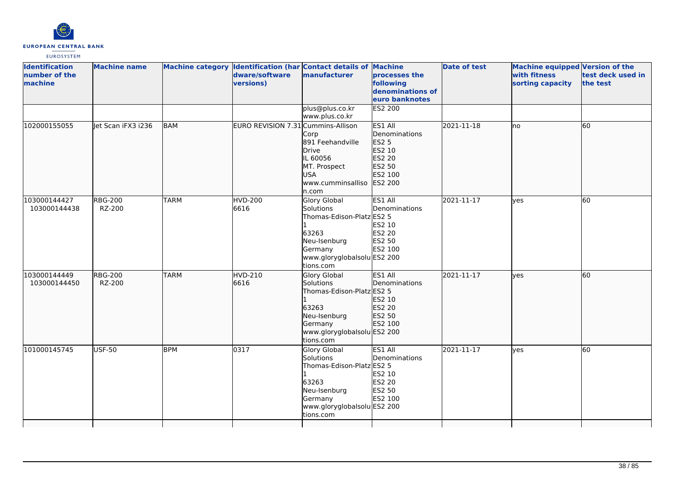

| <b>Identification</b><br>number of the<br>machine | <b>Machine name</b>      |             | Machine category Identification (har Contact details of Machine<br>dware/software<br>versions) | manufacturer                                                                                                                                  | processes the<br>following<br>denominations of<br>euro banknotes                                    | <b>Date of test</b> | Machine equipped Version of the<br>with fitness<br>sorting capacity | test deck used in<br>the test |
|---------------------------------------------------|--------------------------|-------------|------------------------------------------------------------------------------------------------|-----------------------------------------------------------------------------------------------------------------------------------------------|-----------------------------------------------------------------------------------------------------|---------------------|---------------------------------------------------------------------|-------------------------------|
|                                                   |                          |             |                                                                                                | plus@plus.co.kr<br>www.plus.co.kr                                                                                                             | <b>ES2 200</b>                                                                                      |                     |                                                                     |                               |
| 102000155055                                      | llet Scan iFX3 i236      | <b>BAM</b>  | EURO REVISION 7.31 Cummins-Allison                                                             | Corp<br>891 Feehandville<br>Drive<br>IL 60056<br>MT. Prospect<br><b>USA</b><br>www.cumminsalliso<br>ln.com                                    | ES1 All<br>Denominations<br><b>ES2 5</b><br>ES2 10<br>ES2 20<br>ES2 50<br>ES2 100<br><b>ES2 200</b> | 2021-11-18          | lno                                                                 | 60                            |
| 103000144427<br>103000144438                      | <b>RBG-200</b><br>RZ-200 | <b>TARM</b> | <b>HVD-200</b><br>6616                                                                         | Glory Global<br>Solutions<br>Thomas-Edison-Platz ES2 5<br>63263<br>Neu-Isenburg<br>Germany<br>www.gloryglobalsolu ES2 200<br>tions.com        | ES1 All<br>Denominations<br>ES2 10<br>ES2 20<br>ES2 50<br>ES2 100                                   | 2021-11-17          | lves                                                                | 60                            |
| 103000144449<br>103000144450                      | <b>RBG-200</b><br>RZ-200 | <b>TARM</b> | <b>HVD-210</b><br>6616                                                                         | <b>Glory Global</b><br>Solutions<br>Thomas-Edison-Platz ES2 5<br>63263<br>Neu-Isenburg<br>Germany<br>www.gloryglobalsolu ES2 200<br>tions.com | ES1 All<br>Denominations<br>ES2 10<br><b>ES2 20</b><br>ES2 50<br>ES2 100                            | 2021-11-17          | lves                                                                | 60                            |
| 101000145745                                      | <b>USF-50</b>            | <b>BPM</b>  | 0317                                                                                           | Glory Global<br>Solutions<br>Thomas-Edison-Platz ES2 5<br>63263<br>Neu-Isenburg<br>Germany<br>www.gloryglobalsolu ES2 200<br>tions.com        | ES1 All<br>Denominations<br>ES2 10<br>ES2 20<br>ES2 50<br>ES2 100                                   | 2021-11-17          | ves                                                                 | 60                            |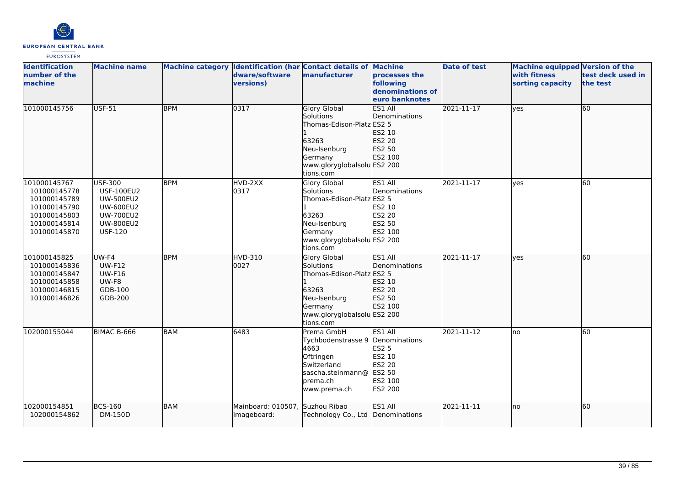

| <b>Identification</b><br>number of the<br>machine                                                            | <b>Machine name</b>                                                                                                            |            | dware/software<br>versions)       | Machine category Identification (har Contact details of Machine<br>manufacturer                                                               | processes the<br>following<br>denominations of<br>euro banknotes                             | <b>Date of test</b> | <b>Machine equipped Version of the</b><br>with fitness<br>sorting capacity | test deck used in<br>the test |
|--------------------------------------------------------------------------------------------------------------|--------------------------------------------------------------------------------------------------------------------------------|------------|-----------------------------------|-----------------------------------------------------------------------------------------------------------------------------------------------|----------------------------------------------------------------------------------------------|---------------------|----------------------------------------------------------------------------|-------------------------------|
| 101000145756                                                                                                 | <b>USF-51</b>                                                                                                                  | <b>BPM</b> | 0317                              | <b>Glory Global</b><br>Solutions<br>Thomas-Edison-Platz ES2 5<br>63263<br>Neu-Isenburg<br>Germany<br>www.gloryglobalsolu ES2 200<br>tions.com | ES1 All<br>Denominations<br>ES2 10<br>ES2 20<br>ES2 50<br>ES2 100                            | 2021-11-17          | yes                                                                        | 60                            |
| 101000145767<br>101000145778<br>101000145789<br>101000145790<br>101000145803<br>101000145814<br>101000145870 | USF-300<br><b>USF-100EU2</b><br><b>UW-500EU2</b><br><b>UW-600EU2</b><br><b>UW-700EU2</b><br><b>UW-800EU2</b><br><b>USF-120</b> | <b>BPM</b> | HVD-2XX<br>0317                   | <b>Glory Global</b><br>Solutions<br>Thomas-Edison-Platz ES2 5<br>63263<br>Neu-Isenburg<br>Germany<br>www.gloryglobalsolu ES2 200<br>tions.com | ES1 All<br>Denominations<br>ES2 10<br>ES2 20<br>ES2 50<br>ES2 100                            | 2021-11-17          | yes                                                                        | 60                            |
| 101000145825<br>101000145836<br>101000145847<br>101000145858<br>101000146815<br>101000146826                 | UW-F4<br><b>UW-F12</b><br><b>UW-F16</b><br>UW-F8<br>GDB-100<br>GDB-200                                                         | <b>BPM</b> | <b>HVD-310</b><br>0027            | <b>Glory Global</b><br>Solutions<br>Thomas-Edison-Platz ES2 5<br>63263<br>Neu-Isenburg<br>Germany<br>www.gloryglobalsolu ES2 200<br>tions.com | ES1 All<br>Denominations<br>ES2 10<br>ES2 20<br>ES2 50<br>ES2 100                            | 2021-11-17          | ves                                                                        | 60                            |
| 102000155044                                                                                                 | BIMAC B-666                                                                                                                    | <b>BAM</b> | 6483                              | Prema GmbH<br>Tychbodenstrasse 9<br>4663<br>Oftringen<br>Switzerland<br>sascha.steinmann@<br>prema.ch<br>www.prema.ch                         | ES1 All<br>Denominations<br><b>ES2 5</b><br>ES2 10<br>ES2 20<br>ES2 50<br>ES2 100<br>ES2 200 | 2021-11-12          | lno                                                                        | 60                            |
| 102000154851<br>102000154862                                                                                 | <b>BCS-160</b><br>DM-150D                                                                                                      | <b>BAM</b> | Mainboard: 010507,<br>Imageboard: | Suzhou Ribao<br>Technology Co., Ltd                                                                                                           | ES1 All<br>Denominations                                                                     | 2021-11-11          | lno                                                                        | 60                            |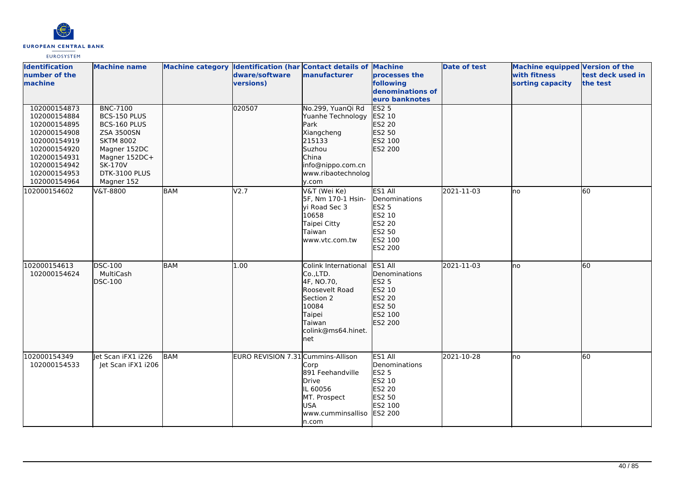

| <b>Identification</b><br>number of the<br>machine                                                                                                            | <b>Machine name</b>                                                                                                                                                 |            | dware/software<br>versions)        | Machine category Identification (har Contact details of Machine<br>manufacturer                                                                      | processes the<br>following<br>denominations of<br>euro banknotes                                    | <b>Date of test</b> | <b>Machine equipped Version of the</b><br>with fitness<br>sorting capacity | test deck used in<br>the test |
|--------------------------------------------------------------------------------------------------------------------------------------------------------------|---------------------------------------------------------------------------------------------------------------------------------------------------------------------|------------|------------------------------------|------------------------------------------------------------------------------------------------------------------------------------------------------|-----------------------------------------------------------------------------------------------------|---------------------|----------------------------------------------------------------------------|-------------------------------|
| 102000154873<br>102000154884<br>102000154895<br>102000154908<br>102000154919<br>102000154920<br>102000154931<br>102000154942<br>102000154953<br>102000154964 | <b>BNC-7100</b><br>BCS-150 PLUS<br>BCS-160 PLUS<br><b>ZSA 3500SN</b><br><b>SKTM 8002</b><br>Magner 152DC<br>Magner 152DC+<br>SK-170V<br>DTK-3100 PLUS<br>Magner 152 |            | 020507                             | No.299, YuanQi Rd<br>Yuanhe Technology<br><b>Park</b><br>Xiangcheng<br>215133<br>Suzhou<br>China<br>info@nippo.com.cn<br>www.ribaotechnolog<br>v.com | ES2 <sub>5</sub><br>ES2 10<br>ES2 20<br>ES2 50<br>ES2 100<br>ES2 200                                |                     |                                                                            |                               |
| 102000154602                                                                                                                                                 | V&T-8800                                                                                                                                                            | BAM        | V2.7                               | V&T (Wei Ke)<br>5F, Nm 170-1 Hsin-<br>yi Road Sec 3<br>10658<br>Taipei Citty<br>Taiwan<br>www.vtc.com.tw                                             | ES1 All<br>Denominations<br>ES2 5<br>ES2 10<br>ES2 20<br>ES2 50<br>ES2 100<br>ES2 200               | 2021-11-03          | lno                                                                        | 60                            |
| 102000154613<br>102000154624                                                                                                                                 | <b>DSC-100</b><br>MultiCash<br><b>DSC-100</b>                                                                                                                       | <b>BAM</b> | 1.00                               | Colink International<br>Co.,LTD.<br>4F, NO.70,<br>Roosevelt Road<br>Section 2<br>10084<br>Taipei<br>Taiwan<br>colink@ms64.hinet.<br>net              | ES1 All<br><b>IDenominations</b><br>ES2 5<br>ES2 10<br>ES2 20<br>ES2 50<br>ES2 100<br>ES2 200       | 2021-11-03          | lno                                                                        | 60                            |
| 102000154349<br>102000154533                                                                                                                                 | let Scan iFX1 1226<br>let Scan iFX1 i206                                                                                                                            | BAM        | EURO REVISION 7.31 Cummins-Allison | Corp<br>891 Feehandville<br><b>Drive</b><br>IL 60056<br>MT. Prospect<br><b>USA</b><br>www.cumminsalliso<br>n.com                                     | ES1 All<br>Denominations<br><b>ES2 5</b><br>ES2 10<br>ES2 20<br>ES2 50<br>ES2 100<br><b>ES2 200</b> | 2021-10-28          | lno                                                                        | 60                            |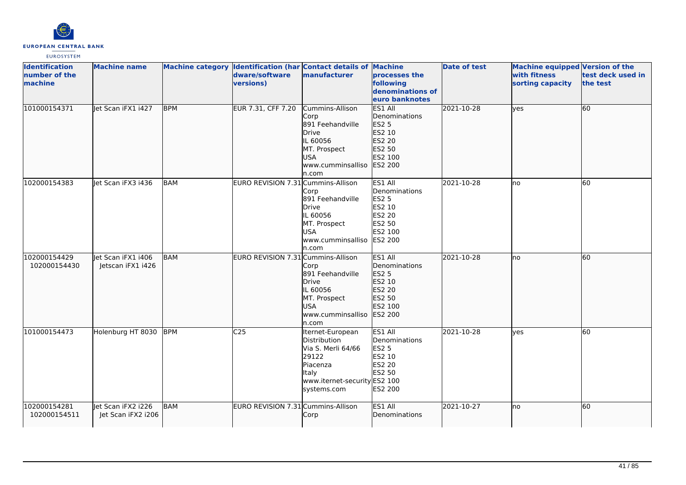

| <b>Identification</b><br>number of the<br>machine | <b>Machine name</b>                      |            | Machine category Identification (har Contact details of Machine<br>dware/software<br>versions) | manufacturer                                                                                                                        | processes the<br>following<br>denominations of<br>euro banknotes                                    | <b>Date of test</b> | Machine equipped Version of the<br>with fitness<br>sorting capacity | test deck used in<br>the test |
|---------------------------------------------------|------------------------------------------|------------|------------------------------------------------------------------------------------------------|-------------------------------------------------------------------------------------------------------------------------------------|-----------------------------------------------------------------------------------------------------|---------------------|---------------------------------------------------------------------|-------------------------------|
| 101000154371                                      | let Scan iFX1 i427                       | <b>BPM</b> | EUR 7.31, CFF 7.20                                                                             | Cummins-Allison<br>Corp<br>891 Feehandville<br>Drive<br>IL 60056<br>MT. Prospect<br><b>USA</b><br>www.cumminsalliso<br>n.com        | <b>ES1 All</b><br>Denominations<br>ES2 5<br>ES2 10<br>ES2 20<br>ES2 50<br>ES2 100<br>ES2 200        | 2021-10-28          | lyes                                                                | 60                            |
| 102000154383                                      | let Scan iFX3 i436                       | <b>BAM</b> | EURO REVISION 7.31 Cummins-Allison                                                             | Corp<br>891 Feehandville<br>Drive<br>IL 60056<br>MT. Prospect<br><b>USA</b><br>www.cumminsalliso<br>n.com                           | ES1 All<br>Denominations<br><b>ES2 5</b><br>ES2 10<br>ES2 20<br>ES2 50<br>ES2 100<br><b>ES2 200</b> | 2021-10-28          | lno                                                                 | 60                            |
| 102000154429<br>102000154430                      | let Scan iFX1 i406<br>Jetscan iFX1 i426  | <b>BAM</b> | EURO REVISION 7.31 Cummins-Allison                                                             | Corp<br>891 Feehandville<br>Drive<br>IL 60056<br>MT. Prospect<br><b>USA</b><br>www.cumminsalliso<br>n.com                           | ES1 All<br>Denominations<br>ES2 5<br>ES2 10<br>ES2 20<br>ES2 50<br>ES2 100<br>ES2 200               | 2021-10-28          | Ino                                                                 | 60                            |
| 101000154473                                      | Holenburg HT 8030                        | <b>BPM</b> | C <sub>25</sub>                                                                                | Iternet-European<br>Distribution<br>Via S. Merli 64/66<br>29122<br>Piacenza<br>Italy<br>www.iternet-security ES2 100<br>systems.com | ES1 All<br>Denominations<br><b>ES2 5</b><br>ES2 10<br>ES2 20<br>ES2 50<br><b>ES2 200</b>            | 2021-10-28          | <b>ves</b>                                                          | 60                            |
| 102000154281<br>102000154511                      | let Scan iFX2 i226<br>Jet Scan iFX2 i206 | BAM        | EURO REVISION 7.31 Cummins-Allison                                                             | Corp                                                                                                                                | ES1 All<br><b>Denominations</b>                                                                     | 2021-10-27          | Ino                                                                 | 60                            |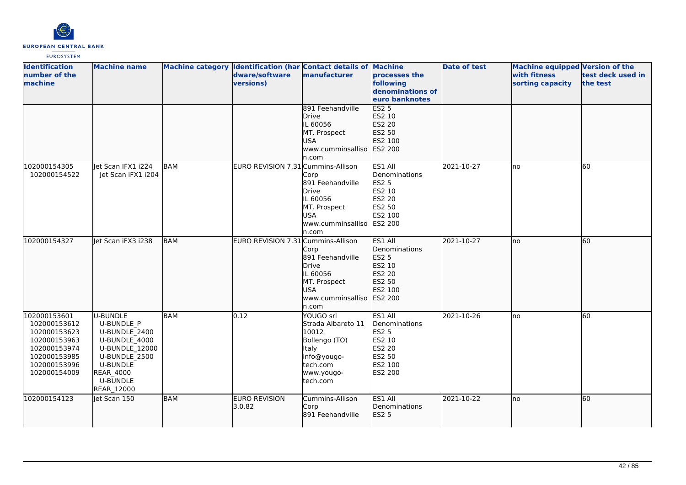

| <b>Identification</b><br>number of the<br>machine                                                                            | <b>Machine name</b>                                                                                                                                                 |            | dware/software<br>versions)        | Machine category Identification (har Contact details of Machine<br>manufacturer                                         | processes the<br>following<br>denominations of<br>euro banknotes                             | <b>Date of test</b> | <b>Machine equipped Version of the</b><br>with fitness<br>sorting capacity | test deck used in<br>the test |
|------------------------------------------------------------------------------------------------------------------------------|---------------------------------------------------------------------------------------------------------------------------------------------------------------------|------------|------------------------------------|-------------------------------------------------------------------------------------------------------------------------|----------------------------------------------------------------------------------------------|---------------------|----------------------------------------------------------------------------|-------------------------------|
|                                                                                                                              |                                                                                                                                                                     |            |                                    | 891 Feehandville<br><b>Drive</b><br>IL 60056<br>MT. Prospect<br><b>USA</b><br>www.cumminsalliso<br>n.com                | <b>ES2 5</b><br>ES2 10<br>ES2 20<br>ES2 50<br>ES2 100<br><b>ES2 200</b>                      |                     |                                                                            |                               |
| 102000154305<br>102000154522                                                                                                 | let Scan IFX1 i224<br>Jet Scan iFX1 i204                                                                                                                            | BAM        | EURO REVISION 7.31 Cummins-Allison | Corp<br>891 Feehandville<br><b>Drive</b><br>IL 60056<br>MT. Prospect<br>USA<br>www.cumminsalliso<br>n.com               | ES1 All<br>Denominations<br><b>ES2 5</b><br>ES2 10<br>ES2 20<br>ES2 50<br>ES2 100<br>ES2 200 | 2021-10-27          | lno                                                                        | 60                            |
| 102000154327                                                                                                                 | Jet Scan iFX3 i238                                                                                                                                                  | <b>BAM</b> | EURO REVISION 7.31 Cummins-Allison | Corp<br>891 Feehandville<br>Drive<br>IL 60056<br>MT. Prospect<br><b>USA</b><br>www.cumminsalliso<br>n.com               | ES1 All<br>Denominations<br>ES2 5<br>ES2 10<br>ES2 20<br>ES2 50<br>ES2 100<br>ES2 200        | 2021-10-27          | lno                                                                        | 60                            |
| 102000153601<br>102000153612<br>102000153623<br>102000153963<br>102000153974<br>102000153985<br>102000153996<br>102000154009 | U-BUNDLE<br><b>U-BUNDLE P</b><br>U-BUNDLE 2400<br>U-BUNDLE_4000<br><b>U-BUNDLE 12000</b><br>U-BUNDLE 2500<br>U-BUNDLE<br><b>REAR_4000</b><br>U-BUNDLE<br>REAR_12000 | BAM        | 0.12                               | YOUGO srl<br>Strada Albareto 11<br>10012<br>Bollengo (TO)<br>Italy<br>info@yougo-<br>tech.com<br>www.yougo-<br>tech.com | ES1 All<br>Denominations<br><b>ES2 5</b><br>ES2 10<br>ES2 20<br>ES2 50<br>ES2 100<br>ES2 200 | 2021-10-26          | lno                                                                        | 60                            |
| 102000154123                                                                                                                 | Jet Scan 150                                                                                                                                                        | <b>BAM</b> | <b>EURO REVISION</b><br>3.0.82     | Cummins-Allison<br>Corp<br>891 Feehandville                                                                             | ES1 All<br>Denominations<br><b>ES2 5</b>                                                     | 2021-10-22          | lno                                                                        | 60                            |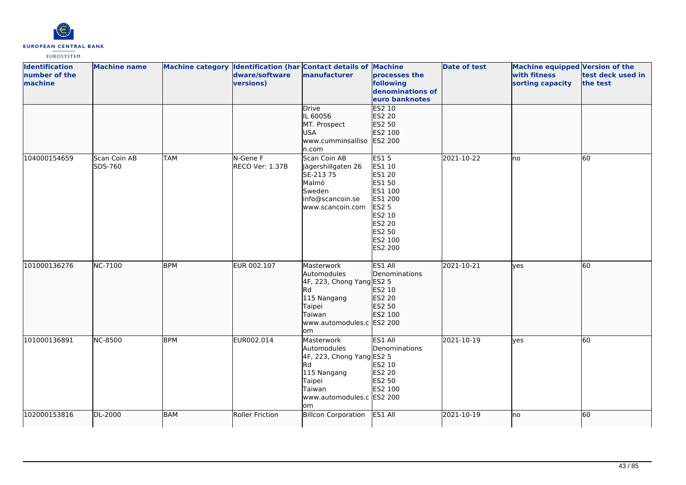

| <b>Identification</b><br>number of the<br>machine | <b>Machine name</b>     |            | dware/software<br>versions) | Machine category Identification (har Contact details of Machine<br>manufacturer                                                        | processes the<br>following<br>denominations of<br>euro banknotes                                                                           | <b>Date of test</b> | Machine equipped Version of the<br>with fitness<br>sorting capacity | test deck used in<br>the test |
|---------------------------------------------------|-------------------------|------------|-----------------------------|----------------------------------------------------------------------------------------------------------------------------------------|--------------------------------------------------------------------------------------------------------------------------------------------|---------------------|---------------------------------------------------------------------|-------------------------------|
|                                                   |                         |            |                             | Drive<br>IL 60056<br>MT. Prospect<br><b>USA</b><br>www.cumminsalliso<br>n.com                                                          | <b>ES2 10</b><br>ES2 20<br>ES2 50<br>ES2 100<br>ES2 200                                                                                    |                     |                                                                     |                               |
| 104000154659                                      | Scan Coin AB<br>SDS-760 | <b>TAM</b> | N-Gene F<br>RECO Ver: 1.37B | Scan Coin AB<br>Jägershillgaten 26<br>SE-213 75<br>Malmö<br>Sweden<br>info@scancoin.se<br>www.scancoin.com                             | <b>ES15</b><br>ES1 10<br>ES1 20<br>ES1 50<br>ES1 100<br>ES1 200<br>ES2 5<br>ES2 10<br><b>ES2 20</b><br>ES2 50<br>ES2 100<br><b>ES2 200</b> | 2021-10-22          | <b>I</b> no                                                         | 60                            |
| 101000136276                                      | NC-7100                 | <b>BPM</b> | EUR 002.107                 | Masterwork<br>Automodules<br>4F, 223, Chong Yang ES2 5<br>Rd<br>115 Nangang<br>Taipei<br>Taiwan<br>www.automodules.c ES2 200<br>lom    | ES1 All<br>Denominations<br>ES2 10<br>ES2 20<br>ES2 50<br>ES2 100                                                                          | 2021-10-21          | lves                                                                | 60                            |
| 101000136891                                      | <b>NC-8500</b>          | <b>BPM</b> | EUR002.014                  | Masterwork<br>Automodules<br>$4F$ , 223, Chong Yang ES2 5<br>Rd<br>115 Nangang<br>Taipei<br>Taiwan<br>www.automodules.c ES2 200<br>lom | ES1 All<br>Denominations<br>ES2 10<br><b>ES2 20</b><br>ES2 50<br>ES2 100                                                                   | 2021-10-19          | lves                                                                | $\overline{60}$               |
| 102000153816                                      | DL-2000                 | <b>BAM</b> | Roller Friction             | <b>Billcon Corporation</b>                                                                                                             | ES1 All                                                                                                                                    | 2021-10-19          | no                                                                  | 60                            |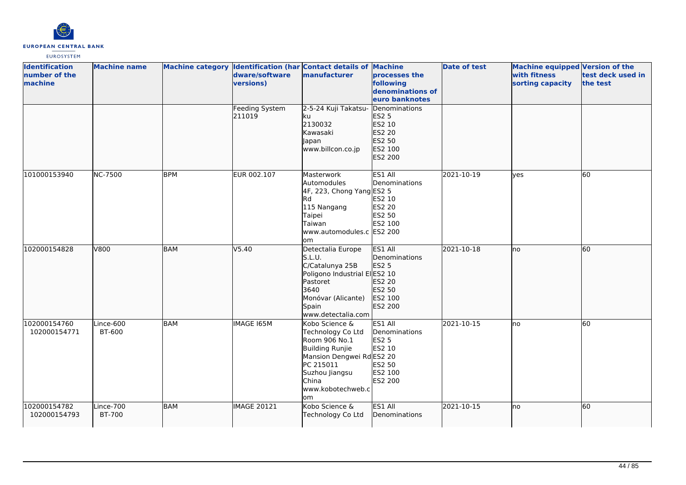

| <b>Identification</b><br>number of the<br>machine | <b>Machine name</b> |            | dware/software<br>versions)     | Machine category Identification (har Contact details of Machine<br>manufacturer                                                                                        | processes the<br>following<br>denominations of<br>euro banknotes                   | <b>Date of test</b> | Machine equipped Version of the<br>with fitness<br>sorting capacity | test deck used in<br>the test |
|---------------------------------------------------|---------------------|------------|---------------------------------|------------------------------------------------------------------------------------------------------------------------------------------------------------------------|------------------------------------------------------------------------------------|---------------------|---------------------------------------------------------------------|-------------------------------|
|                                                   |                     |            | <b>Feeding System</b><br>211019 | 2-5-24 Kuji Takatsu-<br>ku<br>2130032<br>Kawasaki<br>Japan<br>www.billcon.co.jp                                                                                        | Denominations<br>ES2 5<br>ES2 10<br>ES2 20<br>ES2 50<br>ES2 100<br>ES2 200         |                     |                                                                     |                               |
| 101000153940                                      | <b>NC-7500</b>      | <b>BPM</b> | EUR 002.107                     | Masterwork<br>Automodules<br>4F, 223, Chong Yang ES2 5<br>lRd.<br>115 Nangang<br>Taipei<br>Taiwan<br>www.automodules.c ES2 200<br>om                                   | ES1 All<br>Denominations<br>ES2 10<br>ES2 20<br>ES2 50<br>ES2 100                  | 2021-10-19          | ves                                                                 | 60                            |
| 102000154828                                      | V800                | <b>BAM</b> | V5.40                           | Detectalia Europe<br>S.L.U.<br>C/Catalunya 25B<br>Poligono Industrial ElES2 10<br>Pastoret<br>3640<br>Monóvar (Alicante)<br>Spain<br>www.detectalia.com                | ES1 All<br>Denominations<br><b>ES2 5</b><br>ES2 20<br>ES2 50<br>ES2 100<br>ES2 200 | 2021-10-18          | lno                                                                 | 60                            |
| 102000154760<br>102000154771                      | Lince-600<br>BT-600 | BAM        | IMAGE 165M                      | Kobo Science &<br>Technology Co Ltd<br>Room 906 No.1<br>Building Runjie<br>Mansion Dengwei RdES2 20<br>PC 215011<br>Suzhou Jiangsu<br>China<br>www.kobotechweb.c<br>om | ES1 All<br>Denominations<br><b>ES2 5</b><br>ES2 10<br>ES2 50<br>ES2 100<br>ES2 200 | 2021-10-15          | lno                                                                 | 60                            |
| 102000154782<br>102000154793                      | Lince-700<br>BT-700 | <b>BAM</b> | IMAGE 20121                     | Kobo Science &<br>Technology Co Ltd                                                                                                                                    | ES1 All<br>Denominations                                                           | 2021-10-15          | Ino                                                                 | 60                            |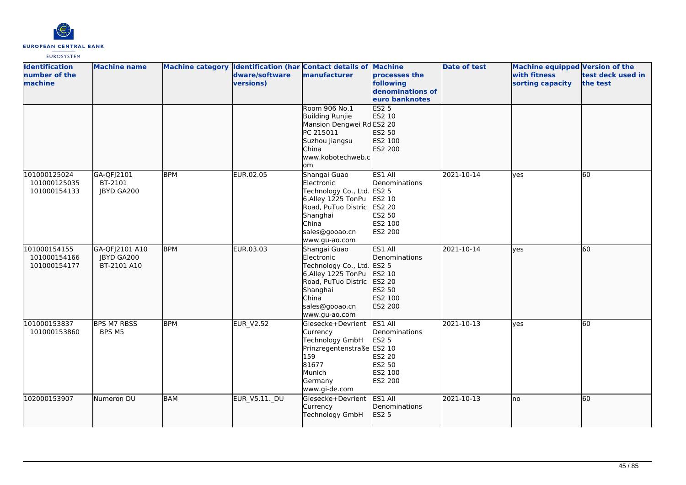

| <b>Identification</b><br>number of the<br>machine | <b>Machine name</b>                         |            | dware/software<br>versions) | Machine category Identification (har Contact details of Machine<br>manufacturer                                                                               | processes the<br>following<br>denominations of<br>euro banknotes                             | <b>Date of test</b> | <b>Machine equipped Version of the</b><br>with fitness<br>sorting capacity | test deck used in<br>the test |
|---------------------------------------------------|---------------------------------------------|------------|-----------------------------|---------------------------------------------------------------------------------------------------------------------------------------------------------------|----------------------------------------------------------------------------------------------|---------------------|----------------------------------------------------------------------------|-------------------------------|
|                                                   |                                             |            |                             | Room 906 No.1<br>Building Runjie<br>Mansion Dengwei RdES2 20<br>PC 215011<br>Suzhou Jiangsu<br>China<br>www.kobotechweb.c<br>om                               | ES2 <sub>5</sub><br>ES2 10<br>ES2 50<br>ES2 100<br>ES2 200                                   |                     |                                                                            |                               |
| 101000125024<br>101000125035<br>101000154133      | GA-QFJ2101<br>BT-2101<br>JBYD GA200         | <b>BPM</b> | EUR.02.05                   | Shangai Guao<br>Electronic<br>Technology Co., Ltd. ES2 5<br>6,Alley 1225 TonPu<br>Road, PuTuo Distric<br>Shanghai<br>China<br>sales@gooao.cn<br>www.gu-ao.com | ES1 All<br>Denominations<br>ES2 10<br>ES2 20<br>ES2 50<br>ES2 100<br>ES2 200                 | 2021-10-14          | lves                                                                       | 60                            |
| 101000154155<br>101000154166<br>101000154177      | GA-QFJ2101 A10<br>JBYD GA200<br>BT-2101 A10 | <b>BPM</b> | EUR.03.03                   | Shangai Guao<br>Electronic<br>Technology Co., Ltd.<br>6, Alley 1225 TonPu<br>Road, PuTuo Distric<br>Shanghai<br>China<br>sales@gooao.cn<br>www.gu-ao.com      | ES1 All<br>Denominations<br><b>ES2 5</b><br>ES2 10<br>ES2 20<br>ES2 50<br>ES2 100<br>ES2 200 | 2021-10-14          | lyes                                                                       | 60                            |
| 101000153837<br>101000153860                      | <b>BPS M7 RBSS</b><br>BPS M5                | <b>BPM</b> | <b>EUR_V2.52</b>            | Giesecke+Devrient<br>Currency<br>Technology GmbH<br>Prinzregentenstraße ES2 10<br>159<br>81677<br>Munich<br>Germany<br>www.gi-de.com                          | ES1 All<br>Denominations<br><b>ES2 5</b><br>ES2 20<br>ES2 50<br>ES2 100<br>ES2 200           | 2021-10-13          | lves                                                                       | 60                            |
| 102000153907                                      | Numeron DU                                  | <b>BAM</b> | <b>EUR_V5.11._DU</b>        | Giesecke+Devrient<br>Currency<br>Technology GmbH                                                                                                              | ES1 All<br>Denominations<br><b>ES2 5</b>                                                     | 2021-10-13          | no                                                                         | 60                            |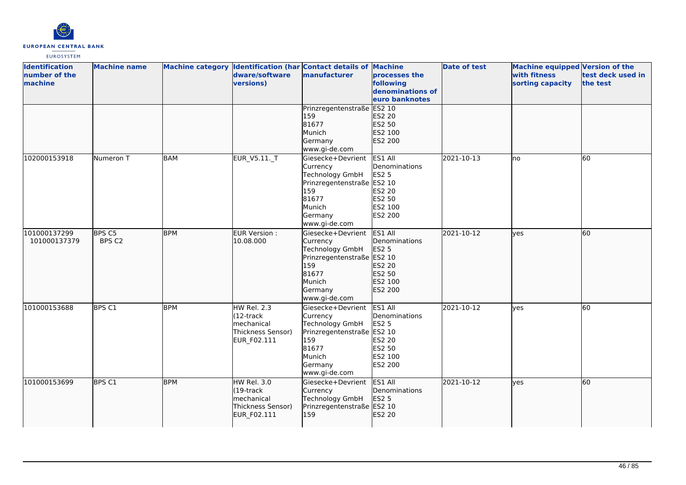

| <b>Identification</b><br>number of the<br>machine | <b>Machine name</b> |            | dware/software<br>versions)                                                    | Machine category Identification (har Contact details of Machine<br>manufacturer                                                             | processes the<br>following<br>denominations of<br>euro banknotes                   | <b>Date of test</b> | Machine equipped Version of the<br>with fitness<br>sorting capacity | test deck used in<br>the test |
|---------------------------------------------------|---------------------|------------|--------------------------------------------------------------------------------|---------------------------------------------------------------------------------------------------------------------------------------------|------------------------------------------------------------------------------------|---------------------|---------------------------------------------------------------------|-------------------------------|
|                                                   |                     |            |                                                                                | Prinzregentenstraße ES2 10<br>159<br>81677<br>Munich<br>Germany<br>www.gi-de.com                                                            | ES2 20<br>ES2 50<br>ES2 100<br>ES2 200                                             |                     |                                                                     |                               |
| 102000153918                                      | Numeron T           | <b>BAM</b> | EUR_V5.11._T                                                                   | Giesecke+Devrient<br>Currency<br><b>Technology GmbH</b><br>Prinzregentenstraße ES2 10<br>159<br>81677<br>Munich<br>Germany<br>www.gi-de.com | ES1 All<br>Denominations<br><b>ES2 5</b><br>ES2 20<br>ES2 50<br>ES2 100<br>ES2 200 | 2021-10-13          | lno                                                                 | 60                            |
| 101000137299<br>101000137379                      | BPS C5<br>BPS C2    | <b>BPM</b> | EUR Version :<br>10.08.000                                                     | Giesecke+Devrient<br>Currency<br>Technology GmbH<br>Prinzregentenstraße ES2 10<br>159<br>81677<br>Munich<br>Germany<br>www.gi-de.com        | ES1 All<br>Denominations<br><b>ES2 5</b><br>ES2 20<br>ES2 50<br>ES2 100<br>ES2 200 | 2021-10-12          | ves                                                                 | 60                            |
| 101000153688                                      | BPS C1              | <b>BPM</b> | HW Rel. 2.3<br>$(12 -$ track<br>mechanical<br>Thickness Sensor)<br>EUR_F02.111 | Giesecke+Devrient<br>Currency<br>Technology GmbH<br>Prinzregentenstraße ES2 10<br>159<br>81677<br>Munich<br>Germany<br>www.gi-de.com        | ES1 All<br>Denominations<br><b>ES2 5</b><br>ES2 20<br>ES2 50<br>ES2 100<br>ES2 200 | 2021-10-12          | yes                                                                 | 60                            |
| 101000153699                                      | BPS C1              | <b>BPM</b> | HW Rel. 3.0<br>$(19$ -track<br>mechanical<br>Thickness Sensor)<br>EUR_F02.111  | Giesecke+Devrient<br>Currency<br>Technology GmbH<br>Prinzregentenstraße ES2 10<br>159                                                       | ES1 All<br>Denominations<br>ES2 5<br>ES2 20                                        | 2021-10-12          | lyes                                                                | 60                            |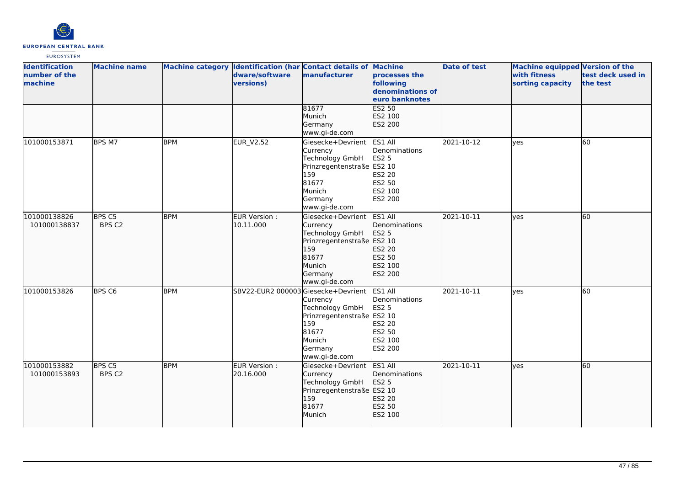

| <b>Identification</b><br>number of the<br>machine | <b>Machine name</b>         |            | Machine category Identification (har Contact details of Machine<br>dware/software<br>versions) | manufacturer                                                                                                                                | <b>processes the</b><br>following<br>denominations of<br>euro banknotes            | Date of test     | Machine equipped Version of the<br>with fitness<br>sorting capacity | test deck used in<br>the test |
|---------------------------------------------------|-----------------------------|------------|------------------------------------------------------------------------------------------------|---------------------------------------------------------------------------------------------------------------------------------------------|------------------------------------------------------------------------------------|------------------|---------------------------------------------------------------------|-------------------------------|
|                                                   |                             |            |                                                                                                | 81677<br>Munich<br>Germany<br>www.gi-de.com                                                                                                 | <b>ES2 50</b><br>ES2 100<br>ES2 200                                                |                  |                                                                     |                               |
| 101000153871                                      | BPS M7                      | <b>BPM</b> | <b>EUR_V2.52</b>                                                                               | Giesecke+Devrient<br>Currency<br><b>Technology GmbH</b><br>Prinzregentenstraße ES2 10<br>159<br>81677<br>Munich<br>Germany<br>www.gi-de.com | ES1 All<br>Denominations<br>ES2 5<br>ES2 20<br>ES2 50<br>ES2 100<br><b>ES2 200</b> | 2021-10-12       | ves                                                                 | 60                            |
| 101000138826<br>101000138837                      | BPS <sub>C5</sub><br>BPS C2 | <b>BPM</b> | EUR Version :<br>10.11.000                                                                     | Giesecke+Devrient<br>Currency<br><b>Technology GmbH</b><br>Prinzregentenstraße ES2 10<br>159<br>81677<br>Munich<br>Germany<br>www.gi-de.com | ES1 All<br>Denominations<br>ES2 5<br>ES2 20<br>ES2 50<br>ES2 100<br>ES2 200        | $2021 - 10 - 11$ | lyes                                                                | 60                            |
| 101000153826                                      | BPS <sub>C6</sub>           | <b>BPM</b> | SBV22-EUR2 000003 Giesecke+Devrient                                                            | Currency<br>Technology GmbH<br>Prinzregentenstraße ES2 10<br>159<br>81677<br>Munich<br>Germany<br>www.gi-de.com                             | ES1 All<br>Denominations<br>ES2 5<br>ES2 20<br>ES2 50<br>ES2 100<br><b>ES2 200</b> | 2021-10-11       | <b>ves</b>                                                          | 60                            |
| 101000153882<br>101000153893                      | BPS C5<br>BPS C2            | <b>BPM</b> | EUR Version :<br>20.16.000                                                                     | Giesecke+Devrient<br>Currency<br>Technology GmbH<br>Prinzregentenstraße ES2 10<br>159<br>81677<br>Munich                                    | ES1 All<br>Denominations<br>ES2 5<br>ES2 20<br>ES2 50<br>ES2 100                   | 2021-10-11       | ves                                                                 | 60                            |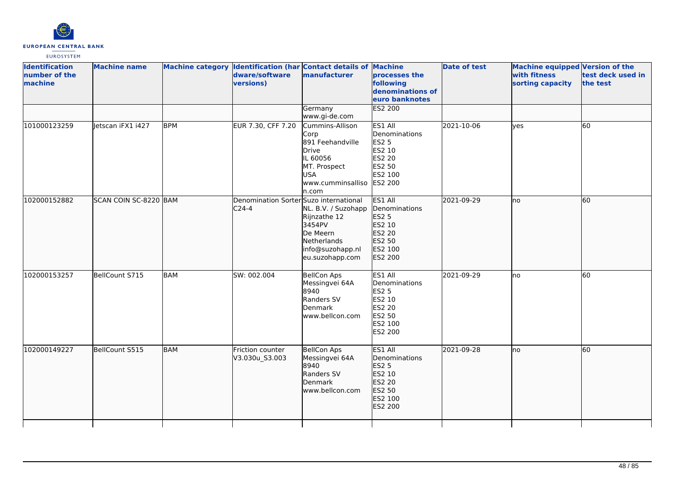

| <b>Identification</b><br>number of the<br>machine | <b>Machine name</b>   |            | Machine category Identification (har Contact details of Machine<br>dware/software<br>versions) | manufacturer                                                                                                                         | processes the<br>following<br>denominations of<br>euro banknotes                                    | <b>Date of test</b> | Machine equipped Version of the<br>with fitness<br>sorting capacity | test deck used in<br>the test |
|---------------------------------------------------|-----------------------|------------|------------------------------------------------------------------------------------------------|--------------------------------------------------------------------------------------------------------------------------------------|-----------------------------------------------------------------------------------------------------|---------------------|---------------------------------------------------------------------|-------------------------------|
|                                                   |                       |            |                                                                                                | Germany<br>www.gi-de.com                                                                                                             | <b>ES2 200</b>                                                                                      |                     |                                                                     |                               |
| 101000123259                                      | letscan iFX1 i427     | <b>BPM</b> | EUR 7.30, CFF 7.20                                                                             | Cummins-Allison<br>Corp<br>891 Feehandville<br>Drive<br>IL 60056<br>MT. Prospect<br><b>USA</b><br>www.cumminsalliso ES2 200<br>n.com | ES1 All<br>Denominations<br><b>ES2 5</b><br>ES2 10<br>ES2 20<br>ES2 50<br>ES2 100                   | 2021-10-06          | <b>l</b> ves                                                        | 60                            |
| 102000152882                                      | SCAN COIN SC-8220 BAM |            | Denomination Sorter Suzo international<br>$C24-4$                                              | NL. B.V. / Suzohapp<br>Rijnzathe 12<br>3454PV<br>De Meern<br>Netherlands<br>info@suzohapp.nl<br>eu.suzohapp.com                      | ES1 All<br>Denominations<br>ES2 5<br>ES2 10<br>ES2 20<br>ES2 50<br>ES2 100<br>ES2 200               | 2021-09-29          | no                                                                  | 60                            |
| 102000153257                                      | BellCount S715        | <b>BAM</b> | SW: 002.004                                                                                    | <b>BellCon Aps</b><br>Messingvei 64A<br>8940<br>Randers SV<br>Denmark<br>www.bellcon.com                                             | ES1 All<br>Denominations<br><b>ES2 5</b><br>ES2 10<br>ES2 20<br>ES2 50<br>ES2 100<br><b>ES2 200</b> | 2021-09-29          | <b>I</b> no                                                         | 60                            |
| 102000149227                                      | BellCount S515        | <b>BAM</b> | Friction counter<br>V3.030u_S3.003                                                             | <b>BellCon Aps</b><br>Messingvei 64A<br>8940<br>Randers SV<br>Denmark<br>www.bellcon.com                                             | ES1 All<br>Denominations<br><b>ES2 5</b><br>ES2 10<br>ES2 20<br>ES2 50<br>ES2 100<br>ES2 200        | 2021-09-28          | lno                                                                 | 60                            |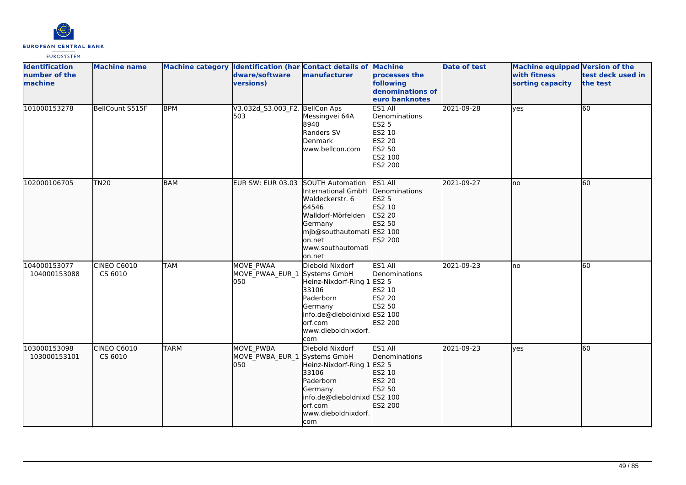

| <b>Identification</b><br>number of the<br>machine | <b>Machine name</b>    |             | Machine category Identification (har Contact details of Machine<br>dware/software<br>versions) | manufacturer                                                                                                                                                            | processes the<br>following<br>denominations of<br>euro banknotes                                    | <b>Date of test</b> | Machine equipped Version of the<br>with fitness<br>sorting capacity | test deck used in<br>the test |
|---------------------------------------------------|------------------------|-------------|------------------------------------------------------------------------------------------------|-------------------------------------------------------------------------------------------------------------------------------------------------------------------------|-----------------------------------------------------------------------------------------------------|---------------------|---------------------------------------------------------------------|-------------------------------|
| 101000153278                                      | BellCount S515F        | <b>BPM</b>  | V3.032d_S3.003_F2. BellCon Aps<br>503                                                          | Messingvei 64A<br>8940<br>Randers SV<br>Denmark<br>www.bellcon.com                                                                                                      | ES1 All<br>Denominations<br><b>ES2 5</b><br>ES2 10<br>ES2 20<br>ES2 50<br>ES2 100<br><b>ES2 200</b> | 2021-09-28          | lyes                                                                | 60                            |
| 102000106705                                      | TN20                   | <b>BAM</b>  | EUR SW: EUR 03.03 SOUTH Automation                                                             | International GmbH<br>Waldeckerstr. 6<br>64546<br>Walldorf-Mörfelden<br>Germany<br>mjb@southautomati ES2 100<br>on.net<br>www.southautomati<br>on.net                   | ES1 All<br>Denominations<br>ES2 5<br>ES2 10<br>ES2 20<br>ES2 50<br>ES2 200                          | 2021-09-27          | lno                                                                 | 60                            |
| 104000153077<br>104000153088                      | CINEO C6010<br>CS 6010 | <b>TAM</b>  | MOVE PWAA<br>MOVE PWAA EUR 1<br>050                                                            | Diebold Nixdorf<br>Systems GmbH<br>Heinz-Nixdorf-Ring 1 ES2 5<br>33106<br>Paderborn<br>Germany<br>info.de@dieboldnixd ES2 100<br>lorf.com<br>www.dieboldnixdorf.<br>com | ES1 All<br>Denominations<br>ES2 10<br>ES2 20<br>ES2 50<br>ES2 200                                   | 2021-09-23          | no                                                                  | 60                            |
| 103000153098<br>103000153101                      | CINEO C6010<br>CS 6010 | <b>TARM</b> | <b>MOVE PWBA</b><br>MOVE PWBA EUR 1 Systems GmbH<br>1050                                       | Diebold Nixdorf<br>Heinz-Nixdorf-Ring 1 ES2 5<br>33106<br>Paderborn<br>Germany<br>info.de@dieboldnixd ES2 100<br>orf.com<br>www.dieboldnixdorf.<br>com                  | ES1 All<br>Denominations<br>ES2 10<br>ES2 20<br>ES2 50<br>ES2 200                                   | 2021-09-23          | lves                                                                | 60                            |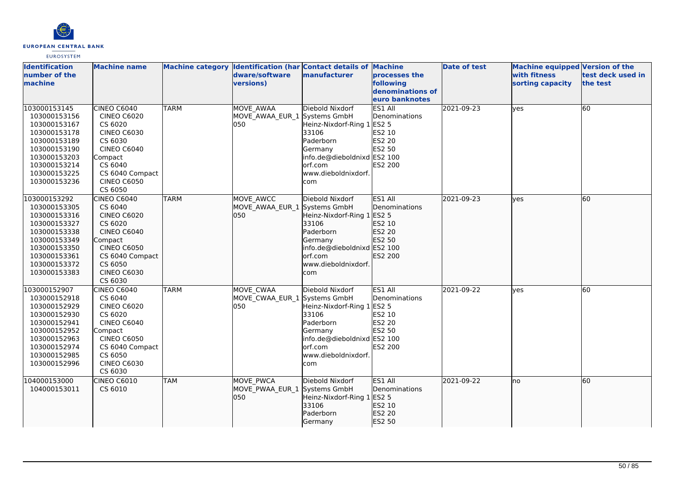

| <b>Identification</b><br>number of the<br>machine                                                                                                            | <b>Machine name</b>                                                                                                                                                                  |             | dware/software<br>versions)                             | Machine category Identification (har Contact details of Machine<br>manufacturer                                                                        | processes the<br>following<br>denominations of<br>euro banknotes           | <b>Date of test</b> | <b>Machine equipped Version of the</b><br>with fitness<br>sorting capacity | test deck used in<br>the test |
|--------------------------------------------------------------------------------------------------------------------------------------------------------------|--------------------------------------------------------------------------------------------------------------------------------------------------------------------------------------|-------------|---------------------------------------------------------|--------------------------------------------------------------------------------------------------------------------------------------------------------|----------------------------------------------------------------------------|---------------------|----------------------------------------------------------------------------|-------------------------------|
| 103000153145<br>103000153156<br>103000153167<br>103000153178<br>103000153189<br>103000153190<br>103000153203<br>103000153214<br>103000153225<br>103000153236 | <b>CINEO C6040</b><br><b>CINEO C6020</b><br>CS 6020<br><b>CINEO C6030</b><br>CS 6030<br><b>CINEO C6040</b><br>Compact<br>CS 6040<br>CS 6040 Compact<br><b>CINEO C6050</b><br>CS 6050 | <b>TARM</b> | <b>MOVE AWAA</b><br>MOVE AWAA EUR 1 Systems GmbH<br>050 | Diebold Nixdorf<br>Heinz-Nixdorf-Ring 1<br>33106<br>Paderborn<br>Germany<br>info.de@dieboldnixd ES2 100<br>orf.com<br>www.dieboldnixdorf.<br>com       | ES1 All<br>Denominations<br>ES2 5<br>ES2 10<br>ES2 20<br>ES2 50<br>ES2 200 | 2021-09-23          | yes                                                                        | 60                            |
| 103000153292<br>103000153305<br>103000153316<br>103000153327<br>103000153338<br>103000153349<br>103000153350<br>103000153361<br>103000153372<br>103000153383 | <b>CINEO C6040</b><br>CS 6040<br><b>CINEO C6020</b><br>CS 6020<br><b>CINEO C6040</b><br>Compact<br><b>CINEO C6050</b><br>CS 6040 Compact<br>CS 6050<br><b>CINEO C6030</b><br>CS 6030 | <b>TARM</b> | MOVE AWCC<br>MOVE_AWAA_EUR_1 Systems GmbH<br>050        | Diebold Nixdorf<br>Heinz-Nixdorf-Ring 1 ES2 5<br>33106<br>Paderborn<br>Germany<br>info.de@dieboldnixd ES2 100<br>orf.com<br>www.dieboldnixdorf.<br>com | ES1 All<br>Denominations<br>ES2 10<br>ES2 20<br>ES2 50<br>ES2 200          | 2021-09-23          | <b>ves</b>                                                                 | 60                            |
| 103000152907<br>103000152918<br>103000152929<br>103000152930<br>103000152941<br>103000152952<br>103000152963<br>103000152974<br>103000152985<br>103000152996 | <b>CINEO C6040</b><br>CS 6040<br><b>CINEO C6020</b><br>CS 6020<br><b>CINEO C6040</b><br>Compact<br><b>CINEO C6050</b><br>CS 6040 Compact<br>CS 6050<br><b>CINEO C6030</b><br>CS 6030 | <b>TARM</b> | MOVE CWAA<br>MOVE_CWAA_EUR_1 Systems GmbH<br>050        | Diebold Nixdorf<br>Heinz-Nixdorf-Ring 1 ES2 5<br>33106<br>Paderborn<br>Germany<br>info.de@dieboldnixd ES2 100<br>orf.com<br>www.dieboldnixdorf.<br>com | ES1 All<br>Denominations<br>ES2 10<br>ES2 20<br>ES2 50<br>ES2 200          | 2021-09-22          | yes                                                                        | 60                            |
| 104000153000<br>104000153011                                                                                                                                 | CINEO C6010<br>CS 6010                                                                                                                                                               | <b>TAM</b>  | MOVE PWCA<br>MOVE PWAA EUR 1 Systems GmbH<br>050        | Diebold Nixdorf<br>Heinz-Nixdorf-Ring 1 ES2 5<br>33106<br>Paderborn<br>Germany                                                                         | ES1 All<br>Denominations<br>ES2 10<br>ES2 20<br>ES2 50                     | 2021-09-22          | no                                                                         | 60                            |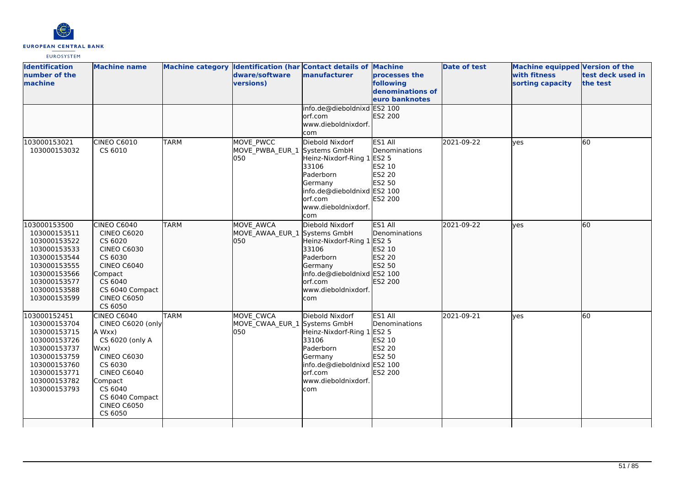

| <b>Identification</b><br>number of the<br>machine                                                                                                            | <b>Machine name</b>                                                                                                                                                                                    |             | dware/software<br>versions)                      | Machine category Identification (har Contact details of Machine<br>manufacturer                                                                        | processes the<br>following<br>denominations of<br>euro banknotes                         | <b>Date of test</b> | Machine equipped Version of the<br>with fitness<br>sorting capacity | test deck used in<br>the test |
|--------------------------------------------------------------------------------------------------------------------------------------------------------------|--------------------------------------------------------------------------------------------------------------------------------------------------------------------------------------------------------|-------------|--------------------------------------------------|--------------------------------------------------------------------------------------------------------------------------------------------------------|------------------------------------------------------------------------------------------|---------------------|---------------------------------------------------------------------|-------------------------------|
|                                                                                                                                                              |                                                                                                                                                                                                        |             |                                                  | info.de@dieboldnixd ES2 100<br>orf.com<br>www.dieboldnixdorf.<br>com                                                                                   | ES2 200                                                                                  |                     |                                                                     |                               |
| 103000153021<br>103000153032                                                                                                                                 | CINEO C6010<br>CS 6010                                                                                                                                                                                 | <b>TARM</b> | MOVE PWCC<br>MOVE_PWBA_EUR_1 Systems GmbH<br>050 | Diebold Nixdorf<br>Heinz-Nixdorf-Ring 1<br>33106<br>Paderborn<br>Germany<br>info.de@dieboldnixd ES2 100<br>orf.com<br>www.dieboldnixdorf.<br>com       | ES1 All<br>Denominations<br><b>ES2 5</b><br>ES2 10<br>ES2 20<br>ES2 50<br><b>ES2 200</b> | 2021-09-22          | ves                                                                 | 60                            |
| 103000153500<br>103000153511<br>103000153522<br>103000153533<br>103000153544<br>103000153555<br>103000153566<br>103000153577<br>103000153588<br>103000153599 | CINEO C6040<br><b>CINEO C6020</b><br>CS 6020<br><b>CINEO C6030</b><br>CS 6030<br><b>CINEO C6040</b><br>Compact<br>CS 6040<br>CS 6040 Compact<br><b>CINEO C6050</b><br>CS 6050                          | <b>TARM</b> | MOVE AWCA<br>MOVE AWAA EUR 1 Systems GmbH<br>050 | Diebold Nixdorf<br>Heinz-Nixdorf-Ring 1 ES2 5<br>33106<br>Paderborn<br>Germany<br>info.de@dieboldnixd ES2 100<br>orf.com<br>www.dieboldnixdorf.<br>com | ES1 All<br>Denominations<br>ES2 10<br>ES2 20<br>ES2 50<br>ES2 200                        | 2021-09-22          | ves                                                                 | 60                            |
| 103000152451<br>103000153704<br>103000153715<br>103000153726<br>103000153737<br>103000153759<br>103000153760<br>103000153771<br>103000153782<br>103000153793 | CINEO C6040<br>CINEO C6020 (only<br>A Wxx)<br>CS 6020 (only A<br>Wxx)<br><b>CINEO C6030</b><br>CS 6030<br><b>CINEO C6040</b><br>Compact<br>CS 6040<br>CS 6040 Compact<br><b>CINEO C6050</b><br>CS 6050 | <b>TARM</b> | MOVE_CWCA<br>MOVE_CWAA_EUR_1 Systems GmbH<br>050 | Diebold Nixdorf<br>Heinz-Nixdorf-Ring 1 ES2 5<br>33106<br>Paderborn<br>Germany<br>info.de@dieboldnixd ES2 100<br>orf.com<br>www.dieboldnixdorf.<br>com | ES1 All<br>Denominations<br>ES2 10<br>ES2 20<br>ES2 50<br><b>ES2 200</b>                 | 2021-09-21          | ves                                                                 | 60                            |
|                                                                                                                                                              |                                                                                                                                                                                                        |             |                                                  |                                                                                                                                                        |                                                                                          |                     |                                                                     |                               |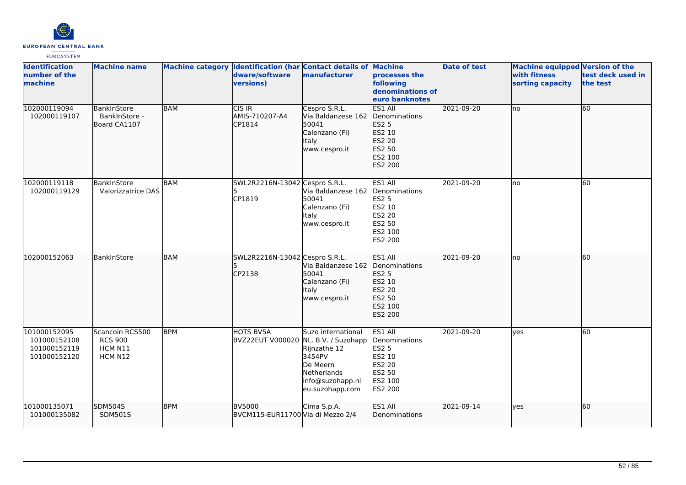

| <b>Identification</b><br>number of the<br>machine            | <b>Machine name</b>                                     |            | Machine category Identification (har Contact details of Machine<br>dware/software<br>versions) | manufacturer                                                                                                                          | processes the<br>following<br>denominations of<br>euro banknotes                             | <b>Date of test</b> | Machine equipped Version of the<br>with fitness<br>sorting capacity | test deck used in<br>the test |
|--------------------------------------------------------------|---------------------------------------------------------|------------|------------------------------------------------------------------------------------------------|---------------------------------------------------------------------------------------------------------------------------------------|----------------------------------------------------------------------------------------------|---------------------|---------------------------------------------------------------------|-------------------------------|
| 102000119094<br>102000119107                                 | BankInStore<br>BankInStore -<br>Board CA1107            | <b>BAM</b> | $CIS$ IR<br>AMIS-710207-A4<br>CP1814                                                           | Cespro S.R.L.<br>Via Baldanzese 162<br>50041<br>Calenzano (Fi)<br>Italy<br>www.cespro.it                                              | ES1 All<br>Denominations<br>ES2 5<br>ES2 10<br>ES2 20<br>ES2 50<br>ES2 100<br>ES2 200        | 2021-09-20          | Ino                                                                 | 60                            |
| 102000119118<br>102000119129                                 | BankInStore<br>Valorizzatrice DAS                       | BAM        | SWL2R2216N-13042 Cespro S.R.L.<br>15.<br>CP1819                                                | Via Baldanzese 162<br>50041<br>Calenzano (Fi)<br>Italy<br>www.cespro.it                                                               | ES1 All<br>Denominations<br><b>ES2 5</b><br>ES2 10<br>ES2 20<br>ES2 50<br>ES2 100<br>ES2 200 | 2021-09-20          | lno                                                                 | 60                            |
| 102000152063                                                 | BankInStore                                             | <b>BAM</b> | SWL2R2216N-13042 Cespro S.R.L.<br>CP2138                                                       | Via Baldanzese 162<br>50041<br>Calenzano (Fi)<br>Italy<br>www.cespro.it                                                               | ES1 All<br>Denominations<br><b>ES2 5</b><br>ES2 10<br>ES2 20<br>ES2 50<br>ES2 100<br>ES2 200 | 2021-09-20          | lno                                                                 | 60                            |
| 101000152095<br>101000152108<br>101000152119<br>101000152120 | Scancoin RCS500<br><b>RCS 900</b><br>HCM N11<br>HCM N12 | <b>BPM</b> | HOTS BV5A<br><b>BVZ22EUT V000020</b>                                                           | Suzo international<br>NL. B.V. / Suzohapp<br>Rijnzathe 12<br>3454PV<br>De Meern<br>Netherlands<br>info@suzohapp.nl<br>eu.suzohapp.com | ES1 All<br>Denominations<br><b>ES2 5</b><br>ES2 10<br>ES2 20<br>ES2 50<br>ES2 100<br>ES2 200 | 2021-09-20          | lves                                                                | 60                            |
| 101000135071<br>101000135082                                 | <b>SDM504S</b><br><b>SDM501S</b>                        | <b>BPM</b> | <b>BV5000</b><br>BVCM115-EUR11700 Via di Mezzo 2/4                                             | Cima S.p.A.                                                                                                                           | ES1 All<br>Denominations                                                                     | 2021-09-14          | ves                                                                 | 60                            |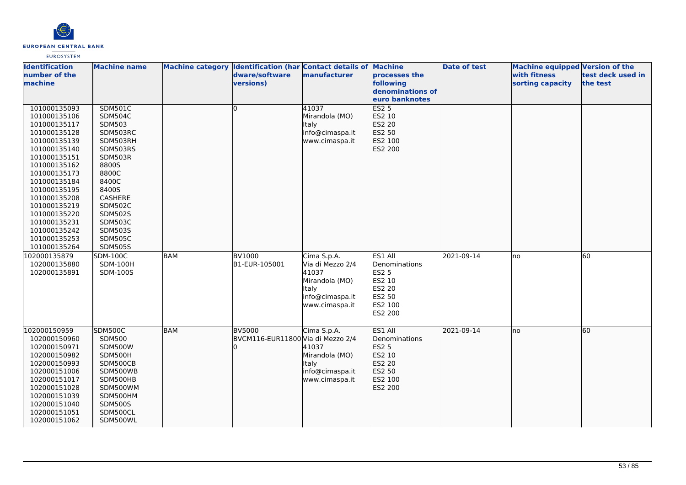

| <b>Identification</b><br>number of the<br>machine                                                                                                                                                                                                                                            | <b>Machine name</b>                                                                                                                                                                                                                                         |            | Machine category Identification (har Contact details of Machine<br>dware/software<br>versions) | manufacturer                                                                                             | processes the<br>following<br>denominations of                                               | Date of test | Machine equipped Version of the<br>with fitness<br>sorting capacity | test deck used in<br>the test |
|----------------------------------------------------------------------------------------------------------------------------------------------------------------------------------------------------------------------------------------------------------------------------------------------|-------------------------------------------------------------------------------------------------------------------------------------------------------------------------------------------------------------------------------------------------------------|------------|------------------------------------------------------------------------------------------------|----------------------------------------------------------------------------------------------------------|----------------------------------------------------------------------------------------------|--------------|---------------------------------------------------------------------|-------------------------------|
|                                                                                                                                                                                                                                                                                              |                                                                                                                                                                                                                                                             |            |                                                                                                |                                                                                                          | euro banknotes                                                                               |              |                                                                     |                               |
| 101000135093<br>101000135106<br>101000135117<br>101000135128<br>101000135139<br>101000135140<br>101000135151<br>101000135162<br>101000135173<br>101000135184<br>101000135195<br>101000135208<br>101000135219<br>101000135220<br>101000135231<br>101000135242<br>101000135253<br>101000135264 | <b>SDM501C</b><br><b>SDM504C</b><br><b>SDM503</b><br>SDM503RC<br>SDM503RH<br>SDM503RS<br>SDM503R<br>8800S<br>8800C<br>8400C<br>8400S<br>CASHERE<br><b>SDM502C</b><br><b>SDM502S</b><br><b>SDM503C</b><br><b>SDM503S</b><br><b>SDM505C</b><br><b>SDM505S</b> |            | I٥                                                                                             | 41037<br>Mirandola (MO)<br><b>Italy</b><br>info@cimaspa.it<br>www.cimaspa.it                             | <b>ES2 5</b><br>ES2 10<br>ES2 20<br>ES2 50<br>ES2 100<br>ES2 200                             |              |                                                                     |                               |
| 102000135879<br>102000135880<br>102000135891                                                                                                                                                                                                                                                 | <b>SDM-100C</b><br><b>SDM-100H</b><br>SDM-100S                                                                                                                                                                                                              | <b>BAM</b> | <b>BV1000</b><br>B1-EUR-105001                                                                 | Cima S.p.A.<br>Via di Mezzo 2/4<br>41037<br>Mirandola (MO)<br>Italy<br>info@cimaspa.it<br>www.cimaspa.it | ES1 All<br>Denominations<br><b>ES2 5</b><br>ES2 10<br>ES2 20<br>ES2 50<br>ES2 100<br>ES2 200 | 2021-09-14   | lno                                                                 | 60                            |
| 102000150959<br>102000150960<br>102000150971<br>102000150982<br>102000150993<br>102000151006<br>102000151017<br>102000151028<br>102000151039<br>102000151040<br>102000151051<br>102000151062                                                                                                 | <b>SDM500C</b><br><b>SDM500</b><br><b>SDM500W</b><br>SDM500H<br>SDM500CB<br>SDM500WB<br>SDM500HB<br>SDM500WM<br>SDM500HM<br><b>SDM500S</b><br>SDM500CL<br>SDM500WL                                                                                          | BAM        | <b>BV5000</b><br>BVCM116-EUR11800 Via di Mezzo 2/4                                             | Cima S.p.A.<br>41037<br>Mirandola (MO)<br>Italy<br>info@cimaspa.it<br>www.cimaspa.it                     | ES1 All<br>Denominations<br>ES2 5<br>ES2 10<br>ES2 20<br>ES2 50<br>ES2 100<br>ES2 200        | 2021-09-14   | lno                                                                 | 60                            |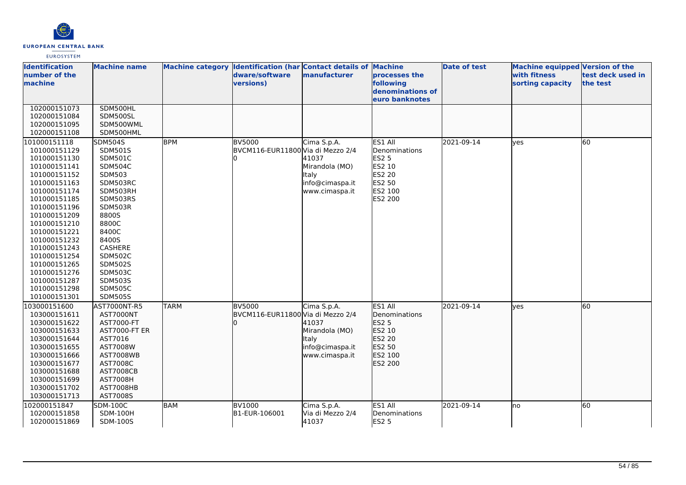

| <b>Identification</b><br>number of the<br>machine | <b>Machine name</b>      |             | Machine category Identification (har Contact details of Machine<br>dware/software<br>versions) | manufacturer                   | processes the<br>following<br>denominations of | <b>Date of test</b> | <b>Machine equipped Version of the</b><br>with fitness<br>sorting capacity | test deck used in<br>the test |
|---------------------------------------------------|--------------------------|-------------|------------------------------------------------------------------------------------------------|--------------------------------|------------------------------------------------|---------------------|----------------------------------------------------------------------------|-------------------------------|
|                                                   |                          |             |                                                                                                |                                | euro banknotes                                 |                     |                                                                            |                               |
| 102000151073                                      | SDM500HL                 |             |                                                                                                |                                |                                                |                     |                                                                            |                               |
| 102000151084                                      | SDM500SL                 |             |                                                                                                |                                |                                                |                     |                                                                            |                               |
| 102000151095                                      | SDM500WML                |             |                                                                                                |                                |                                                |                     |                                                                            |                               |
| 102000151108                                      | SDM500HML                |             |                                                                                                |                                |                                                |                     |                                                                            |                               |
| 101000151118                                      | <b>SDM504S</b>           | <b>BPM</b>  | <b>BV5000</b>                                                                                  | Cima S.p.A.                    | ES1 All                                        | 2021-09-14          | lves                                                                       | 60                            |
| 101000151129                                      | SDM501S                  |             | BVCM116-EUR11800 Via di Mezzo 2/4                                                              |                                | Denominations                                  |                     |                                                                            |                               |
| 101000151130                                      | <b>SDM501C</b>           |             |                                                                                                | 41037                          | <b>ES2 5</b>                                   |                     |                                                                            |                               |
| 101000151141                                      | <b>SDM504C</b>           |             |                                                                                                | Mirandola (MO)                 | ES2 10                                         |                     |                                                                            |                               |
| 101000151152                                      | <b>SDM503</b>            |             |                                                                                                | ltaly                          | ES2 20                                         |                     |                                                                            |                               |
| 101000151163                                      | SDM503RC                 |             |                                                                                                | info@cimaspa.it                | ES2 50                                         |                     |                                                                            |                               |
| 101000151174                                      | SDM503RH                 |             |                                                                                                | www.cimaspa.it                 | ES2 100                                        |                     |                                                                            |                               |
| 101000151185                                      | SDM503RS                 |             |                                                                                                |                                | ES2 200                                        |                     |                                                                            |                               |
| 101000151196                                      | SDM503R                  |             |                                                                                                |                                |                                                |                     |                                                                            |                               |
| 101000151209                                      | 8800S                    |             |                                                                                                |                                |                                                |                     |                                                                            |                               |
| 101000151210                                      | 8800C                    |             |                                                                                                |                                |                                                |                     |                                                                            |                               |
| 101000151221                                      | 8400C                    |             |                                                                                                |                                |                                                |                     |                                                                            |                               |
| 101000151232                                      | 8400S                    |             |                                                                                                |                                |                                                |                     |                                                                            |                               |
| 101000151243                                      | CASHERE                  |             |                                                                                                |                                |                                                |                     |                                                                            |                               |
| 101000151254                                      | <b>SDM502C</b>           |             |                                                                                                |                                |                                                |                     |                                                                            |                               |
| 101000151265                                      | <b>SDM502S</b>           |             |                                                                                                |                                |                                                |                     |                                                                            |                               |
| 101000151276                                      | <b>SDM503C</b>           |             |                                                                                                |                                |                                                |                     |                                                                            |                               |
| 101000151287                                      | SDM503S                  |             |                                                                                                |                                |                                                |                     |                                                                            |                               |
| 101000151298                                      | <b>SDM505C</b>           |             |                                                                                                |                                |                                                |                     |                                                                            |                               |
| 101000151301                                      | <b>SDM505S</b>           |             |                                                                                                |                                |                                                |                     |                                                                            |                               |
| 103000151600                                      | AST7000NT-R5             | <b>TARM</b> | <b>BV5000</b>                                                                                  | Cima S.p.A.                    | ES1 All                                        | 2021-09-14          | lves                                                                       | 60                            |
| 103000151611                                      | AST7000NT                |             | BVCM116-EUR11800 Via di Mezzo 2/4                                                              |                                | Denominations                                  |                     |                                                                            |                               |
| 103000151622<br>103000151633                      | AST7000-FT               |             |                                                                                                | 41037                          | <b>ES2 5</b><br>ES2 10                         |                     |                                                                            |                               |
|                                                   | AST7000-FT ER<br>AST7016 |             |                                                                                                | Mirandola (MO)<br><b>Italy</b> | ES2 20                                         |                     |                                                                            |                               |
| 103000151644<br>103000151655                      | AST7008W                 |             |                                                                                                | info@cimaspa.it                | ES2 50                                         |                     |                                                                            |                               |
| 103000151666                                      | <b>AST7008WB</b>         |             |                                                                                                | www.cimaspa.it                 | ES2 100                                        |                     |                                                                            |                               |
| 103000151677                                      | AST7008C                 |             |                                                                                                |                                | ES2 200                                        |                     |                                                                            |                               |
| 103000151688                                      | <b>AST7008CB</b>         |             |                                                                                                |                                |                                                |                     |                                                                            |                               |
| 103000151699                                      | <b>AST7008H</b>          |             |                                                                                                |                                |                                                |                     |                                                                            |                               |
| 103000151702                                      | AST7008HB                |             |                                                                                                |                                |                                                |                     |                                                                            |                               |
| 103000151713                                      | AST7008S                 |             |                                                                                                |                                |                                                |                     |                                                                            |                               |
| 102000151847                                      | <b>SDM-100C</b>          | <b>BAM</b>  | <b>BV1000</b>                                                                                  | Cima S.p.A.                    | ES1 All                                        | 2021-09-14          | lno                                                                        | 60                            |
| 102000151858                                      | <b>SDM-100H</b>          |             | B1-EUR-106001                                                                                  | Via di Mezzo 2/4               | Denominations                                  |                     |                                                                            |                               |
| 102000151869                                      | SDM-100S                 |             |                                                                                                | 41037                          | <b>ES2 5</b>                                   |                     |                                                                            |                               |
|                                                   |                          |             |                                                                                                |                                |                                                |                     |                                                                            |                               |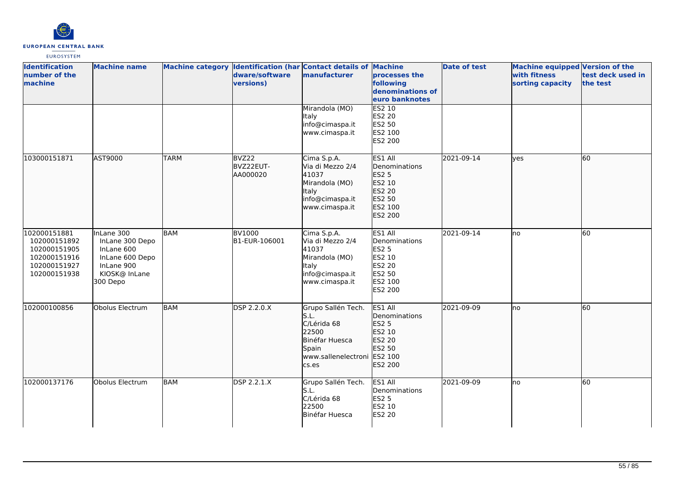

| <b>Identification</b><br>number of the<br>machine                                            | <b>Machine name</b>                                                                                       |             | dware/software<br>versions)    | Machine category Identification (har Contact details of Machine<br>manufacturer                               | processes the<br>following<br>denominations of<br>euro banknotes                             | <b>Date of test</b> | <b>Machine equipped Version of the</b><br>with fitness<br>sorting capacity | test deck used in<br>the test |
|----------------------------------------------------------------------------------------------|-----------------------------------------------------------------------------------------------------------|-------------|--------------------------------|---------------------------------------------------------------------------------------------------------------|----------------------------------------------------------------------------------------------|---------------------|----------------------------------------------------------------------------|-------------------------------|
|                                                                                              |                                                                                                           |             |                                | Mirandola (MO)<br><b>Italy</b><br>info@cimaspa.it<br>www.cimaspa.it                                           | ES2 10<br><b>ES2 20</b><br>ES2 50<br>ES2 100<br>ES2 200                                      |                     |                                                                            |                               |
| 103000151871                                                                                 | AST9000                                                                                                   | <b>TARM</b> | BVZ22<br>BVZ22EUT-<br>AA000020 | Cima S.p.A.<br>Via di Mezzo 2/4<br>41037<br>Mirandola (MO)<br>Italy<br>info@cimaspa.it<br>www.cimaspa.it      | ES1 All<br>Denominations<br>ES2 5<br>ES2 10<br>ES2 20<br>ES2 50<br>ES2 100<br>ES2 200        | 2021-09-14          | lves                                                                       | 60                            |
| 102000151881<br>102000151892<br>102000151905<br>102000151916<br>102000151927<br>102000151938 | InLane 300<br>InLane 300 Depo<br>InLane 600<br>InLane 600 Depo<br>InLane 900<br>KIOSK@ InLane<br>300 Depo | <b>BAM</b>  | <b>BV1000</b><br>B1-EUR-106001 | Cima S.p.A.<br>Via di Mezzo 2/4<br>41037<br>Mirandola (MO)<br>Italy<br>info@cimaspa.it<br>www.cimaspa.it      | ES1 All<br>Denominations<br><b>ES2 5</b><br>ES2 10<br>ES2 20<br>ES2 50<br>ES2 100<br>ES2 200 | 2021-09-14          | no                                                                         | 60                            |
| 102000100856                                                                                 | Obolus Electrum                                                                                           | <b>BAM</b>  | DSP 2.2.0.X                    | Grupo Sallén Tech.<br>S.L.<br>C/Lérida 68<br>22500<br>Binéfar Huesca<br>Spain<br>www.sallenelectroni<br>cs.es | ES1 All<br>Denominations<br><b>ES2 5</b><br>ES2 10<br>ES2 20<br>ES2 50<br>ES2 100<br>ES2 200 | 2021-09-09          | no                                                                         | 60                            |
| 102000137176                                                                                 | Obolus Electrum                                                                                           | <b>BAM</b>  | <b>DSP 2.2.1.X</b>             | Grupo Sallén Tech.<br>S.L.<br>C/Lérida 68<br>22500<br>Binéfar Huesca                                          | ES1 All<br>Denominations<br><b>ES2 5</b><br>ES2 10<br><b>ES2 20</b>                          | 2021-09-09          | lno                                                                        | $\overline{60}$               |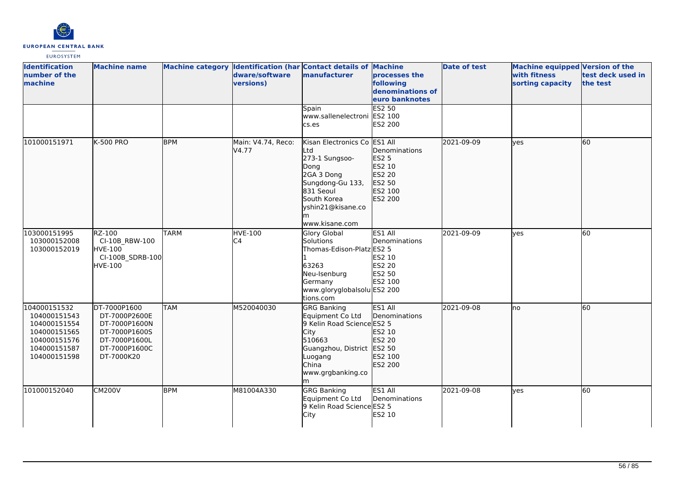

| <b>Identification</b><br>number of the<br>machine                                                            | <b>Machine name</b>                                                                                             |             | dware/software<br>versions)      | Machine category Identification (har Contact details of Machine<br>manufacturer                                                                                      | processes the<br>following<br>denominations of<br>euro banknotes                      | <b>Date of test</b> | <b>Machine equipped Version of the</b><br>with fitness<br>sorting capacity | test deck used in<br>the test |
|--------------------------------------------------------------------------------------------------------------|-----------------------------------------------------------------------------------------------------------------|-------------|----------------------------------|----------------------------------------------------------------------------------------------------------------------------------------------------------------------|---------------------------------------------------------------------------------------|---------------------|----------------------------------------------------------------------------|-------------------------------|
|                                                                                                              |                                                                                                                 |             |                                  | Spain<br>www.sallenelectroni ES2 100<br>cs.es                                                                                                                        | <b>ES2 50</b><br>ES2 200                                                              |                     |                                                                            |                               |
| 101000151971                                                                                                 | K-500 PRO                                                                                                       | <b>BPM</b>  | Main: V4.74, Reco:<br>V4.77      | Kisan Electronics Co<br>∟td<br>273-1 Sungsoo-<br>Dong<br>2GA 3 Dong<br>Sungdong-Gu 133,<br>831 Seoul<br>South Korea<br>yshin21@kisane.co<br>www.kisane.com           | ES1 All<br>Denominations<br>ES2 5<br>ES2 10<br>ES2 20<br>ES2 50<br>ES2 100<br>ES2 200 | 2021-09-09          | ves                                                                        | 60                            |
| 103000151995<br>103000152008<br>103000152019                                                                 | RZ-100<br>CI-10B RBW-100<br>HVE-100<br>CI-100B_SDRB-100<br><b>HVE-100</b>                                       | <b>TARM</b> | <b>HVE-100</b><br>C <sub>4</sub> | <b>Glory Global</b><br>Solutions<br>Thomas-Edison-Platz ES2 5<br>63263<br>Neu-Isenburg<br>Germany<br>www.gloryglobalsolu ES2 200<br>tions.com                        | ES1 All<br>Denominations<br>ES2 10<br><b>ES2 20</b><br>ES2 50<br>ES2 100              | 2021-09-09          | ves                                                                        | 60                            |
| 104000151532<br>104000151543<br>104000151554<br>104000151565<br>104000151576<br>104000151587<br>104000151598 | DT-7000P1600<br>DT-7000P2600E<br>DT-7000P1600N<br>DT-7000P1600S<br>DT-7000P1600L<br>DT-7000P1600C<br>DT-7000K20 | <b>TAM</b>  | M520040030                       | <b>GRG Banking</b><br>Equipment Co Ltd<br>9 Kelin Road Science ES2 5<br>City<br>510663<br>Guangzhou, District ES2 50<br>Luogang<br>China<br>www.grgbanking.co<br>lm. | ES1 All<br>Denominations<br>ES2 10<br>ES2 20<br>ES2 100<br>ES2 200                    | 2021-09-08          | no                                                                         | 60                            |
| 101000152040                                                                                                 | <b>CM200V</b>                                                                                                   | <b>BPM</b>  | M81004A330                       | <b>GRG Banking</b><br>Equipment Co Ltd<br>9 Kelin Road Science ES2 5<br>City                                                                                         | ES1 All<br>Denominations<br>ES2 10                                                    | 2021-09-08          | yes                                                                        | 60                            |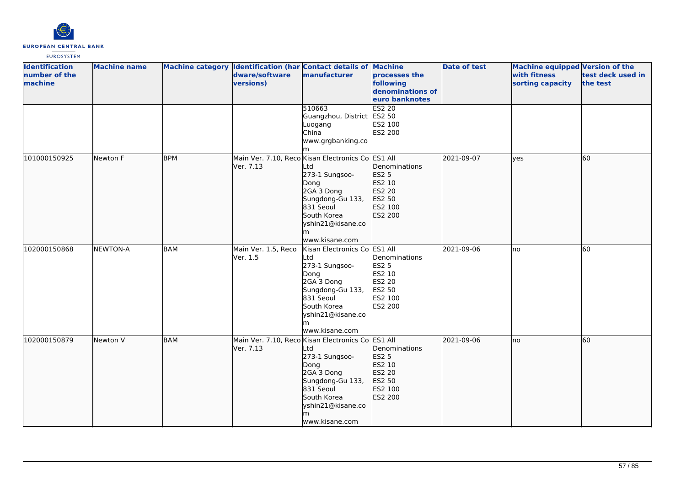

| <b>Identification</b><br>number of the<br>machine | <b>Machine name</b> |            | dware/software<br>versions)     | Machine category Identification (har Contact details of Machine<br>manufacturer                                                                                                                | processes the<br>following<br>denominations of<br>euro banknotes                                    | <b>Date of test</b> | Machine equipped Version of the<br>with fitness<br>sorting capacity | test deck used in<br>the test |
|---------------------------------------------------|---------------------|------------|---------------------------------|------------------------------------------------------------------------------------------------------------------------------------------------------------------------------------------------|-----------------------------------------------------------------------------------------------------|---------------------|---------------------------------------------------------------------|-------------------------------|
|                                                   |                     |            |                                 | 510663<br>Guangzhou, District<br>Luogang<br>China<br>www.grgbanking.co                                                                                                                         | <b>ES2 20</b><br>ES2 50<br>ES2 100<br>ES2 200                                                       |                     |                                                                     |                               |
| 101000150925                                      | Newton F            | <b>BPM</b> | Ver. 7.13                       | Main Ver. 7.10, Reco Kisan Electronics Co ES1 All<br>Ltd<br>273-1 Sungsoo-<br>Dong<br>2GA 3 Dong<br>Sungdong-Gu 133,<br>831 Seoul<br>South Korea<br>yshin21@kisane.co<br>www.kisane.com        | Denominations<br><b>ES2 5</b><br>ES2 10<br>ES2 20<br>ES2 50<br>ES2 100<br>ES2 200                   | 2021-09-07          | lves                                                                | 60                            |
| 102000150868                                      | <b>NEWTON-A</b>     | BAM        | Main Ver. 1.5, Reco<br>Ver. 1.5 | Kisan Electronics Co<br>Ltd<br>273-1 Sungsoo-<br>Dong<br>2GA 3 Dong<br>Sungdong-Gu 133,<br>831 Seoul<br>South Korea<br>yshin21@kisane.co<br>m<br>www.kisane.com                                | ES1 All<br>Denominations<br><b>ES2 5</b><br>ES2 10<br>ES2 20<br>ES2 50<br>ES2 100<br><b>ES2 200</b> | 2021-09-06          | Ino                                                                 | 60                            |
| 102000150879                                      | Newton V            | BAM        | Ver. 7.13                       | Main Ver. 7.10, Reco Kisan Electronics Co ES1 All<br>Ltd<br>273-1 Sungsoo-<br>Dong<br>2GA 3 Dong<br>Sungdong-Gu 133,<br>831 Seoul<br>South Korea<br>yshin21@kisane.co<br>lm.<br>www.kisane.com | Denominations<br><b>ES2 5</b><br>ES2 10<br>ES2 20<br>ES2 50<br>ES2 100<br>ES2 200                   | 2021-09-06          | no                                                                  | $\overline{60}$               |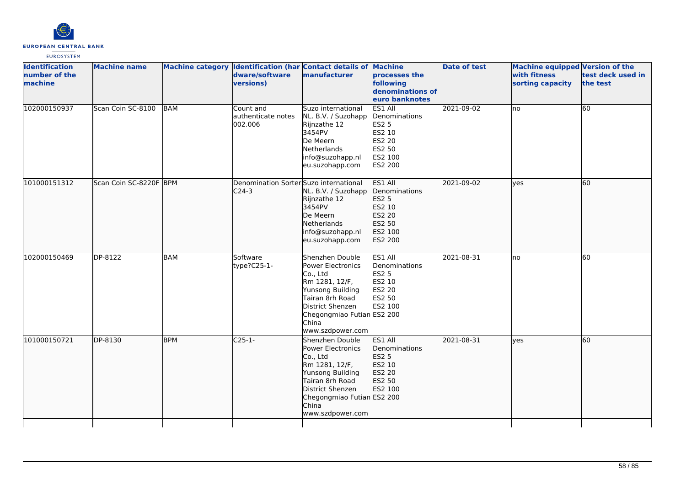

| <b>Identification</b><br>number of the<br>machine | <b>Machine name</b>    |            | Machine category Identification (har Contact details of Machine<br>dware/software<br><b>versions)</b> | manufacturer                                                                                                                                                                                    | processes the<br>following<br>denominations of<br>euro banknotes                             | Date of test | Machine equipped Version of the<br>with fitness<br>sorting capacity | test deck used in<br>the test |
|---------------------------------------------------|------------------------|------------|-------------------------------------------------------------------------------------------------------|-------------------------------------------------------------------------------------------------------------------------------------------------------------------------------------------------|----------------------------------------------------------------------------------------------|--------------|---------------------------------------------------------------------|-------------------------------|
| 102000150937                                      | Scan Coin SC-8100      | <b>BAM</b> | Count and<br>authenticate notes<br>002.006                                                            | Suzo international<br>NL. B.V. / Suzohapp<br>Rijnzathe 12<br>3454PV<br>De Meern<br>Netherlands<br>info@suzohapp.nl<br>eu.suzohapp.com                                                           | ES1 All<br>Denominations<br><b>ES2 5</b><br>ES2 10<br>ES2 20<br>ES2 50<br>ES2 100<br>ES2 200 | 2021-09-02   | lno                                                                 | 60                            |
| 101000151312                                      | Scan Coin SC-8220F BPM |            | Denomination Sorter Suzo international<br>$C24-3$                                                     | NL. B.V. / Suzohapp<br>Rijnzathe 12<br>3454PV<br>De Meern<br>Netherlands<br>info@suzohapp.nl<br>eu.suzohapp.com                                                                                 | ES1 All<br>Denominations<br>ES2 5<br>ES2 10<br>ES2 20<br>ES2 50<br>ES2 100<br>ES2 200        | 2021-09-02   | lves                                                                | 60                            |
| 102000150469                                      | DP-8122                | <b>BAM</b> | Software<br>type?C25-1-                                                                               | Shenzhen Double<br>Power Electronics<br>Co., Ltd<br>Rm 1281, 12/F,<br>Yunsong Building<br>Tairan 8rh Road<br>District Shenzen<br>Chegongmiao Futian ES2 200<br><b>China</b><br>www.szdpower.com | ES1 All<br>Denominations<br><b>ES2 5</b><br>ES2 10<br>ES2 20<br>ES2 50<br>ES2 100            | 2021-08-31   | Ino                                                                 | 60                            |
| 101000150721                                      | DP-8130                | <b>BPM</b> | $C25-1-$                                                                                              | Shenzhen Double<br>Power Electronics<br>Co., Ltd<br>Rm 1281, 12/F,<br>Yunsong Building<br>Tairan 8rh Road<br>District Shenzen<br>Chegongmiao Futian ES2 200<br><b>China</b><br>www.szdpower.com | ES1 All<br><b>IDenominations</b><br><b>ES2 5</b><br>ES2 10<br>ES2 20<br>ES2 50<br>ES2 100    | 2021-08-31   | <b>lves</b>                                                         | <b>60</b>                     |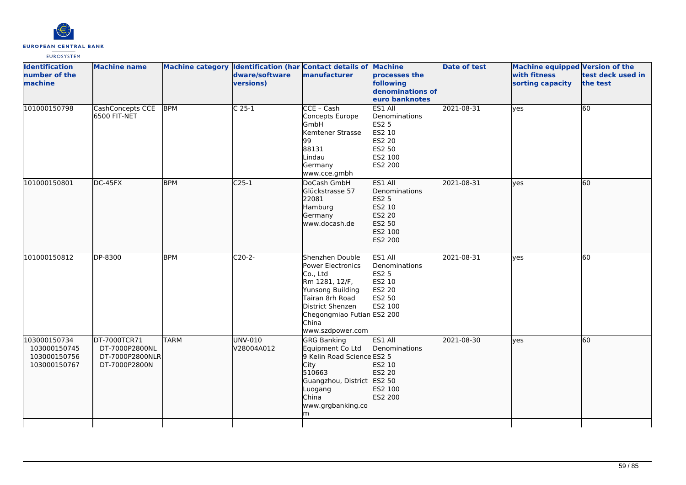

| <b>Identification</b><br>number of the<br>machine            | <b>Machine name</b>                                                |             | dware/software<br>versions) | Machine category Identification (har Contact details of Machine<br>manufacturer                                                                                                                 | processes the<br>following<br>denominations of<br>euro banknotes                             | <b>Date of test</b> | Machine equipped Version of the<br>with fitness<br>sorting capacity | test deck used in<br>the test |
|--------------------------------------------------------------|--------------------------------------------------------------------|-------------|-----------------------------|-------------------------------------------------------------------------------------------------------------------------------------------------------------------------------------------------|----------------------------------------------------------------------------------------------|---------------------|---------------------------------------------------------------------|-------------------------------|
| 101000150798                                                 | CashConcepts CCE<br>6500 FIT-NET                                   | <b>BPM</b>  | $C25-1$                     | CCE - Cash<br>Concepts Europe<br>GmbH<br>Kemtener Strasse<br>99<br>88131<br>Lindau<br>Germany<br>www.cce.gmbh                                                                                   | ES1 All<br>Denominations<br><b>ES2 5</b><br>ES2 10<br>ES2 20<br>ES2 50<br>ES2 100<br>ES2 200 | 2021-08-31          | yes                                                                 | 60                            |
| 101000150801                                                 | DC-45FX                                                            | <b>BPM</b>  | $C25-1$                     | DoCash GmbH<br>Glückstrasse 57<br>22081<br>Hamburg<br>Germany<br>www.docash.de                                                                                                                  | ES1 All<br>Denominations<br><b>ES2 5</b><br>ES2 10<br>ES2 20<br>ES2 50<br>ES2 100<br>ES2 200 | 2021-08-31          | lves                                                                | 60                            |
| 101000150812                                                 | DP-8300                                                            | <b>BPM</b>  | $C20-2-$                    | Shenzhen Double<br><b>Power Electronics</b><br>Co., Ltd<br>Rm 1281, 12/F,<br>Yunsong Building<br>Tairan 8rh Road<br>District Shenzen<br>Chegongmiao Futian ES2 200<br>China<br>www.szdpower.com | ES1 All<br>Denominations<br><b>ES2 5</b><br>ES2 10<br>ES2 20<br>ES2 50<br>ES2 100            | 2021-08-31          | yes                                                                 | 60                            |
| 103000150734<br>103000150745<br>103000150756<br>103000150767 | DT-7000TCR71<br>DT-7000P2800NL<br>DT-7000P2800NLR<br>DT-7000P2800N | <b>TARM</b> | UNV-010<br>V28004A012       | <b>GRG Banking</b><br>Equipment Co Ltd<br>9 Kelin Road Science ES2 5<br><b>City</b><br>510663<br>Guangzhou, District ES2 50<br>Luogang<br>China<br>www.grgbanking.co<br>m                       | ES1 All<br>Denominations<br>ES2 10<br>ES2 20<br>ES2 100<br>ES2 200                           | 2021-08-30          | lyes                                                                | 60                            |
|                                                              |                                                                    |             |                             |                                                                                                                                                                                                 |                                                                                              |                     |                                                                     |                               |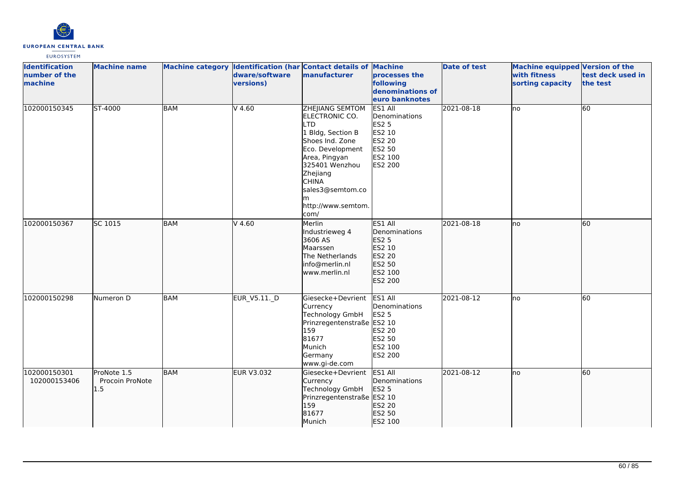

| <b>Identification</b><br>number of the<br>machine | <b>Machine name</b>                   |            | dware/software<br>versions) | Machine category Identification (har Contact details of Machine<br>manufacturer                                                                                                                                            | processes the<br>following<br>denominations of<br>euro banknotes                             | <b>Date of test</b> | <b>Machine equipped Version of the</b><br>with fitness<br>sorting capacity | test deck used in<br>the test |
|---------------------------------------------------|---------------------------------------|------------|-----------------------------|----------------------------------------------------------------------------------------------------------------------------------------------------------------------------------------------------------------------------|----------------------------------------------------------------------------------------------|---------------------|----------------------------------------------------------------------------|-------------------------------|
| 102000150345                                      | ST-4000                               | <b>BAM</b> | $V$ 4.60                    | ZHEJIANG SEMTOM<br>ELECTRONIC CO.<br>TD.<br>1 Bldg, Section B<br>Shoes Ind. Zone<br>Eco. Development<br>Area, Pingyan<br>325401 Wenzhou<br>Zhejiang<br><b>CHINA</b><br>sales3@semtom.co<br>m<br>http://www.semtom.<br>com/ | ES1 All<br>Denominations<br><b>ES2 5</b><br>ES2 10<br>ES2 20<br>ES2 50<br>ES2 100<br>ES2 200 | 2021-08-18          | Ino                                                                        | 60                            |
| 102000150367                                      | SC 1015                               | BAM        | $V$ 4.60                    | Merlin<br>Industrieweg 4<br>3606 AS<br>Maarssen<br>The Netherlands<br>info@merlin.nl<br>www.merlin.nl                                                                                                                      | ES1 All<br>Denominations<br>ES2 5<br>ES2 10<br>ES2 20<br>ES2 50<br>ES2 100<br>ES2 200        | 2021-08-18          | lno                                                                        | 60                            |
| 102000150298                                      | Numeron D                             | <b>BAM</b> | EUR_V5.11._D                | Giesecke+Devrient<br>Currency<br><b>Technology GmbH</b><br>Prinzregentenstraße ES2 10<br>159<br>81677<br>Munich<br>Germany<br>www.gi-de.com                                                                                | ES1 All<br>Denominations<br><b>ES2 5</b><br>ES2 20<br>ES2 50<br>ES2 100<br><b>ES2 200</b>    | 2021-08-12          | lno                                                                        | 60                            |
| 102000150301<br>102000153406                      | ProNote 1.5<br>Procoin ProNote<br>1.5 | <b>BAM</b> | <b>EUR V3.032</b>           | Giesecke+Devrient<br>Currency<br>Technology GmbH<br>Prinzregentenstraße ES2 10<br>159<br>81677<br>Munich                                                                                                                   | ES1 All<br>Denominations<br><b>ES2 5</b><br>ES2 20<br>ES2 50<br>ES2 100                      | 2021-08-12          | Ino                                                                        | 60                            |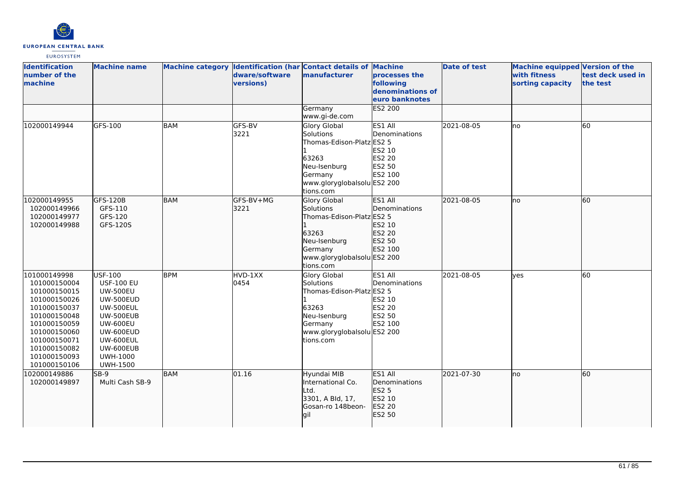

| <b>Identification</b><br>number of the<br>machine                                                                                                                                            | <b>Machine name</b>                                                                                                                                                                                         |            | dware/software<br>versions) | Machine category Identification (har Contact details of Machine<br>manufacturer                                                               | processes the<br>following<br>denominations of<br>euro banknotes  | <b>Date of test</b> | Machine equipped Version of the<br>with fitness<br>sorting capacity | test deck used in<br>the test |
|----------------------------------------------------------------------------------------------------------------------------------------------------------------------------------------------|-------------------------------------------------------------------------------------------------------------------------------------------------------------------------------------------------------------|------------|-----------------------------|-----------------------------------------------------------------------------------------------------------------------------------------------|-------------------------------------------------------------------|---------------------|---------------------------------------------------------------------|-------------------------------|
|                                                                                                                                                                                              |                                                                                                                                                                                                             |            |                             | Germany<br>www.gi-de.com                                                                                                                      | ES2 200                                                           |                     |                                                                     |                               |
| 102000149944                                                                                                                                                                                 | GFS-100                                                                                                                                                                                                     | <b>BAM</b> | GFS-BV<br>3221              | <b>Glory Global</b><br>Solutions<br>Thomas-Edison-Platz ES2 5<br>63263<br>Neu-Isenburg<br>Germany<br>www.gloryglobalsolu ES2 200<br>tions.com | ES1 All<br>Denominations<br>ES2 10<br>ES2 20<br>ES2 50<br>ES2 100 | 2021-08-05          | lno                                                                 | 60                            |
| 102000149955<br>102000149966<br>102000149977<br>102000149988                                                                                                                                 | GFS-120B<br>GFS-110<br>GFS-120<br>GFS-120S                                                                                                                                                                  | <b>BAM</b> | GFS-BV+MG<br>3221           | Glory Global<br>Solutions<br>Thomas-Edison-Platz ES2 5<br>63263<br>Neu-Isenburg<br>Germany<br>www.gloryglobalsolu ES2 200<br>tions.com        | ES1 All<br>Denominations<br>ES2 10<br>ES2 20<br>ES2 50<br>ES2 100 | 2021-08-05          | lno                                                                 | 60                            |
| 101000149998<br>101000150004<br>101000150015<br>101000150026<br>101000150037<br>101000150048<br>101000150059<br>101000150060<br>101000150071<br>101000150082<br>101000150093<br>101000150106 | <b>USF-100</b><br><b>USF-100 EU</b><br><b>UW-500EU</b><br><b>UW-500EUD</b><br><b>UW-500EUL</b><br>UW-500EUB<br><b>UW-600EU</b><br>UW-600EUD<br>UW-600EUL<br>UW-600EUB<br><b>UWH-1000</b><br><b>UWH-1500</b> | <b>BPM</b> | HVD-1XX<br>0454             | <b>Glory Global</b><br>Solutions<br>Thomas-Edison-Platz ES2 5<br>63263<br>Neu-Isenburg<br>Germany<br>www.gloryglobalsolu ES2 200<br>tions.com | ES1 All<br>Denominations<br>ES2 10<br>ES2 20<br>ES2 50<br>ES2 100 | 2021-08-05          | lyes                                                                | 60                            |
| 102000149886<br>102000149897                                                                                                                                                                 | SB-9<br>Multi Cash SB-9                                                                                                                                                                                     | <b>BAM</b> | 01.16                       | Hyundai MIB<br>International Co.<br>Ltd.<br>3301, A Bld, 17,<br>Gosan-ro 148beon-<br>gil                                                      | ES1 All<br>Denominations<br>ES2 5<br>ES2 10<br>ES2 20<br>ES2 50   | 2021-07-30          | Ino                                                                 | 60                            |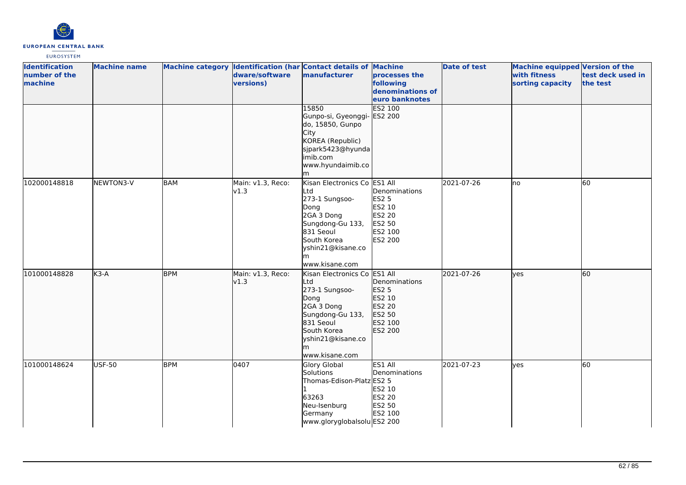

| <b>Identification</b><br>number of the<br>machine | <b>Machine name</b> |            | dware/software<br>versions) | Machine category Identification (har Contact details of Machine<br>manufacturer                                                                                          | processes the<br>following<br>denominations of<br>euro banknotes                         | <b>Date of test</b> | <b>Machine equipped Version of the</b><br>with fitness<br>sorting capacity | test deck used in<br>the test |
|---------------------------------------------------|---------------------|------------|-----------------------------|--------------------------------------------------------------------------------------------------------------------------------------------------------------------------|------------------------------------------------------------------------------------------|---------------------|----------------------------------------------------------------------------|-------------------------------|
|                                                   |                     |            |                             | 15850<br>Gunpo-si, Gyeonggi-<br>do, 15850, Gunpo<br>City<br>KOREA (Republic)<br>sjpark5423@hyunda<br>imib.com<br>www.hyundaimib.co                                       | <b>ES2 100</b><br>ES2 200                                                                |                     |                                                                            |                               |
| 102000148818                                      | NEWTON3-V           | <b>BAM</b> | Main: v1.3, Reco:<br>v1.3   | Kisan Electronics Co ES1 All<br>Ltd<br>273-1 Sungsoo-<br>Dong<br>2GA 3 Dong<br>Sungdong-Gu 133,<br>831 Seoul<br>South Korea<br>yshin21@kisane.co<br>www.kisane.com       | Denominations<br><b>ES2 5</b><br>ES2 10<br><b>ES2 20</b><br>ES2 50<br>ES2 100<br>ES2 200 | 2021-07-26          | <b>I</b> no                                                                | 60                            |
| 101000148828                                      | $K3-A$              | <b>BPM</b> | Main: v1.3, Reco:<br>v1.3   | Kisan Electronics Co ES1 All<br>Ltd<br>273-1 Sungsoo-<br>Dong<br>2GA 3 Dong<br>Sungdong-Gu 133,<br>831 Seoul<br>South Korea<br>yshin21@kisane.co<br>lm<br>www.kisane.com | Denominations<br><b>ES2 5</b><br>ES2 10<br>ES2 20<br>ES2 50<br>ES2 100<br>ES2 200        | 2021-07-26          | lyes                                                                       | 60                            |
| 101000148624                                      | <b>USF-50</b>       | <b>BPM</b> | 0407                        | <b>Glory Global</b><br>Solutions<br>Thomas-Edison-Platz ES2 5<br>63263<br>Neu-Isenburg<br>Germany<br>www.gloryglobalsolu ES2 200                                         | ES1 All<br>Denominations<br>ES2 10<br><b>ES2 20</b><br>ES2 50<br>ES2 100                 | 2021-07-23          | yes                                                                        | 60                            |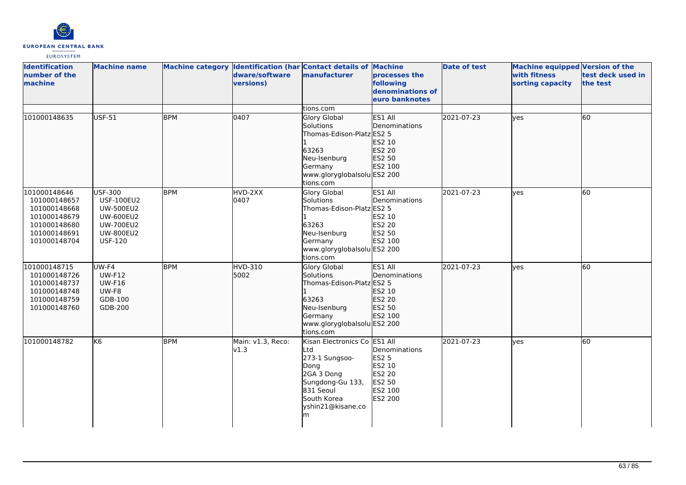

| <b>Identification</b><br>number of the<br><b>Imachine</b>                                                    | <b>Machine name</b>                                                                                                                   |            | dware/software<br>versions) | Machine category Identification (har Contact details of Machine<br>manufacturer                                                                       | processes the<br>following<br>denominations of<br>euro banknotes                  | <b>Date of test</b> | <b>Machine equipped Version of the</b><br>with fitness<br>sorting capacity | test deck used in<br>the test |
|--------------------------------------------------------------------------------------------------------------|---------------------------------------------------------------------------------------------------------------------------------------|------------|-----------------------------|-------------------------------------------------------------------------------------------------------------------------------------------------------|-----------------------------------------------------------------------------------|---------------------|----------------------------------------------------------------------------|-------------------------------|
|                                                                                                              |                                                                                                                                       |            |                             | tions.com                                                                                                                                             |                                                                                   |                     |                                                                            |                               |
| 101000148635                                                                                                 | <b>USF-51</b>                                                                                                                         | <b>BPM</b> | 0407                        | Glory Global<br>Solutions<br>Thomas-Edison-Platz ES2 5<br>63263<br>Neu-Isenburg<br>Germany<br>www.gloryglobalsolu ES2 200<br>tions.com                | ES1 All<br>Denominations<br>ES2 10<br>ES2 20<br>ES2 50<br>ES2 100                 | 2021-07-23          | yes                                                                        | 60                            |
| 101000148646<br>101000148657<br>101000148668<br>101000148679<br>101000148680<br>101000148691<br>101000148704 | <b>USF-300</b><br><b>USF-100EU2</b><br><b>UW-500EU2</b><br><b>UW-600EU2</b><br><b>UW-700EU2</b><br><b>UW-800EU2</b><br><b>USF-120</b> | <b>BPM</b> | HVD-2XX<br>0407             | <b>Glory Global</b><br>Solutions<br>Thomas-Edison-Platz ES2 5<br>63263<br>Neu-Isenburg<br>Germany<br>www.gloryglobalsolu ES2 200<br>tions.com         | ES1 All<br>Denominations<br>ES2 10<br>ES2 20<br>ES2 50<br>ES2 100                 | 2021-07-23          | <b>l</b> ves                                                               | 60                            |
| 101000148715<br>101000148726<br>101000148737<br>101000148748<br>101000148759<br>101000148760                 | UW-F4<br><b>UW-F12</b><br><b>UW-F16</b><br>UW-F8<br>GDB-100<br>GDB-200                                                                | <b>BPM</b> | <b>HVD-310</b><br>5002      | <b>Glory Global</b><br>Solutions<br>Thomas-Edison-Platz ES2 5<br>63263<br>Neu-Isenburg<br>Germany<br>www.gloryglobalsolu ES2 200<br>tions.com         | ES1 All<br>Denominations<br>ES2 10<br>ES2 20<br>ES2 50<br>ES2 100                 | 2021-07-23          | ves                                                                        | 60                            |
| 101000148782                                                                                                 | K <sub>6</sub>                                                                                                                        | <b>BPM</b> | Main: v1.3, Reco:<br>v1.3   | Kisan Electronics Co ES1 All<br>Ltd<br>273-1 Sungsoo-<br>Dong<br>2GA 3 Dong<br>Sungdong-Gu 133,<br>831 Seoul<br>South Korea<br>yshin21@kisane.co<br>m | Denominations<br><b>ES2 5</b><br>ES2 10<br>ES2 20<br>ES2 50<br>ES2 100<br>ES2 200 | 2021-07-23          | yes                                                                        | 60                            |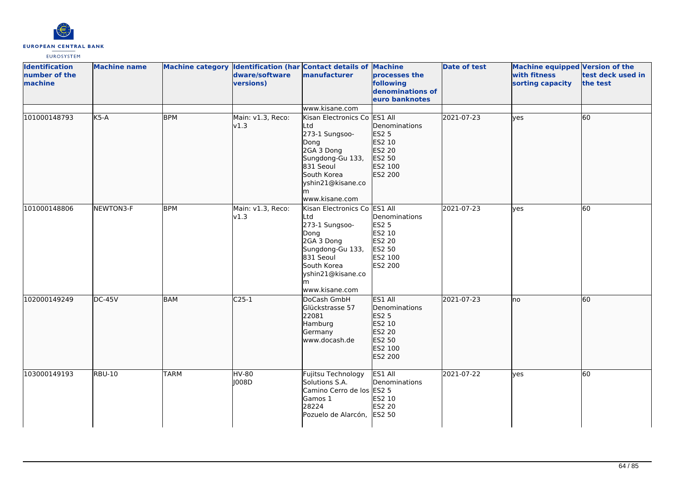

| <b>Identification</b><br>number of the<br>machine | <b>Machine name</b> |             | dware/software<br>versions) | Machine category Identification (har Contact details of Machine<br>manufacturer                                                                                          | processes the<br>following<br>denominations of<br>euro banknotes                             | <b>Date of test</b> | Machine equipped Version of the<br>with fitness<br>sorting capacity | test deck used in<br>the test |
|---------------------------------------------------|---------------------|-------------|-----------------------------|--------------------------------------------------------------------------------------------------------------------------------------------------------------------------|----------------------------------------------------------------------------------------------|---------------------|---------------------------------------------------------------------|-------------------------------|
|                                                   |                     |             |                             | www.kisane.com                                                                                                                                                           |                                                                                              |                     |                                                                     |                               |
| 101000148793                                      | $K5-A$              | <b>BPM</b>  | Main: v1.3, Reco:<br>v1.3   | Kisan Electronics Co ES1 All<br>Ltd<br>273-1 Sungsoo-<br>Dong<br>2GA 3 Dong<br>Sungdong-Gu 133,<br>831 Seoul<br>South Korea<br>yshin21@kisane.co<br>lm<br>www.kisane.com | Denominations<br><b>ES2 5</b><br>ES2 10<br>ES2 20<br>ES2 50<br>ES2 100<br>ES2 200            | 2021-07-23          | ves                                                                 | 60                            |
| 101000148806                                      | NEWTON3-F           | <b>BPM</b>  | Main: v1.3, Reco:<br>v1.3   | Kisan Electronics Co ES1 All<br>Ltd<br>273-1 Sungsoo-<br>Dong<br>2GA 3 Dong<br>Sungdong-Gu 133,<br>831 Seoul<br>South Korea<br>yshin21@kisane.co<br>www.kisane.com       | Denominations<br><b>ES2 5</b><br>ES2 10<br>ES2 20<br>ES2 50<br>ES2 100<br>ES2 200            | 2021-07-23          | lves                                                                | 60                            |
| 102000149249                                      | $DC-45V$            | <b>BAM</b>  | $C25-1$                     | DoCash GmbH<br>Glückstrasse 57<br>22081<br>Hamburg<br>Germany<br>www.docash.de                                                                                           | ES1 All<br>Denominations<br><b>ES2 5</b><br>ES2 10<br>ES2 20<br>ES2 50<br>ES2 100<br>ES2 200 | 2021-07-23          | Ino                                                                 | 60                            |
| 103000149193                                      | <b>RBU-10</b>       | <b>TARM</b> | <b>HV-80</b><br>J008D       | Fujitsu Technology<br>Solutions S.A.<br>Camino Cerro de los ES2 5<br>Gamos 1<br>28224<br>Pozuelo de Alarcón,                                                             | ES1 All<br>Denominations<br>ES2 10<br>ES2 20<br><b>ES2 50</b>                                | 2021-07-22          | yes                                                                 | 60                            |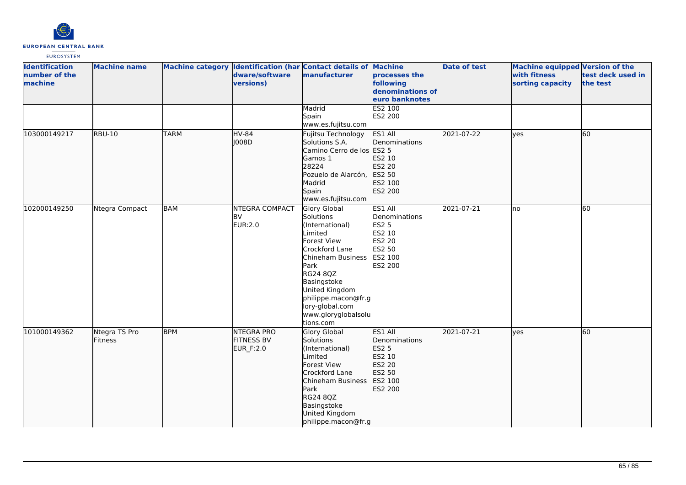

| <b>Identification</b><br>number of the<br>machine | <b>Machine name</b>             |             | dware/software<br>versions)                   | Machine category Identification (har Contact details of Machine<br>manufacturer                                                                                                                                                                  | processes the<br>following<br>denominations of<br>euro banknotes                                    | <b>Date of test</b> | Machine equipped Version of the<br>with fitness<br>sorting capacity | test deck used in<br>the test |
|---------------------------------------------------|---------------------------------|-------------|-----------------------------------------------|--------------------------------------------------------------------------------------------------------------------------------------------------------------------------------------------------------------------------------------------------|-----------------------------------------------------------------------------------------------------|---------------------|---------------------------------------------------------------------|-------------------------------|
|                                                   |                                 |             |                                               | Madrid<br>Spain<br>www.es.fujitsu.com                                                                                                                                                                                                            | ES2 100<br>ES2 200                                                                                  |                     |                                                                     |                               |
| 103000149217                                      | <b>RBU-10</b>                   | <b>TARM</b> | <b>HV-84</b><br>1008D                         | Fujitsu Technology<br>Solutions S.A.<br>Camino Cerro de los ES2 5<br>Gamos 1<br>28224<br>Pozuelo de Alarcón,<br>Madrid<br>Spain<br>www.es.fujitsu.com                                                                                            | ES1 All<br>Denominations<br>ES2 10<br>ES2 20<br>ES2 50<br>ES2 100<br>ES2 200                        | 2021-07-22          | lves                                                                | 60                            |
| 102000149250                                      | Ntegra Compact                  | <b>BAM</b>  | <b>NTEGRA COMPACT</b><br><b>BV</b><br>EUR:2.0 | Glory Global<br>Solutions<br>(International)<br>Limited<br>Forest View<br>Crockford Lane<br>Chineham Business<br>Park<br>RG24 8QZ<br>Basingstoke<br>United Kingdom<br>philippe.macon@fr.g<br>lory-global.com<br>www.gloryglobalsolu<br>tions.com | ES1 All<br>Denominations<br><b>ES2 5</b><br>ES2 10<br><b>ES2 20</b><br>ES2 50<br>ES2 100<br>ES2 200 | 2021-07-21          | lno                                                                 | 60                            |
| 101000149362                                      | Ntegra TS Pro<br><b>Fitness</b> | <b>BPM</b>  | NTEGRA PRO<br><b>FITNESS BV</b><br>EUR_F:2.0  | Glory Global<br>Solutions<br>(International)<br>Limited<br>Forest View<br>Crockford Lane<br>Chineham Business<br>Park<br>RG24 8QZ<br>Basingstoke<br>United Kingdom<br>philippe.macon@fr.g                                                        | ES1 All<br>Denominations<br>ES2 5<br>ES2 10<br>ES2 20<br>ES2 50<br>ES2 100<br>ES2 200               | 2021-07-21          | ves                                                                 | 60                            |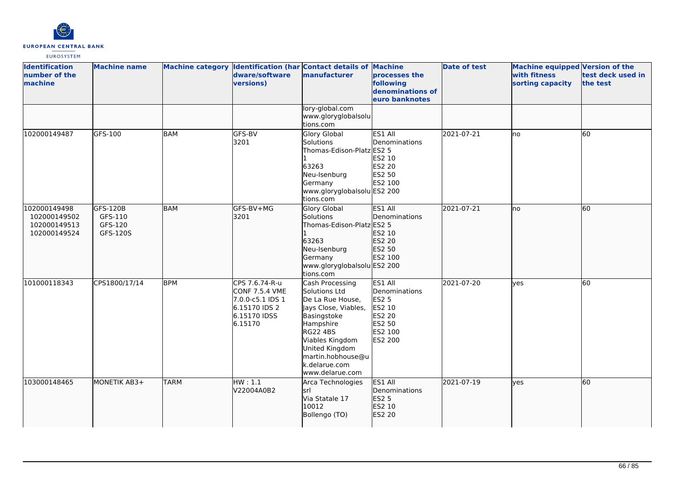

| <b>Identification</b><br>number of the<br>machine            | <b>Machine name</b>                        |             | dware/software<br>versions)                                                                             | Machine category Identification (har Contact details of Machine<br>manufacturer                                                                                                                                           | processes the<br>following<br>denominations of<br>euro banknotes                             | <b>Date of test</b> | <b>Machine equipped Version of the</b><br>with fitness<br>sorting capacity | test deck used in<br>the test |
|--------------------------------------------------------------|--------------------------------------------|-------------|---------------------------------------------------------------------------------------------------------|---------------------------------------------------------------------------------------------------------------------------------------------------------------------------------------------------------------------------|----------------------------------------------------------------------------------------------|---------------------|----------------------------------------------------------------------------|-------------------------------|
|                                                              |                                            |             |                                                                                                         | lory-global.com<br>www.gloryglobalsolu<br>tions.com                                                                                                                                                                       |                                                                                              |                     |                                                                            |                               |
| 102000149487                                                 | GFS-100                                    | <b>BAM</b>  | GFS-BV<br>3201                                                                                          | Glory Global<br>Solutions<br>Thomas-Edison-Platz ES2 5<br>63263<br>Neu-Isenburg<br>Germany<br>www.gloryglobalsolu ES2 200<br>tions.com                                                                                    | ES1 All<br>Denominations<br>ES2 10<br>ES2 20<br>ES2 50<br>ES2 100                            | 2021-07-21          | Ino                                                                        | $\overline{60}$               |
| 102000149498<br>102000149502<br>102000149513<br>102000149524 | GFS-120B<br>GFS-110<br>GFS-120<br>GFS-120S | <b>BAM</b>  | GFS-BV+MG<br>3201                                                                                       | Glory Global<br>Solutions<br>Thomas-Edison-Platz ES2 5<br>63263<br>Neu-Isenburg<br>Germany<br>www.gloryglobalsolu ES2 200<br>tions.com                                                                                    | ES1 All<br>Denominations<br>ES2 10<br>ES2 20<br>ES2 50<br>ES2 100                            | 2021-07-21          | lno                                                                        | 60                            |
| 101000118343                                                 | CPS1800/17/14                              | <b>BPM</b>  | CPS 7.6.74-R-u<br><b>CONF 7.5.4 VME</b><br>7.0.0-c5.1 IDS 1<br>6.15170 IDS 2<br>6.15170 IDSS<br>6.15170 | Cash Processing<br>Solutions Ltd<br>De La Rue House,<br>Jays Close, Viables,<br>Basingstoke<br>Hampshire<br><b>RG22 4BS</b><br>Viables Kingdom<br>United Kingdom<br>martin.hobhouse@u<br>k.delarue.com<br>www.delarue.com | ES1 All<br>Denominations<br>ES2 5<br>ES2 10<br><b>ES2 20</b><br>ES2 50<br>ES2 100<br>ES2 200 | 2021-07-20          | lves                                                                       | 60                            |
| 103000148465                                                 | MONETIK AB3+                               | <b>TARM</b> | HW:1.1<br>V22004A0B2                                                                                    | Arca Technologies<br>lsrl<br>Via Statale 17<br>10012<br>Bollengo (TO)                                                                                                                                                     | ES1 All<br>Denominations<br>ES2 5<br>ES2 10<br>ES2 20                                        | 2021-07-19          | lyes                                                                       | 60                            |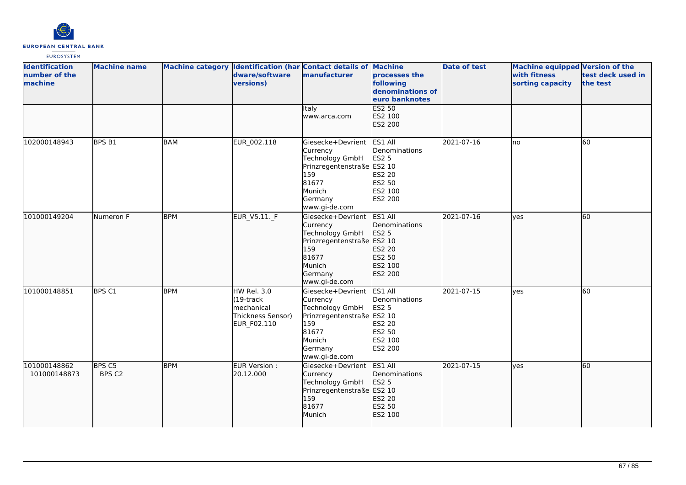

| <b>Identification</b><br>number of the<br>machine | <b>Machine name</b> |            | dware/software<br>versions)                                                          | Machine category Identification (har Contact details of Machine<br>manufacturer                                                             | processes the<br>following<br>denominations of<br>euro banknotes                   | <b>Date of test</b> | Machine equipped Version of the<br>with fitness<br>sorting capacity | test deck used in<br>the test |
|---------------------------------------------------|---------------------|------------|--------------------------------------------------------------------------------------|---------------------------------------------------------------------------------------------------------------------------------------------|------------------------------------------------------------------------------------|---------------------|---------------------------------------------------------------------|-------------------------------|
|                                                   |                     |            |                                                                                      | Italy<br>www.arca.com                                                                                                                       | <b>ES2 50</b><br>ES2 100<br>ES2 200                                                |                     |                                                                     |                               |
| 102000148943                                      | BPS <sub>B1</sub>   | <b>BAM</b> | EUR_002.118                                                                          | Giesecke+Devrient<br>Currency<br><b>Technology GmbH</b><br>Prinzregentenstraße ES2 10<br>159<br>81677<br>Munich<br>Germany<br>www.gi-de.com | ES1 All<br>Denominations<br><b>ES2 5</b><br>ES2 20<br>ES2 50<br>ES2 100<br>ES2 200 | 2021-07-16          | lno                                                                 | 60                            |
| 101000149204                                      | Numeron F           | <b>BPM</b> | EUR_V5.11. F                                                                         | Giesecke+Devrient<br>Currency<br>Technology GmbH<br>Prinzregentenstraße ES2 10<br>159<br>81677<br>Munich<br>Germany<br>www.gi-de.com        | ES1 All<br>Denominations<br>ES2 5<br>ES2 20<br>ES2 50<br>ES2 100<br>ES2 200        | 2021-07-16          | lves                                                                | 60                            |
| 101000148851                                      | BPS C1              | <b>BPM</b> | <b>HW Rel. 3.0</b><br>$(19$ -track<br>mechanical<br>Thickness Sensor)<br>EUR_F02.110 | Giesecke+Devrient<br>Currency<br><b>Technology GmbH</b><br>Prinzregentenstraße ES2 10<br>159<br>81677<br>Munich<br>Germany<br>www.gi-de.com | ES1 All<br>Denominations<br><b>ES2 5</b><br>ES2 20<br>ES2 50<br>ES2 100<br>ES2 200 | 2021-07-15          | ves                                                                 | 60                            |
| 101000148862<br>101000148873                      | BPS C5<br>BPS C2    | <b>BPM</b> | EUR Version :<br>20.12.000                                                           | Giesecke+Devrient<br>Currency<br>Technology GmbH<br>Prinzregentenstraße ES2 10<br>159<br>81677<br>Munich                                    | ES1 All<br>Denominations<br>ES2 5<br>ES2 20<br>ES2 50<br>ES2 100                   | 2021-07-15          | ves                                                                 | 60                            |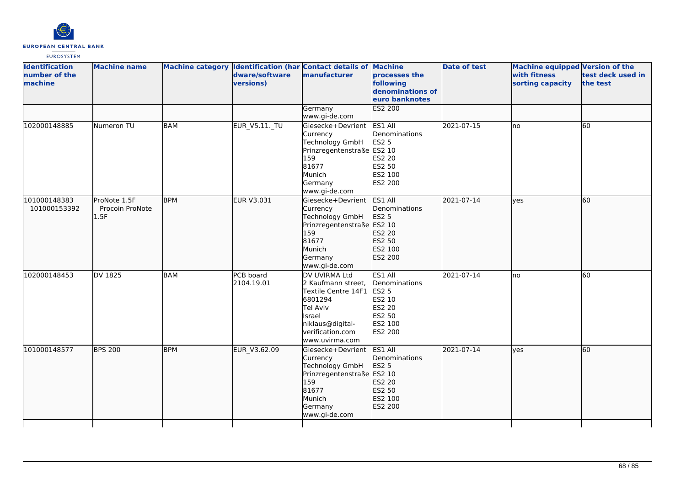

| <b>Identification</b><br>number of the<br>machine | <b>Machine name</b>                     |            | dware/software<br>versions) | Machine category Identification (har Contact details of Machine<br>manufacturer                                                                       | processes the<br>following<br>denominations of<br>euro banknotes                             | <b>Date of test</b> | <b>Machine equipped Version of the</b><br>with fitness<br>sorting capacity | test deck used in<br>the test |
|---------------------------------------------------|-----------------------------------------|------------|-----------------------------|-------------------------------------------------------------------------------------------------------------------------------------------------------|----------------------------------------------------------------------------------------------|---------------------|----------------------------------------------------------------------------|-------------------------------|
|                                                   |                                         |            |                             | Germany<br>www.gi-de.com                                                                                                                              | <b>ES2 200</b>                                                                               |                     |                                                                            |                               |
| 102000148885                                      | Numeron TU                              | <b>BAM</b> | <b>EUR_V5.11._TU</b>        | Giesecke+Devrient<br>Currency<br><b>Technology GmbH</b><br>Prinzregentenstraße ES2 10<br>159<br>81677<br>Munich<br>Germany<br>www.gi-de.com           | ES1 All<br>Denominations<br><b>ES2 5</b><br>ES2 20<br>ES2 50<br>ES2 100<br>ES2 200           | 2021-07-15          | no                                                                         | 60                            |
| 101000148383<br>101000153392                      | ProNote 1.5F<br>Procoin ProNote<br>1.5F | <b>BPM</b> | EUR V3.031                  | Giesecke+Devrient<br>Currency<br>Technology GmbH<br>Prinzregentenstraße ES2 10<br>159<br>81677<br>Munich<br>Germany<br>www.gi-de.com                  | ES1 All<br>Denominations<br>ES2 5<br>ES2 20<br>ES2 50<br>ES2 100<br>ES2 200                  | 2021-07-14          | yes                                                                        | 60                            |
| 102000148453                                      | <b>DV 1825</b>                          | <b>BAM</b> | PCB board<br>2104.19.01     | DV UVIRMA Ltd<br>2 Kaufmann street,<br>Textile Centre 14F1<br>6801294<br>Tel Aviv<br>Israel<br>niklaus@digital-<br>verification.com<br>www.uvirma.com | ES1 All<br>Denominations<br><b>ES2 5</b><br>ES2 10<br>ES2 20<br>ES2 50<br>ES2 100<br>ES2 200 | 2021-07-14          | no                                                                         | $\overline{60}$               |
| 101000148577                                      | <b>BPS 200</b>                          | <b>BPM</b> | EUR_V3.62.09                | Giesecke+Devrient<br>Currency<br>Technology GmbH<br>Prinzregentenstraße ES2 10<br>159<br>81677<br>Munich<br>Germany<br>www.gi-de.com                  | ES1 All<br>Denominations<br><b>ES2 5</b><br>ES2 20<br>ES2 50<br>ES2 100<br>ES2 200           | 2021-07-14          | ves                                                                        | 60                            |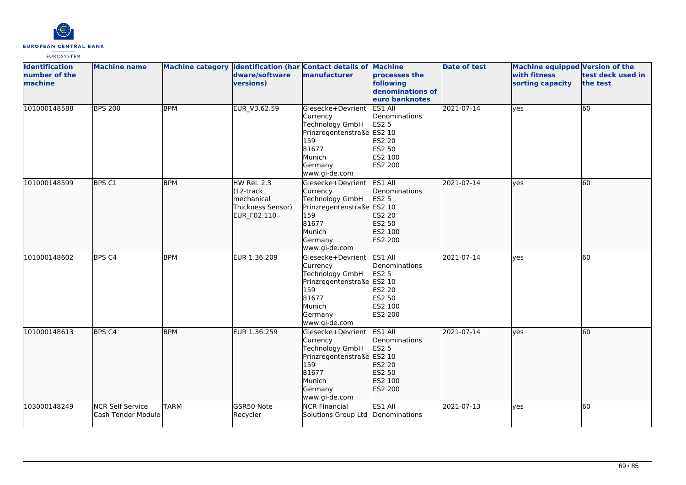

| <b>Identification</b><br>number of the<br>machine | <b>Machine name</b>                           |             | dware/software<br>versions)                                                | Machine category Identification (har Contact details of Machine<br>manufacturer                                                             | processes the<br>following<br>denominations of<br>euro banknotes                      | <b>Date of test</b> | Machine equipped Version of the<br>with fitness<br>sorting capacity | test deck used in<br>the test |
|---------------------------------------------------|-----------------------------------------------|-------------|----------------------------------------------------------------------------|---------------------------------------------------------------------------------------------------------------------------------------------|---------------------------------------------------------------------------------------|---------------------|---------------------------------------------------------------------|-------------------------------|
| 101000148588                                      | <b>BPS 200</b>                                | <b>BPM</b>  | EUR V3.62.59                                                               | Giesecke+Devrient<br>Currency<br>Technology GmbH<br>Prinzregentenstraße ES2 10<br>159<br>81677<br>Munich<br>Germany<br>www.gi-de.com        | ES1 All<br>Denominations<br><b>ES2 5</b><br>ES2 20<br>ES2 50<br>ES2 100<br>ES2 200    | 2021-07-14          | yes                                                                 | 60                            |
| 101000148599                                      | BPS C1                                        | <b>BPM</b>  | HW Rel. 2.3<br>(12-track<br>mechanical<br>Thickness Sensor)<br>EUR_F02.110 | Giesecke+Devrient<br>Currency<br>Technology GmbH<br>Prinzregentenstraße ES2 10<br>159<br>81677<br>Munich<br>Germany<br>www.gi-de.com        | ES1 All<br>Denominations<br><b>ES2 5</b><br>ES2 20<br>ES2 50<br>ES2 100<br>ES2 200    | 2021-07-14          | lyes                                                                | 60                            |
| 101000148602                                      | BPS <sub>C4</sub>                             | <b>BPM</b>  | EUR 1.36.209                                                               | Giesecke+Devrient<br>Currency<br><b>Technology GmbH</b><br>Prinzregentenstraße ES2 10<br>159<br>81677<br>Munich<br>Germany<br>www.gi-de.com | ES1 All<br>Denominations<br><b>ES2 5</b><br>ES2 20<br>ES2 50<br>ES2 100<br>ES2 200    | 2021-07-14          | yes                                                                 | 60                            |
| 101000148613                                      | BPS <sub>C4</sub>                             | <b>BPM</b>  | EUR 1.36.259                                                               | Giesecke+Devrient<br>Currency<br>Technology GmbH<br>Prinzregentenstraße<br>159<br>81677<br>Munich<br>Germany<br>www.gi-de.com               | ES1 All<br>Denominations<br>ES2 5<br>ES2 10<br>ES2 20<br>ES2 50<br>ES2 100<br>ES2 200 | 2021-07-14          | ves                                                                 | 60                            |
| 103000148249                                      | <b>NCR Self Service</b><br>Cash Tender Module | <b>TARM</b> | GSR50 Note<br>Recycler                                                     | <b>NCR Financial</b><br>Solutions Group Ltd                                                                                                 | ES1 All<br>Denominations                                                              | 2021-07-13          | lyes                                                                | 60                            |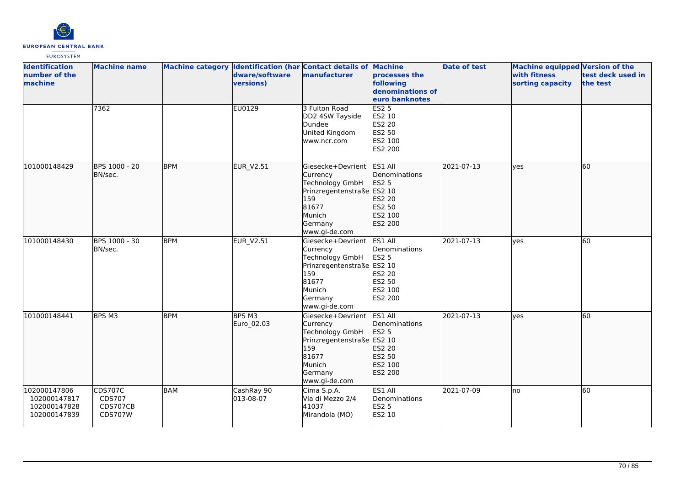

| <b>Identification</b><br>number of the<br>machine            | <b>Machine name</b>                                    |            | dware/software<br>versions) | Machine category Identification (har Contact details of Machine<br>manufacturer                                                             | processes the<br>following<br>denominations of<br>euro banknotes            | <b>Date of test</b> | <b>Machine equipped Version of the</b><br>with fitness<br>sorting capacity | test deck used in<br>the test |
|--------------------------------------------------------------|--------------------------------------------------------|------------|-----------------------------|---------------------------------------------------------------------------------------------------------------------------------------------|-----------------------------------------------------------------------------|---------------------|----------------------------------------------------------------------------|-------------------------------|
|                                                              | 7362                                                   |            | EU0129                      | 3 Fulton Road<br>DD2 4SW Tayside<br>Dundee<br>United Kingdom<br>www.ncr.com                                                                 | <b>ES2 5</b><br>ES2 10<br><b>ES2 20</b><br>ES2 50<br>ES2 100<br>ES2 200     |                     |                                                                            |                               |
| 101000148429                                                 | BPS 1000 - 20<br>BN/sec.                               | <b>BPM</b> | EUR_V2.51                   | Giesecke+Devrient<br>Currency<br>Technology GmbH<br>Prinzregentenstraße ES2 10<br>159<br>81677<br>Munich<br>Germany<br>www.gi-de.com        | ES1 All<br>Denominations<br>ES2 5<br>ES2 20<br>ES2 50<br>ES2 100<br>ES2 200 | 2021-07-13          | lyes                                                                       | 60                            |
| 101000148430                                                 | BPS 1000 - 30<br>BN/sec.                               | <b>BPM</b> | <b>EUR_V2.51</b>            | Giesecke+Devrient<br>Currency<br><b>Technology GmbH</b><br>Prinzregentenstraße ES2 10<br>159<br>81677<br>Munich<br>Germany<br>www.gi-de.com | ES1 All<br>Denominations<br>ES2 5<br>ES2 20<br>ES2 50<br>ES2 100<br>ES2 200 | 2021-07-13          | yes                                                                        | 60                            |
| 101000148441                                                 | BPS M3                                                 | <b>BPM</b> | BPS M3<br>Euro_02.03        | Giesecke+Devrient<br>Currency<br>Technology GmbH<br>Prinzregentenstraße ES2 10<br>159<br>81677<br>Munich<br>Germany<br>www.gi-de.com        | ES1 All<br>Denominations<br>ES2 5<br>ES2 20<br>ES2 50<br>ES2 100<br>ES2 200 | 2021-07-13          | lyes                                                                       | 60                            |
| 102000147806<br>102000147817<br>102000147828<br>102000147839 | <b>CDS707C</b><br>CDS707<br>CDS707CB<br><b>CDS707W</b> | BAM        | CashRay 90<br>013-08-07     | Cima S.p.A.<br>Via di Mezzo 2/4<br>41037<br>Mirandola (MO)                                                                                  | ES1 All<br>Denominations<br><b>ES2 5</b><br>ES2 10                          | 2021-07-09          | no                                                                         | 60                            |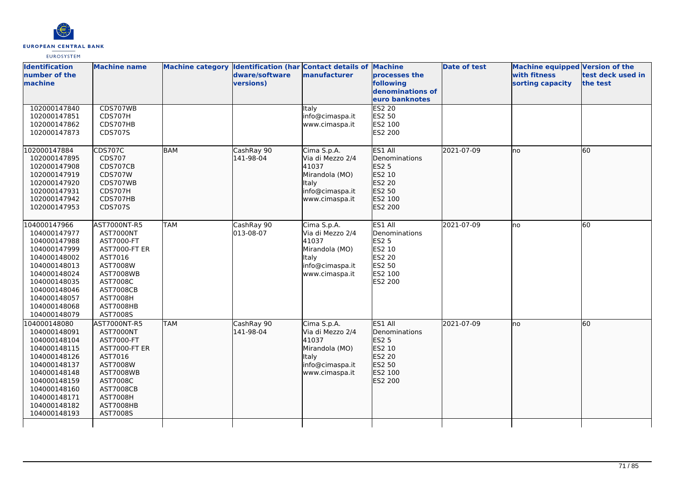

| <b>Identification</b><br>number of the<br>machine                                                                                                                                            | <b>Machine name</b>                                                                                                                                                                    |            | dware/software<br>versions) | Machine category Identification (har Contact details of Machine<br>manufacturer                                 | processes the<br>following<br>denominations of<br>euro banknotes                             | <b>Date of test</b> | <b>Machine equipped Version of the</b><br>with fitness<br>sorting capacity | test deck used in<br>the test |
|----------------------------------------------------------------------------------------------------------------------------------------------------------------------------------------------|----------------------------------------------------------------------------------------------------------------------------------------------------------------------------------------|------------|-----------------------------|-----------------------------------------------------------------------------------------------------------------|----------------------------------------------------------------------------------------------|---------------------|----------------------------------------------------------------------------|-------------------------------|
| 102000147840<br>102000147851<br>102000147862<br>102000147873                                                                                                                                 | CDS707WB<br>CDS707H<br>CDS707HB<br>CDS707S                                                                                                                                             |            |                             | Italy<br>info@cimaspa.it<br>www.cimaspa.it                                                                      | <b>ES2 20</b><br>ES2 50<br>ES2 100<br>ES2 200                                                |                     |                                                                            |                               |
| 102000147884<br>102000147895<br>102000147908<br>102000147919<br>102000147920<br>102000147931<br>102000147942<br>102000147953                                                                 | CDS707C<br>CDS707<br>CDS707CB<br><b>CDS707W</b><br>CDS707WB<br>CDS707H<br>CDS707HB<br>CDS707S                                                                                          | <b>BAM</b> | CashRay 90<br>141-98-04     | Cima S.p.A.<br>Via di Mezzo 2/4<br>41037<br>Mirandola (MO)<br><b>Italy</b><br>info@cimaspa.it<br>www.cimaspa.it | ES1 All<br>Denominations<br><b>ES2 5</b><br>ES2 10<br>ES2 20<br>ES2 50<br>ES2 100<br>ES2 200 | 2021-07-09          | lno                                                                        | 60                            |
| 104000147966<br>104000147977<br>104000147988<br>104000147999<br>104000148002<br>104000148013<br>104000148024<br>104000148035<br>104000148046<br>104000148057<br>104000148068<br>104000148079 | AST7000NT-R5<br>AST7000NT<br>AST7000-FT<br>AST7000-FT ER<br>AST7016<br>AST7008W<br><b>AST7008WB</b><br>AST7008C<br><b>AST7008CB</b><br><b>AST7008H</b><br>AST7008HB<br>AST7008S        | <b>TAM</b> | CashRay 90<br>013-08-07     | Cima S.p.A.<br>Via di Mezzo 2/4<br>41037<br>Mirandola (MO)<br><b>Italy</b><br>info@cimaspa.it<br>www.cimaspa.it | ES1 All<br>Denominations<br><b>ES2 5</b><br>ES2 10<br>ES2 20<br>ES2 50<br>ES2 100<br>ES2 200 | 2021-07-09          | lno                                                                        | 60                            |
| 104000148080<br>104000148091<br>104000148104<br>104000148115<br>104000148126<br>104000148137<br>104000148148<br>104000148159<br>104000148160<br>104000148171<br>104000148182<br>104000148193 | AST7000NT-R5<br>AST7000NT<br>AST7000-FT<br><b>AST7000-FT ER</b><br>AST7016<br>AST7008W<br><b>AST7008WB</b><br>AST7008C<br><b>AST7008CB</b><br><b>AST7008H</b><br>AST7008HB<br>AST7008S | <b>TAM</b> | CashRay 90<br>141-98-04     | Cima S.p.A.<br>Via di Mezzo 2/4<br>41037<br>Mirandola (MO)<br><b>Italy</b><br>info@cimaspa.it<br>www.cimaspa.it | ES1 All<br>Denominations<br>ES2 5<br>ES2 10<br>ES2 20<br>ES2 50<br>ES2 100<br>ES2 200        | 2021-07-09          | lno                                                                        | 60                            |
|                                                                                                                                                                                              |                                                                                                                                                                                        |            |                             |                                                                                                                 |                                                                                              |                     |                                                                            |                               |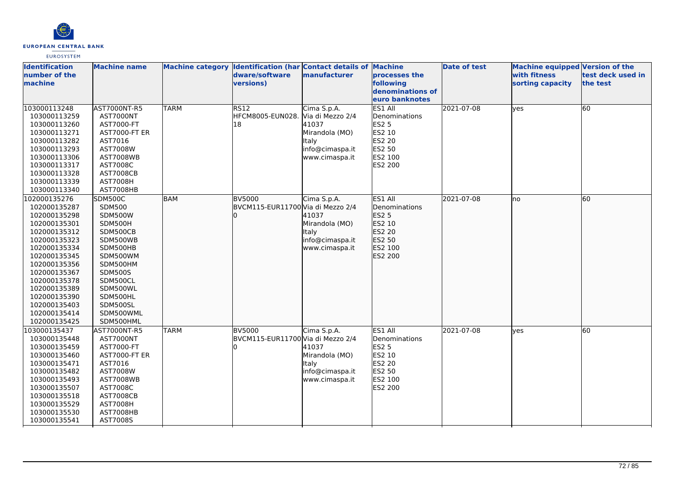

| <b>Identification</b><br>number of the<br>machine | <b>Machine name</b>          |             | Machine category Identification (har Contact details of Machine<br>dware/software<br>versions) | manufacturer    | processes the<br>following         | <b>Date of test</b> | <b>Machine equipped Version of the</b><br>with fitness<br>sorting capacity | test deck used in<br>the test |
|---------------------------------------------------|------------------------------|-------------|------------------------------------------------------------------------------------------------|-----------------|------------------------------------|---------------------|----------------------------------------------------------------------------|-------------------------------|
|                                                   |                              |             |                                                                                                |                 | denominations of<br>euro banknotes |                     |                                                                            |                               |
| 103000113248<br>103000113259                      | AST7000NT-R5<br>AST7000NT    | <b>TARM</b> | RS12<br>HFCM8005-EUN028. Via di Mezzo 2/4                                                      | Cima S.p.A.     | ES1 All<br>Denominations           | 2021-07-08          | yes                                                                        | 60                            |
| 103000113260                                      | AST7000-FT                   |             | 18                                                                                             | 41037           | <b>ES2 5</b>                       |                     |                                                                            |                               |
| 103000113271                                      | <b>AST7000-FT ER</b>         |             |                                                                                                | Mirandola (MO)  | ES2 10                             |                     |                                                                            |                               |
| 103000113282                                      | AST7016                      |             |                                                                                                | <b>Italy</b>    | <b>ES2 20</b>                      |                     |                                                                            |                               |
| 103000113293                                      | AST7008W                     |             |                                                                                                | info@cimaspa.it | ES2 50                             |                     |                                                                            |                               |
| 103000113306<br>103000113317                      | <b>AST7008WB</b>             |             |                                                                                                | www.cimaspa.it  | ES2 100<br>ES2 200                 |                     |                                                                            |                               |
| 103000113328                                      | AST7008C<br><b>AST7008CB</b> |             |                                                                                                |                 |                                    |                     |                                                                            |                               |
| 103000113339                                      | <b>AST7008H</b>              |             |                                                                                                |                 |                                    |                     |                                                                            |                               |
| 103000113340                                      | AST7008HB                    |             |                                                                                                |                 |                                    |                     |                                                                            |                               |
| 102000135276                                      | SDM500C                      | <b>BAM</b>  | <b>BV5000</b>                                                                                  | Cima S.p.A.     | ES1 All                            | 2021-07-08          | no                                                                         | 60                            |
| 102000135287                                      | <b>SDM500</b>                |             | BVCM115-EUR11700 Via di Mezzo 2/4                                                              |                 | <b>IDenominations</b>              |                     |                                                                            |                               |
| 102000135298                                      | <b>SDM500W</b>               |             |                                                                                                | 41037           | ES2 5                              |                     |                                                                            |                               |
| 102000135301                                      | SDM500H                      |             |                                                                                                | Mirandola (MO)  | ES2 10                             |                     |                                                                            |                               |
| 102000135312                                      | SDM500CB                     |             |                                                                                                | Italy           | ES2 20                             |                     |                                                                            |                               |
| 102000135323                                      | SDM500WB                     |             |                                                                                                | info@cimaspa.it | ES2 50                             |                     |                                                                            |                               |
| 102000135334                                      | SDM500HB                     |             |                                                                                                | www.cimaspa.it  | ES2 100                            |                     |                                                                            |                               |
| 102000135345                                      | SDM500WM                     |             |                                                                                                |                 | ES2 200                            |                     |                                                                            |                               |
| 102000135356                                      | SDM500HM                     |             |                                                                                                |                 |                                    |                     |                                                                            |                               |
| 102000135367                                      | <b>SDM500S</b>               |             |                                                                                                |                 |                                    |                     |                                                                            |                               |
| 102000135378                                      | SDM500CL                     |             |                                                                                                |                 |                                    |                     |                                                                            |                               |
| 102000135389<br>102000135390                      | SDM500WL<br>SDM500HL         |             |                                                                                                |                 |                                    |                     |                                                                            |                               |
| 102000135403                                      | SDM500SL                     |             |                                                                                                |                 |                                    |                     |                                                                            |                               |
| 102000135414                                      | SDM500WML                    |             |                                                                                                |                 |                                    |                     |                                                                            |                               |
| 102000135425                                      | SDM500HML                    |             |                                                                                                |                 |                                    |                     |                                                                            |                               |
| 103000135437                                      | AST7000NT-R5                 | <b>TARM</b> | <b>BV5000</b>                                                                                  | Cima S.p.A.     | ES1 All                            | 2021-07-08          | ves                                                                        | 60                            |
| 103000135448                                      | AST7000NT                    |             | BVCM115-EUR11700 Via di Mezzo 2/4                                                              |                 | Denominations                      |                     |                                                                            |                               |
| 103000135459                                      | AST7000-FT                   |             |                                                                                                | 41037           | <b>ES2 5</b>                       |                     |                                                                            |                               |
| 103000135460                                      | AST7000-FT ER                |             |                                                                                                | Mirandola (MO)  | ES2 10                             |                     |                                                                            |                               |
| 103000135471                                      | AST7016                      |             |                                                                                                | <b>Italy</b>    | ES2 20                             |                     |                                                                            |                               |
| 103000135482                                      | AST7008W                     |             |                                                                                                | info@cimaspa.it | ES2 50                             |                     |                                                                            |                               |
| 103000135493                                      | AST7008WB                    |             |                                                                                                | www.cimaspa.it  | ES2 100                            |                     |                                                                            |                               |
| 103000135507                                      | AST7008C                     |             |                                                                                                |                 | ES2 200                            |                     |                                                                            |                               |
| 103000135518                                      | <b>AST7008CB</b>             |             |                                                                                                |                 |                                    |                     |                                                                            |                               |
| 103000135529                                      | <b>AST7008H</b>              |             |                                                                                                |                 |                                    |                     |                                                                            |                               |
| 103000135530<br>103000135541                      | AST7008HB<br>AST7008S        |             |                                                                                                |                 |                                    |                     |                                                                            |                               |
|                                                   |                              |             |                                                                                                |                 |                                    |                     |                                                                            |                               |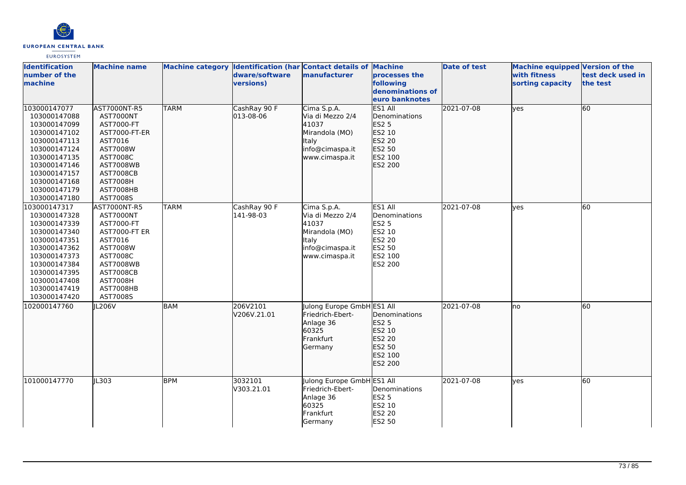

| <b>Identification</b><br>number of the<br>machine                                                                                                                                            | <b>Machine name</b>                                                                                                                                                                    |             | dware/software<br>versions) | Machine category Identification (har Contact details of Machine<br>manufacturer                                 | processes the<br>following<br>denominations of                                               | <b>Date of test</b> | <b>Machine equipped Version of the</b><br>with fitness<br>sorting capacity | test deck used in<br>the test |
|----------------------------------------------------------------------------------------------------------------------------------------------------------------------------------------------|----------------------------------------------------------------------------------------------------------------------------------------------------------------------------------------|-------------|-----------------------------|-----------------------------------------------------------------------------------------------------------------|----------------------------------------------------------------------------------------------|---------------------|----------------------------------------------------------------------------|-------------------------------|
|                                                                                                                                                                                              |                                                                                                                                                                                        |             |                             |                                                                                                                 | euro banknotes                                                                               |                     |                                                                            |                               |
| 103000147077<br>103000147088<br>103000147099<br>103000147102<br>103000147113<br>103000147124<br>103000147135<br>103000147146<br>103000147157<br>103000147168<br>103000147179<br>103000147180 | AST7000NT-R5<br>AST7000NT<br>AST7000-FT<br>AST7000-FT-ER<br>AST7016<br>AST7008W<br>AST7008C<br><b>AST7008WB</b><br><b>AST7008CB</b><br><b>AST7008H</b><br>AST7008HB<br>AST7008S        | <b>TARM</b> | CashRay 90 F<br>013-08-06   | Cima S.p.A.<br>Via di Mezzo 2/4<br>41037<br>Mirandola (MO)<br><b>Italy</b><br>info@cimaspa.it<br>www.cimaspa.it | ES1 All<br>Denominations<br>ES2 5<br>ES2 10<br>ES2 20<br>ES2 50<br>ES2 100<br>ES2 200        | 2021-07-08          | <b>yes</b>                                                                 | 60                            |
| 103000147317<br>103000147328<br>103000147339<br>103000147340<br>103000147351<br>103000147362<br>103000147373<br>103000147384<br>103000147395<br>103000147408<br>103000147419<br>103000147420 | AST7000NT-R5<br>AST7000NT<br>AST7000-FT<br><b>AST7000-FT ER</b><br>AST7016<br>AST7008W<br>AST7008C<br><b>AST7008WB</b><br><b>AST7008CB</b><br><b>AST7008H</b><br>AST7008HB<br>AST7008S | <b>TARM</b> | CashRay 90 F<br>141-98-03   | Cima S.p.A.<br>Via di Mezzo 2/4<br>41037<br>Mirandola (MO)<br><b>Italy</b><br>info@cimaspa.it<br>www.cimaspa.it | ES1 All<br>Denominations<br><b>ES2 5</b><br>ES2 10<br>ES2 20<br>ES2 50<br>ES2 100<br>ES2 200 | 2021-07-08          | <b>yes</b>                                                                 | 60                            |
| 102000147760                                                                                                                                                                                 | JL206V                                                                                                                                                                                 | <b>BAM</b>  | 206V2101<br>V206V.21.01     | Julong Europe GmbH ES1 All<br>Friedrich-Ebert-<br>Anlage 36<br>60325<br>Frankfurt<br>Germany                    | Denominations<br>ES2 5<br>ES2 10<br>ES2 20<br>ES2 50<br>ES2 100<br>ES2 200                   | 2021-07-08          | <b>I</b> no                                                                | 60                            |
| 101000147770                                                                                                                                                                                 | JL303                                                                                                                                                                                  | <b>BPM</b>  | 3032101<br>V303.21.01       | Julong Europe GmbH ES1 All<br>Friedrich-Ebert-<br>Anlage 36<br>60325<br>Frankfurt<br>Germany                    | Denominations<br><b>ES2 5</b><br>ES2 10<br>ES2 20<br>ES2 50                                  | 2021-07-08          | lves                                                                       | 60                            |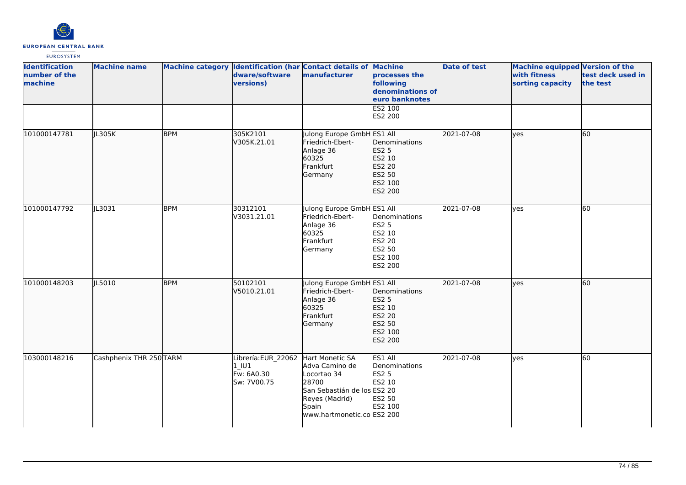

| <b>Identification</b><br>number of the<br>machine | <b>Machine name</b>     |            | dware/software<br>versions)                                  | Machine category Identification (har Contact details of Machine<br>manufacturer                                                                   | processes the<br>following<br>denominations of<br>euro banknotes                  | <b>Date of test</b> | Machine equipped Version of the<br>with fitness<br>sorting capacity | test deck used in<br>the test |
|---------------------------------------------------|-------------------------|------------|--------------------------------------------------------------|---------------------------------------------------------------------------------------------------------------------------------------------------|-----------------------------------------------------------------------------------|---------------------|---------------------------------------------------------------------|-------------------------------|
|                                                   |                         |            |                                                              |                                                                                                                                                   | ES2 100<br>ES2 200                                                                |                     |                                                                     |                               |
| 101000147781                                      | JL305K                  | <b>BPM</b> | 305K2101<br>V305K.21.01                                      | Julong Europe GmbH ES1 All<br>Friedrich-Ebert-<br>Anlage 36<br>60325<br>Frankfurt<br>Germany                                                      | Denominations<br>ES2 5<br>ES2 10<br>ES2 20<br>ES2 50<br>ES2 100<br>ES2 200        | 2021-07-08          | lyes                                                                | 60                            |
| 101000147792                                      | JL3031                  | <b>BPM</b> | 30312101<br>V3031.21.01                                      | Julong Europe GmbH ES1 All<br>Friedrich-Ebert-<br>Anlage 36<br>60325<br>Frankfurt<br>Germany                                                      | Denominations<br><b>ES2 5</b><br>ES2 10<br>ES2 20<br>ES2 50<br>ES2 100<br>ES2 200 | 2021-07-08          | lves                                                                | 60                            |
| 101000148203                                      | JL5010                  | <b>BPM</b> | 50102101<br>V5010.21.01                                      | Julong Europe GmbH ES1 All<br>Friedrich-Ebert-<br>Anlage 36<br>60325<br>Frankfurt<br>Germany                                                      | Denominations<br>ES2 5<br>ES2 10<br>ES2 20<br>ES2 50<br>ES2 100<br>ES2 200        | 2021-07-08          | lves                                                                | 60                            |
| 103000148216                                      | Cashphenix THR 250 TARM |            | Librería:EUR_22062<br>$1$ $101$<br>Fw: 6A0.30<br>Sw: 7V00.75 | Hart Monetic SA<br>Adva Camino de<br>Locortao 34<br>28700<br>San Sebastián de los ES2 20<br>Reyes (Madrid)<br>Spain<br>www.hartmonetic.co ES2 200 | ES1 All<br>Denominations<br><b>ES2 5</b><br>ES2 10<br>ES2 50<br>ES2 100           | 2021-07-08          | lves                                                                | 60                            |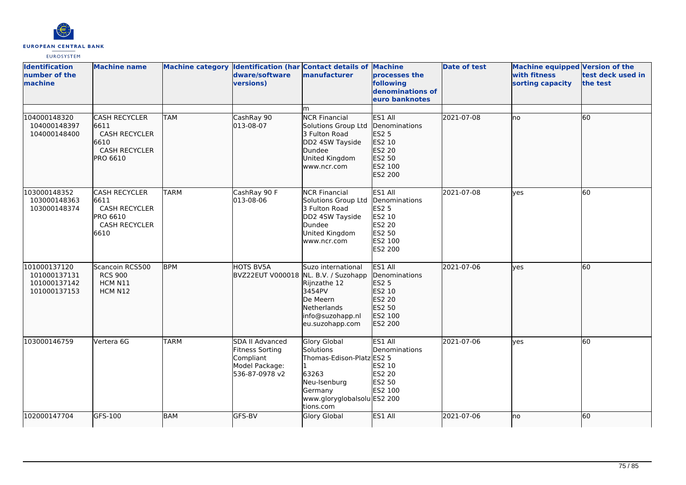

| <b>Identification</b><br>number of the<br>machine            | <b>Machine name</b>                                                                              |             | dware/software<br>versions)                                                         | Machine category Identification (har Contact details of Machine<br>manufacturer                                                        | processes the<br>following<br>denominations of<br>euro banknotes                                    | <b>Date of test</b> | <b>Machine equipped Version of the</b><br>with fitness<br>sorting capacity | test deck used in<br>the test |
|--------------------------------------------------------------|--------------------------------------------------------------------------------------------------|-------------|-------------------------------------------------------------------------------------|----------------------------------------------------------------------------------------------------------------------------------------|-----------------------------------------------------------------------------------------------------|---------------------|----------------------------------------------------------------------------|-------------------------------|
|                                                              |                                                                                                  |             |                                                                                     | m                                                                                                                                      |                                                                                                     |                     |                                                                            |                               |
| 104000148320<br>104000148397<br>104000148400                 | <b>CASH RECYCLER</b><br>6611<br><b>CASH RECYCLER</b><br>6610<br><b>CASH RECYCLER</b><br>PRO 6610 | <b>TAM</b>  | CashRay 90<br>013-08-07                                                             | <b>NCR Financial</b><br>Solutions Group Ltd<br>3 Fulton Road<br>DD2 4SW Tayside<br>Dundee<br>United Kingdom<br>www.ncr.com             | ES1 All<br>Denominations<br>ES2 5<br>ES2 10<br>ES2 20<br>ES2 50<br>ES2 100<br>ES2 200               | 2021-07-08          | lno                                                                        | 60                            |
| 103000148352<br>103000148363<br>103000148374                 | <b>CASH RECYCLER</b><br>6611<br><b>CASH RECYCLER</b><br>PRO 6610<br><b>CASH RECYCLER</b><br>6610 | <b>TARM</b> | CashRay 90 F<br>013-08-06                                                           | <b>NCR Financial</b><br>Solutions Group Ltd<br>3 Fulton Road<br>DD2 4SW Tayside<br>Dundee<br>United Kingdom<br>www.ncr.com             | ES1 All<br>Denominations<br>ES2 5<br>ES2 10<br>ES2 20<br>ES2 50<br>ES2 100<br>ES2 200               | 2021-07-08          | lves                                                                       | $\overline{60}$               |
| 101000137120<br>101000137131<br>101000137142<br>101000137153 | Scancoin RCS500<br><b>RCS 900</b><br>HCM N11<br>HCM N12                                          | <b>BPM</b>  | HOTS BV5A<br>BVZ22EUT V000018                                                       | Suzo international<br>NL. B.V. / Suzohapp<br>Rijnzathe 12<br>3454PV<br>De Meern<br>Netherlands<br>info@suzohapp.nl<br>eu.suzohapp.com  | ES1 All<br>Denominations<br><b>ES2 5</b><br>ES2 10<br>ES2 20<br>ES2 50<br>ES2 100<br><b>ES2 200</b> | 2021-07-06          | ves                                                                        | 60                            |
| 103000146759                                                 | Vertera 6G                                                                                       | <b>TARM</b> | SDA II Advanced<br>Fitness Sorting<br>Compliant<br>Model Package:<br>536-87-0978 v2 | Glory Global<br>Solutions<br>Thomas-Edison-Platz ES2 5<br>63263<br>Neu-Isenburg<br>Germany<br>www.gloryglobalsolu ES2 200<br>tions.com | ES1 All<br>Denominations<br>ES2 10<br>ES2 20<br>ES2 50<br>ES2 100                                   | 2021-07-06          | ves                                                                        | 60                            |
| 102000147704                                                 | GFS-100                                                                                          | <b>BAM</b>  | <b>GFS-BV</b>                                                                       | Glory Global                                                                                                                           | ES1 All                                                                                             | 2021-07-06          | no                                                                         | 60                            |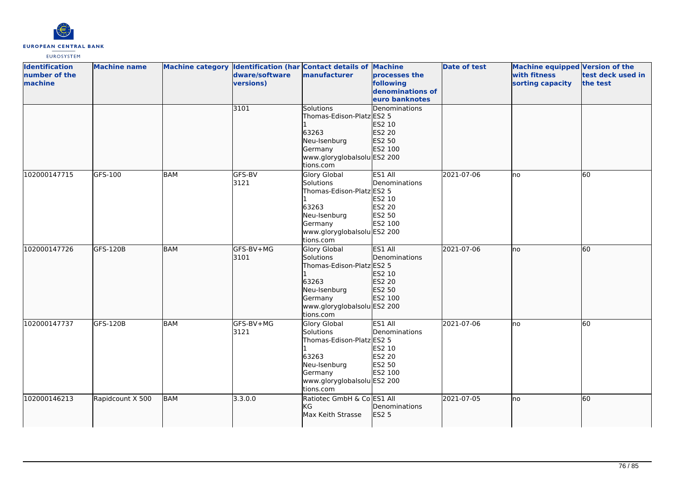

| <b>Identification</b><br>number of the<br>machine | <b>Machine name</b> |            | dware/software<br>versions) | Machine category Identification (har Contact details of Machine<br>manufacturer                                                               | processes the<br>following<br>denominations of<br>euro banknotes  | <b>Date of test</b> | Machine equipped Version of the<br>with fitness<br>sorting capacity | test deck used in<br>the test |
|---------------------------------------------------|---------------------|------------|-----------------------------|-----------------------------------------------------------------------------------------------------------------------------------------------|-------------------------------------------------------------------|---------------------|---------------------------------------------------------------------|-------------------------------|
|                                                   |                     |            | 3101                        | <b>Solutions</b><br>Thomas-Edison-Platz ES2 5<br>63263<br>Neu-Isenburg<br>Germany<br>www.gloryglobalsolu ES2 200<br>tions.com                 | <b>Denominations</b><br>ES2 10<br>ES2 20<br>ES2 50<br>ES2 100     |                     |                                                                     |                               |
| 102000147715                                      | GFS-100             | <b>BAM</b> | GFS-BV<br>3121              | Glory Global<br><b>Solutions</b><br>Thomas-Edison-Platz ES2 5<br>63263<br>Neu-Isenburg<br>Germany<br>www.gloryglobalsolu ES2 200<br>tions.com | ES1 All<br>Denominations<br>ES2 10<br>ES2 20<br>ES2 50<br>ES2 100 | 2021-07-06          | no                                                                  | 60                            |
| 102000147726                                      | GFS-120B            | <b>BAM</b> | GFS-BV+MG<br>3101           | Glory Global<br>Solutions<br>Thomas-Edison-Platz ES2 5<br>63263<br>Neu-Isenburg<br>Germany<br>www.gloryglobalsolu ES2 200<br>tions.com        | ES1 All<br>Denominations<br>ES2 10<br>ES2 20<br>ES2 50<br>ES2 100 | 2021-07-06          | no                                                                  | 60                            |
| 102000147737                                      | <b>GFS-120B</b>     | <b>BAM</b> | GFS-BV+MG<br>3121           | <b>Glory Global</b><br>Solutions<br>Thomas-Edison-Platz ES2 5<br>63263<br>Neu-Isenburg<br>Germany<br>www.gloryglobalsolu ES2 200<br>tions.com | ES1 All<br>Denominations<br>ES2 10<br>ES2 20<br>ES2 50<br>ES2 100 | 2021-07-06          | Ino                                                                 | $\overline{60}$               |
| 102000146213                                      | Rapidcount X 500    | <b>BAM</b> | 3.3.0.0                     | Ratiotec GmbH & Co ES1 All<br><b>KG</b><br>Max Keith Strasse                                                                                  | Denominations<br>ES2 5                                            | 2021-07-05          | no                                                                  | 60                            |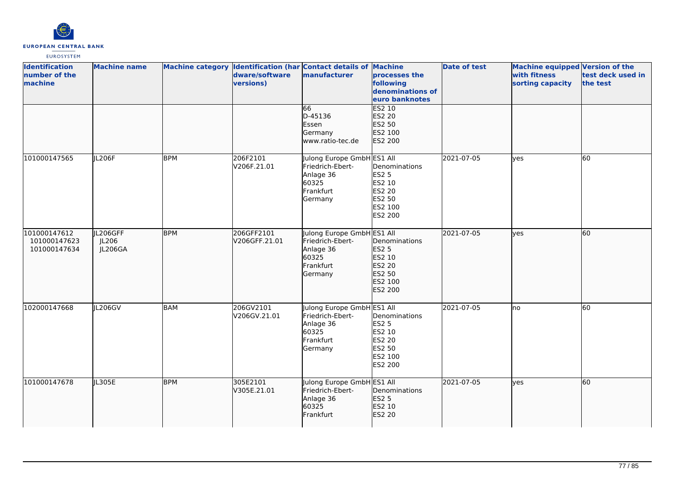

| <b>Identification</b><br>number of the<br>machine | <b>Machine name</b>          |            | dware/software<br>versions) | Machine category Identification (har Contact details of Machine<br>manufacturer              | processes the<br>following<br>denominations of<br>euro banknotes                  | <b>Date of test</b> | Machine equipped Version of the<br>with fitness<br>sorting capacity | test deck used in<br>the test |
|---------------------------------------------------|------------------------------|------------|-----------------------------|----------------------------------------------------------------------------------------------|-----------------------------------------------------------------------------------|---------------------|---------------------------------------------------------------------|-------------------------------|
|                                                   |                              |            |                             | 66<br>D-45136<br>Essen<br>Germany<br>www.ratio-tec.de                                        | ES2 10<br>ES2 20<br>ES2 50<br>ES2 100<br>ES2 200                                  |                     |                                                                     |                               |
| 101000147565                                      | JL206F                       | <b>BPM</b> | 206F2101<br>V206F.21.01     | Julong Europe GmbH ES1 All<br>Friedrich-Ebert-<br>Anlage 36<br>60325<br>Frankfurt<br>Germany | Denominations<br><b>ES2 5</b><br>ES2 10<br>ES2 20<br>ES2 50<br>ES2 100<br>ES2 200 | 2021-07-05          | yes                                                                 | 60                            |
| 101000147612<br>101000147623<br>101000147634      | IL206GFF<br>JL206<br>JL206GA | <b>BPM</b> | 206GFF2101<br>V206GFF.21.01 | Julong Europe GmbH ES1 All<br>Friedrich-Ebert-<br>Anlage 36<br>60325<br>Frankfurt<br>Germany | Denominations<br>ES2 5<br>ES2 10<br>ES2 20<br>ES2 50<br>ES2 100<br>ES2 200        | 2021-07-05          | ves                                                                 | 60                            |
| 102000147668                                      | JL206GV                      | <b>BAM</b> | 206GV2101<br>V206GV.21.01   | Julong Europe GmbH ES1 All<br>Friedrich-Ebert-<br>Anlage 36<br>60325<br>Frankfurt<br>Germany | Denominations<br><b>ES2 5</b><br>ES2 10<br>ES2 20<br>ES2 50<br>ES2 100<br>ES2 200 | 2021-07-05          | no                                                                  | 60                            |
| 101000147678                                      | JL305E                       | <b>BPM</b> | 305E2101<br>V305E.21.01     | Julong Europe GmbH ES1 All<br>Friedrich-Ebert-<br>Anlage 36<br>60325<br>Frankfurt            | Denominations<br>ES2 5<br>ES2 10<br>ES2 20                                        | 2021-07-05          | lyes                                                                | 60                            |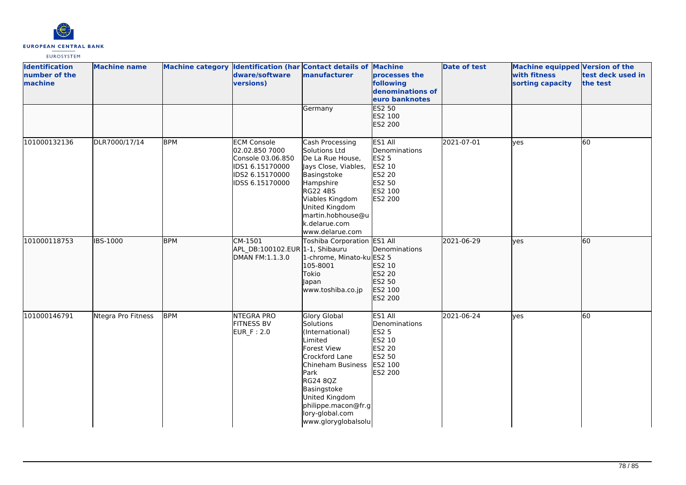

| <b>Identification</b><br>number of the<br>machine | <b>Machine name</b> |            | Machine category Identification (har Contact details of Machine<br>dware/software<br>versions)                     | manufacturer                                                                                                                                                                                                                        | processes the<br>following<br>denominations of<br>euro banknotes                                    | <b>Date of test</b> | Machine equipped Version of the<br>with fitness<br>sorting capacity | test deck used in<br>the test |
|---------------------------------------------------|---------------------|------------|--------------------------------------------------------------------------------------------------------------------|-------------------------------------------------------------------------------------------------------------------------------------------------------------------------------------------------------------------------------------|-----------------------------------------------------------------------------------------------------|---------------------|---------------------------------------------------------------------|-------------------------------|
|                                                   |                     |            |                                                                                                                    | Germany                                                                                                                                                                                                                             | <b>ES2 50</b><br>ES2 100<br>ES2 200                                                                 |                     |                                                                     |                               |
| 101000132136                                      | DLR7000/17/14       | <b>BPM</b> | <b>ECM Console</b><br>02.02.850 7000<br>Console 03.06.850<br>IDS1 6.15170000<br>IDS2 6.15170000<br>IDSS 6.15170000 | Cash Processing<br>Solutions Ltd<br>De La Rue House,<br>Jays Close, Viables,<br>Basingstoke<br>Hampshire<br><b>RG22 4BS</b><br>Viables Kingdom<br>United Kingdom<br>martin.hobhouse@u<br>k.delarue.com<br>www.delarue.com           | ES1 All<br>Denominations<br>ES2 5<br>ES2 10<br><b>ES2 20</b><br>ES2 50<br>ES2 100<br><b>ES2 200</b> | 2021-07-01          | lves                                                                | 60                            |
| 101000118753                                      | <b>IBS-1000</b>     | <b>BPM</b> | CM-1501<br>APL DB:100102.EUR 1-1, Shibauru<br>DMAN FM:1.1.3.0                                                      | Toshiba Corporation ES1 All<br>1-chrome, Minato-ku ES2 5<br>105-8001<br>Tokio<br>Japan<br>www.toshiba.co.jp                                                                                                                         | Denominations<br>ES2 10<br>ES2 20<br>ES2 50<br>ES2 100<br>ES2 200                                   | 2021-06-29          | lyes                                                                | 60                            |
| 101000146791                                      | Ntegra Pro Fitness  | <b>BPM</b> | <b>NTEGRA PRO</b><br><b>FITNESS BV</b><br><b>EUR_F: 2.0</b>                                                        | Glory Global<br>Solutions<br>(International)<br>Limited<br>Forest View<br>Crockford Lane<br>Chineham Business<br>Park<br>RG24 8QZ<br>Basingstoke<br>United Kingdom<br>philippe.macon@fr.g<br>lory-global.com<br>www.gloryglobalsolu | ES1 All<br>Denominations<br><b>ES2 5</b><br>ES2 10<br>ES2 20<br>ES2 50<br>ES2 100<br>ES2 200        | 2021-06-24          | lves                                                                | 60                            |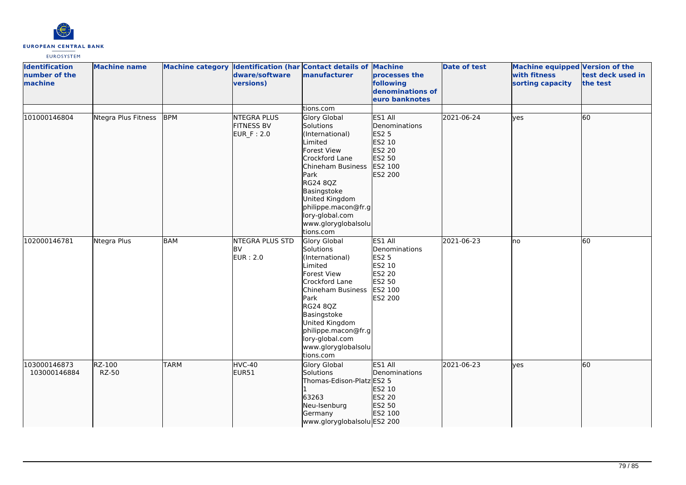

| <b>Identification</b><br>number of the<br>machine | <b>Machine name</b>    |             | dware/software<br>versions)                           | Machine category Identification (har Contact details of Machine<br>manufacturer                                                                                                                                                                                | processes the<br>following<br>denominations of<br>euro banknotes                             | <b>Date of test</b> | Machine equipped Version of the<br>with fitness<br>sorting capacity | test deck used in<br>the test |
|---------------------------------------------------|------------------------|-------------|-------------------------------------------------------|----------------------------------------------------------------------------------------------------------------------------------------------------------------------------------------------------------------------------------------------------------------|----------------------------------------------------------------------------------------------|---------------------|---------------------------------------------------------------------|-------------------------------|
|                                                   |                        |             |                                                       | tions.com                                                                                                                                                                                                                                                      |                                                                                              |                     |                                                                     |                               |
| 101000146804                                      | Ntegra Plus Fitness    | <b>BPM</b>  | <b>NTEGRA PLUS</b><br><b>FITNESS BV</b><br>EUR_F: 2.0 | Glory Global<br>Solutions<br>(International)<br>Limited<br><b>Forest View</b><br>Crockford Lane<br>Chineham Business<br>Park<br><b>RG24 8QZ</b><br>Basingstoke<br>United Kingdom<br>philippe.macon@fr.g<br>lory-global.com<br>www.gloryglobalsolu<br>tions.com | ES1 All<br>Denominations<br>ES2 5<br>ES2 10<br>ES2 20<br>ES2 50<br>ES2 100<br>ES2 200        | 2021-06-24          | yes                                                                 | 60                            |
| 102000146781                                      | Ntegra Plus            | <b>BAM</b>  | NTEGRA PLUS STD<br><b>BV</b><br><b>EUR</b> : 2.0      | <b>Glory Global</b><br>Solutions<br>(International)<br>Limited<br>Forest View<br>Crockford Lane<br>Chineham Business<br>Park<br><b>RG24 8QZ</b><br>Basingstoke<br>United Kingdom<br>philippe.macon@fr.g<br>lory-global.com<br>www.gloryglobalsolu<br>tions.com | ES1 All<br>Denominations<br><b>ES2 5</b><br>ES2 10<br>ES2 20<br>ES2 50<br>ES2 100<br>ES2 200 | 2021-06-23          | lno                                                                 | 60                            |
| 103000146873<br>103000146884                      | RZ-100<br><b>RZ-50</b> | <b>TARM</b> | HVC-40<br>EUR51                                       | Glory Global<br>Solutions<br>Thomas-Edison-Platz ES2 5<br>63263<br>Neu-Isenburg<br>Germany<br>www.gloryglobalsolu ES2 200                                                                                                                                      | ES1 All<br>Denominations<br>ES2 10<br>ES2 20<br>ES2 50<br>ES2 100                            | 2021-06-23          | ves                                                                 | 60                            |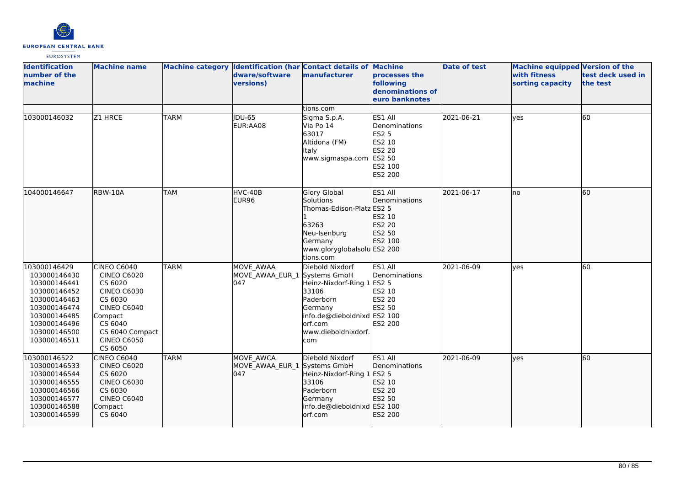

| <b>Identification</b><br>number of the<br>machine                                                                                                            | <b>Machine name</b>                                                                                                                                                           |             | dware/software<br>versions)                             | Machine category Identification (har Contact details of Machine<br>manufacturer                                                                        | processes the<br>following<br>denominations of<br>euro banknotes                                                  | <b>Date of test</b> | <b>Machine equipped Version of the</b><br>with fitness<br>sorting capacity | test deck used in<br>the test |
|--------------------------------------------------------------------------------------------------------------------------------------------------------------|-------------------------------------------------------------------------------------------------------------------------------------------------------------------------------|-------------|---------------------------------------------------------|--------------------------------------------------------------------------------------------------------------------------------------------------------|-------------------------------------------------------------------------------------------------------------------|---------------------|----------------------------------------------------------------------------|-------------------------------|
|                                                                                                                                                              |                                                                                                                                                                               |             |                                                         | tions.com                                                                                                                                              |                                                                                                                   |                     |                                                                            |                               |
| 103000146032                                                                                                                                                 | Z1 HRCE                                                                                                                                                                       | <b>TARM</b> | <b>IDU-65</b><br>EUR:AA08                               | Sigma S.p.A.<br>Via Po 14<br>63017<br>Altidona (FM)<br><b>Italy</b><br>www.sigmaspa.com                                                                | ES1 All<br>Denominations<br><b>ES2 5</b><br><b>ES2 10</b><br><b>ES2 20</b><br>ES2 50<br>ES2 100<br><b>ES2 200</b> | 2021-06-21          | yes                                                                        | 60                            |
| 104000146647                                                                                                                                                 | RBW-10A                                                                                                                                                                       | <b>TAM</b>  | HVC-40B<br>EUR96                                        | <b>Glory Global</b><br>Solutions<br>Thomas-Edison-Platz ES2 5<br>63263<br>Neu-Isenburg<br>Germany<br>www.gloryglobalsolu ES2 200<br>tions.com          | ES1 All<br>Denominations<br>ES2 10<br>ES2 20<br>ES2 50<br>ES2 100                                                 | 2021-06-17          | lno                                                                        | 60                            |
| 103000146429<br>103000146430<br>103000146441<br>103000146452<br>103000146463<br>103000146474<br>103000146485<br>103000146496<br>103000146500<br>103000146511 | CINEO C6040<br><b>CINEO C6020</b><br>CS 6020<br><b>CINEO C6030</b><br>CS 6030<br><b>CINEO C6040</b><br>Compact<br>CS 6040<br>CS 6040 Compact<br><b>CINEO C6050</b><br>CS 6050 | <b>TARM</b> | <b>MOVE AWAA</b><br>MOVE_AWAA_EUR_1 Systems GmbH<br>047 | Diebold Nixdorf<br>Heinz-Nixdorf-Ring 1 ES2 5<br>33106<br>Paderborn<br>Germany<br>info.de@dieboldnixd ES2 100<br>orf.com<br>www.dieboldnixdorf.<br>com | ES1 All<br>Denominations<br>ES2 10<br>ES2 20<br>ES2 50<br>ES2 200                                                 | 2021-06-09          | ves                                                                        | 60                            |
| 103000146522<br>103000146533<br>103000146544<br>103000146555<br>103000146566<br>103000146577<br>103000146588<br>103000146599                                 | CINEO C6040<br><b>CINEO C6020</b><br>CS 6020<br><b>CINEO C6030</b><br>CS 6030<br><b>CINEO C6040</b><br>Compact<br>CS 6040                                                     | <b>TARM</b> | MOVE AWCA<br>MOVE AWAA EUR 1 Systems GmbH<br>047        | Diebold Nixdorf<br>Heinz-Nixdorf-Ring 1 ES2 5<br>33106<br>Paderborn<br>Germany<br>info.de@dieboldnixd ES2 100<br>orf.com                               | ES1 All<br><b>IDenominations</b><br>ES2 10<br>ES2 20<br>ES2 50<br>ES2 200                                         | 2021-06-09          | lves                                                                       | 60                            |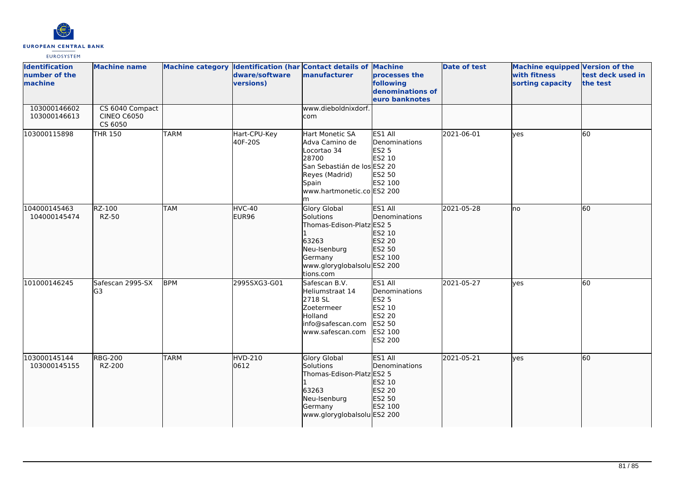

| <b>Identification</b><br>number of the<br>machine | <b>Machine name</b>                              |             | Machine category Identification (har Contact details of Machine<br>dware/software<br>versions) | manufacturer                                                                                                                                            | processes the<br>following<br>denominations of<br>euro banknotes                      | <b>Date of test</b> | <b>Machine equipped Version of the</b><br>with fitness<br>sorting capacity | test deck used in<br>the test |
|---------------------------------------------------|--------------------------------------------------|-------------|------------------------------------------------------------------------------------------------|---------------------------------------------------------------------------------------------------------------------------------------------------------|---------------------------------------------------------------------------------------|---------------------|----------------------------------------------------------------------------|-------------------------------|
| 103000146602<br>103000146613                      | CS 6040 Compact<br><b>CINEO C6050</b><br>CS 6050 |             |                                                                                                | www.dieboldnixdorf.<br>com                                                                                                                              |                                                                                       |                     |                                                                            |                               |
| 103000115898                                      | <b>THR 150</b>                                   | <b>TARM</b> | Hart-CPU-Key<br>40F-20S                                                                        | Hart Monetic SA<br>Adva Camino de<br>Locortao 34<br>28700<br>San Sebastián de los ES2 20<br>Reyes (Madrid)<br>Spain<br>www.hartmonetic.co ES2 200<br>lm | ES1 All<br>Denominations<br>ES2 5<br>ES2 10<br>ES2 50<br>ES2 100                      | 2021-06-01          | lyes                                                                       | 60                            |
| 104000145463<br>104000145474                      | RZ-100<br><b>RZ-50</b>                           | <b>TAM</b>  | HVC-40<br>EUR96                                                                                | <b>Glory Global</b><br><b>Solutions</b><br>Thomas-Edison-Platz ES2 5<br>63263<br>Neu-Isenburg<br>Germany<br>www.gloryglobalsolu ES2 200<br>tions.com    | ES1 All<br>Denominations<br>ES2 10<br>ES2 20<br>ES2 50<br>ES2 100                     | 2021-05-28          | lno                                                                        | 60                            |
| 101000146245                                      | Safescan 2995-SX<br>G3                           | <b>BPM</b>  | 2995SXG3-G01                                                                                   | Safescan B.V.<br>Heliumstraat 14<br>2718 SL<br><b>Zoetermeer</b><br>Holland<br>info@safescan.com<br>www.safescan.com                                    | ES1 All<br>Denominations<br>ES2 5<br>ES2 10<br>ES2 20<br>ES2 50<br>ES2 100<br>ES2 200 | 2021-05-27          | yes                                                                        | 60                            |
| 103000145144<br>103000145155                      | <b>RBG-200</b><br>RZ-200                         | <b>TARM</b> | <b>HVD-210</b><br>0612                                                                         | <b>Glory Global</b><br>Solutions<br>Thomas-Edison-Platz ES2 5<br>63263<br>Neu-Isenburg<br>Germany<br>www.gloryglobalsolu ES2 200                        | ES1 All<br><b>Denominations</b><br>ES2 10<br>ES2 20<br>ES2 50<br>ES2 100              | 2021-05-21          | lves                                                                       | 60                            |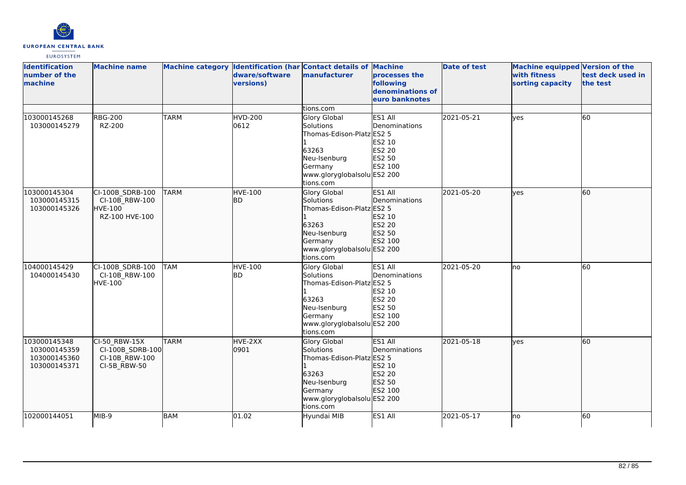

| <b>Identification</b><br>number of the<br>machine            | <b>Machine name</b>                                                    |             | dware/software<br>versions) | Machine category Identification (har Contact details of Machine<br>manufacturer                                                                      | processes the<br>following<br>denominations of<br>euro banknotes          | <b>Date of test</b> | Machine equipped Version of the<br>with fitness<br>sorting capacity | test deck used in<br>the test |
|--------------------------------------------------------------|------------------------------------------------------------------------|-------------|-----------------------------|------------------------------------------------------------------------------------------------------------------------------------------------------|---------------------------------------------------------------------------|---------------------|---------------------------------------------------------------------|-------------------------------|
|                                                              |                                                                        |             |                             | tions.com                                                                                                                                            |                                                                           |                     |                                                                     |                               |
| 103000145268<br>103000145279                                 | <b>RBG-200</b><br>RZ-200                                               | <b>TARM</b> | <b>HVD-200</b><br>0612      | <b>Glory Global</b><br>Solutions<br>Thomas-Edison-Platz ES2 5<br>63263<br>Neu-Isenburg<br>Germany<br>www.gloryglobalsolu ES2 200<br>tions.com        | ES1 All<br>Denominations<br>ES2 10<br><b>ES2 20</b><br>ES2 50<br>ES2 100  | 2021-05-21          | yes                                                                 | 60                            |
| 103000145304<br>103000145315<br>103000145326                 | CI-100B_SDRB-100<br>CI-10B RBW-100<br><b>HVE-100</b><br>RZ-100 HVE-100 | <b>TARM</b> | <b>HVE-100</b><br>lbd.      | <b>Glory Global</b><br>Solutions<br>Thomas-Edison-Platz ES2 5<br>63263<br>Neu-Isenburg<br>Germany<br>www.gloryglobalsolu ES2 200<br>tions.com        | ES1 All<br>Denominations<br>ES2 10<br>ES2 20<br>ES2 50<br>ES2 100         | 2021-05-20          | lves                                                                | 60                            |
| 104000145429<br>104000145430                                 | CI-100B SDRB-100<br>CI-10B RBW-100<br><b>HVE-100</b>                   | <b>TAM</b>  | <b>HVE-100</b><br><b>BD</b> | <b>Glory Global</b><br><b>Solutions</b><br>Thomas-Edison-Platz ES2 5<br>63263<br>Neu-Isenburg<br>Germany<br>www.gloryglobalsolu ES2 200<br>tions.com | ES1 All<br>Denominations<br>ES2 10<br><b>ES2 20</b><br>ES2 50<br>ES2 100  | 2021-05-20          | Ino                                                                 | 60                            |
| 103000145348<br>103000145359<br>103000145360<br>103000145371 | CI-50 RBW-15X<br>CI-100B SDRB-100<br>CI-10B RBW-100<br>CI-5B_RBW-50    | <b>TARM</b> | HVE-2XX<br>10901            | <b>Glory Global</b><br><b>Solutions</b><br>Thomas-Edison-Platz ES2 5<br>63263<br>Neu-Isenburg<br>Germany<br>www.gloryglobalsolu ES2 200<br>tions.com | ES1 All<br><b>IDenominations</b><br>ES2 10<br>ES2 20<br>ES2 50<br>ES2 100 | 2021-05-18          | lves                                                                | 60                            |
| 102000144051                                                 | MIB-9                                                                  | <b>BAM</b>  | $\sqrt{01.02}$              | Hyundai MIB                                                                                                                                          | ES1 All                                                                   | 2021-05-17          | lno                                                                 | 60                            |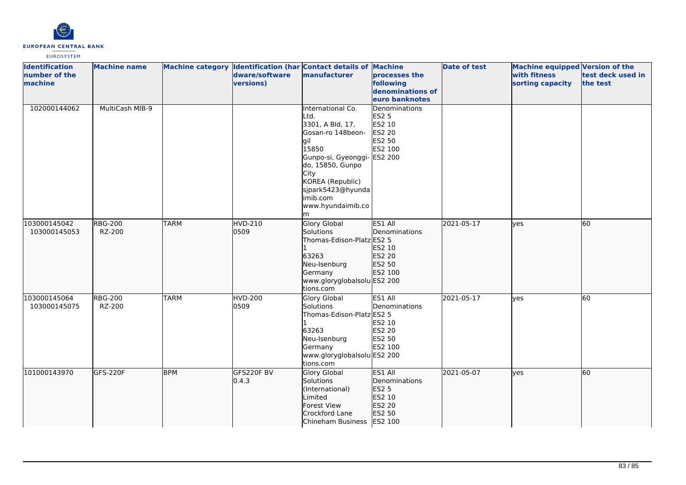

| <b>Identification</b><br>number of the<br>machine | <b>Machine name</b>      |             | dware/software<br>versions) | Machine category Identification (har Contact details of Machine<br>manufacturer                                                                                                                                               | processes the<br>following<br>denominations of<br>euro banknotes        | <b>Date of test</b> | Machine equipped Version of the<br>with fitness<br>sorting capacity | test deck used in<br>the test |
|---------------------------------------------------|--------------------------|-------------|-----------------------------|-------------------------------------------------------------------------------------------------------------------------------------------------------------------------------------------------------------------------------|-------------------------------------------------------------------------|---------------------|---------------------------------------------------------------------|-------------------------------|
| 102000144062                                      | MultiCash MIB-9          |             |                             | International Co.<br>Ltd.<br>3301, A Bld, 17,<br>Gosan-ro 148beon-<br>lgil<br>15850<br>Gunpo-si, Gyeonggi- ES2 200<br>do, 15850, Gunpo<br>City<br>KOREA (Republic)<br>sjpark5423@hyunda<br>imib.com<br>www.hyundaimib.co<br>m | Denominations<br><b>ES2 5</b><br>ES2 10<br>ES2 20<br>ES2 50<br>ES2 100  |                     |                                                                     |                               |
| 103000145042<br>103000145053                      | <b>RBG-200</b><br>RZ-200 | <b>TARM</b> | <b>HVD-210</b><br>0509      | <b>Glory Global</b><br>Solutions<br>Thomas-Edison-Platz ES2 5<br>63263<br>Neu-Isenburg<br>Germany<br>www.gloryglobalsolu ES2 200<br>tions.com                                                                                 | ES1 All<br>Denominations<br>ES2 10<br>ES2 20<br>ES2 50<br>ES2 100       | 2021-05-17          | lyes                                                                | 60                            |
| 103000145064<br>103000145075                      | <b>RBG-200</b><br>RZ-200 | <b>TARM</b> | <b>HVD-200</b><br>0509      | Glory Global<br>Solutions<br>Thomas-Edison-Platz ES2 5<br>63263<br>Neu-Isenburg<br>Germany<br>www.gloryglobalsolu ES2 200<br>tions.com                                                                                        | ES1 All<br>Denominations<br>ES2 10<br>ES2 20<br>ES2 50<br>ES2 100       | 2021-05-17          | <b>yes</b>                                                          | 60                            |
| 101000143970                                      | GFS-220F                 | <b>BPM</b>  | GFS220F BV<br>0.4.3         | Glory Global<br>Solutions<br>(International)<br>Limited<br>Forest View<br>Crockford Lane<br>Chineham Business ES2 100                                                                                                         | ES1 All<br><b>IDenominations</b><br>ES2 5<br>ES2 10<br>ES2 20<br>ES2 50 | 2021-05-07          | <b>lyes</b>                                                         | 60                            |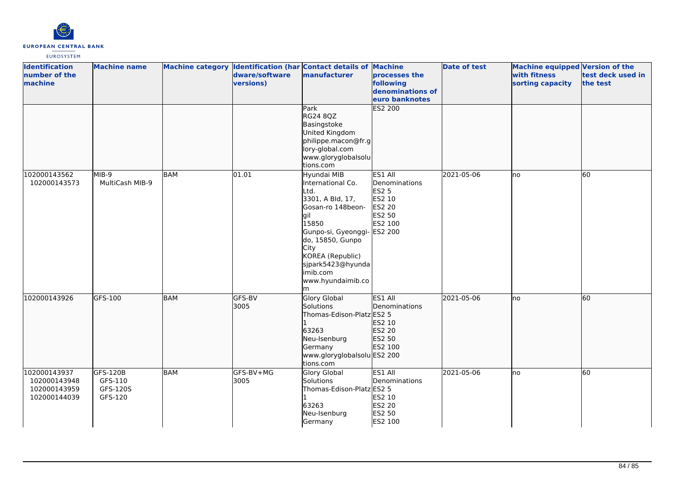

| <b>Identification</b><br>number of the<br>machine |                                              | <b>Machine name</b>                        |            | dware/software<br>versions) | Machine category Identification (har Contact details of Machine<br>manufacturer                                                                                                                                                      | processes the<br>following<br>denominations of<br>euro banknotes                                    | <b>Date of test</b> | Machine equipped Version of the<br>with fitness<br>sorting capacity | test deck used in<br>the test |
|---------------------------------------------------|----------------------------------------------|--------------------------------------------|------------|-----------------------------|--------------------------------------------------------------------------------------------------------------------------------------------------------------------------------------------------------------------------------------|-----------------------------------------------------------------------------------------------------|---------------------|---------------------------------------------------------------------|-------------------------------|
|                                                   |                                              |                                            |            |                             | Park<br>RG24 8QZ<br>Basingstoke<br>United Kingdom<br>philippe.macon@fr.g<br>lory-global.com<br>www.gloryglobalsolu<br>tions.com                                                                                                      | <b>ES2 200</b>                                                                                      |                     |                                                                     |                               |
| 102000143562                                      | 102000143573                                 | MIB-9<br>MultiCash MIB-9                   | <b>BAM</b> | 01.01                       | Hyundai MIB<br>International Co.<br>Ltd.<br>3301, A Bld, 17,<br>Gosan-ro 148beon-<br>lgil<br>15850<br>Gunpo-si, Gyeonggi-<br>do, 15850, Gunpo<br>City<br>KOREA (Republic)<br>sjpark5423@hyunda<br>imib.com<br>www.hyundaimib.co<br>m | ES1 All<br>Denominations<br><b>ES2 5</b><br>ES2 10<br><b>ES2 20</b><br>ES2 50<br>ES2 100<br>ES2 200 | 2021-05-06          | lno                                                                 | 60                            |
| 102000143926                                      |                                              | GFS-100                                    | BAM        | GFS-BV<br>3005              | <b>Glory Global</b><br>Solutions<br>Thomas-Edison-Platz ES2 5<br>63263<br>Neu-Isenburg<br>Germany<br>www.gloryglobalsolu ES2 200<br>tions.com                                                                                        | ES1 All<br>Denominations<br>ES2 10<br>ES2 20<br>ES2 50<br>ES2 100                                   | 2021-05-06          | lno                                                                 | 60                            |
| 102000143937                                      | 102000143948<br>102000143959<br>102000144039 | GFS-120B<br>GFS-110<br>GFS-120S<br>GFS-120 | <b>BAM</b> | GFS-BV+MG<br>3005           | Glory Global<br>Solutions<br>Thomas-Edison-Platz ES2 5<br>63263<br>Neu-Isenburg<br>Germany                                                                                                                                           | ES1 All<br>Denominations<br>ES2 10<br>ES2 20<br>ES2 50<br>ES2 100                                   | 2021-05-06          | lno                                                                 | 60                            |